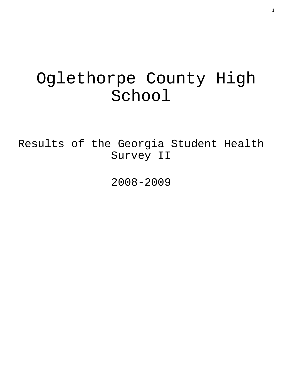# Oglethorpe County High School

Results of the Georgia Student Health Survey II

2008-2009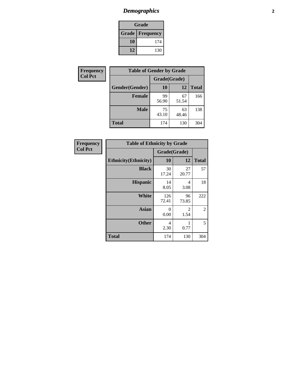## *Demographics* **2**

| Grade                    |     |  |  |  |
|--------------------------|-----|--|--|--|
| <b>Grade   Frequency</b> |     |  |  |  |
| 10                       | 174 |  |  |  |
| 12                       | 130 |  |  |  |

| <b>Frequency</b> | <b>Table of Gender by Grade</b> |              |             |              |  |  |
|------------------|---------------------------------|--------------|-------------|--------------|--|--|
| <b>Col Pct</b>   |                                 | Grade(Grade) |             |              |  |  |
|                  | Gender(Gender)                  | <b>10</b>    | 12          | <b>Total</b> |  |  |
|                  | <b>Female</b>                   | 99<br>56.90  | 67<br>51.54 | 166          |  |  |
|                  | <b>Male</b>                     | 75<br>43.10  | 63<br>48.46 | 138          |  |  |
|                  | <b>Total</b>                    | 174          | 130         | 304          |  |  |

| <b>Frequency</b> |
|------------------|
| <b>Col Pct</b>   |

| <b>Table of Ethnicity by Grade</b> |              |             |              |  |  |  |
|------------------------------------|--------------|-------------|--------------|--|--|--|
|                                    | Grade(Grade) |             |              |  |  |  |
| <b>Ethnicity</b> (Ethnicity)       | 10           | 12          | <b>Total</b> |  |  |  |
| <b>Black</b>                       | 30<br>17.24  | 27<br>20.77 | 57           |  |  |  |
| <b>Hispanic</b>                    | 14<br>8.05   | 4<br>3.08   | 18           |  |  |  |
| White                              | 126<br>72.41 | 96<br>73.85 | 222          |  |  |  |
| <b>Asian</b>                       | 0<br>0.00    | 2<br>1.54   | 2            |  |  |  |
| <b>Other</b>                       | 4<br>2.30    | 1<br>0.77   | 5            |  |  |  |
| <b>Total</b>                       | 174          | 130         | 304          |  |  |  |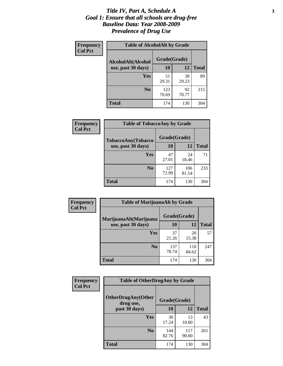#### *Title IV, Part A, Schedule A* **3** *Goal 1: Ensure that all schools are drug-free Baseline Data: Year 2008-2009 Prevalence of Drug Use*

| Frequency<br><b>Col Pct</b> | <b>Table of AlcoholAlt by Grade</b> |              |             |              |  |  |
|-----------------------------|-------------------------------------|--------------|-------------|--------------|--|--|
|                             | AlcoholAlt(Alcohol                  | Grade(Grade) |             |              |  |  |
|                             | use, past 30 days)                  | 10           | 12          | <b>Total</b> |  |  |
|                             | Yes                                 | 51<br>29.31  | 38<br>29.23 | 89           |  |  |
|                             | N <sub>0</sub>                      | 123<br>70.69 | 92<br>70.77 | 215          |  |  |
|                             | <b>Total</b>                        | 174          | 130         | 304          |  |  |

| Frequency      | <b>Table of TobaccoAny by Grade</b> |              |              |              |  |
|----------------|-------------------------------------|--------------|--------------|--------------|--|
| <b>Col Pct</b> | <b>TobaccoAny(Tobacco</b>           | Grade(Grade) |              |              |  |
|                | use, past 30 days)                  | <b>10</b>    | 12           | <b>Total</b> |  |
|                | Yes                                 | 47<br>27.01  | 24<br>18.46  | 71           |  |
|                | N <sub>0</sub>                      | 127<br>72.99 | 106<br>81.54 | 233          |  |
|                | Total                               | 174          | 130          | 304          |  |

| Frequency<br><b>Col Pct</b> | <b>Table of MarijuanaAlt by Grade</b> |              |              |              |  |  |
|-----------------------------|---------------------------------------|--------------|--------------|--------------|--|--|
|                             | MarijuanaAlt(Marijuana                | Grade(Grade) |              |              |  |  |
|                             | use, past 30 days)                    | <b>10</b>    | 12           | <b>Total</b> |  |  |
|                             | <b>Yes</b>                            | 37<br>21.26  | 20<br>15.38  | 57           |  |  |
|                             | N <sub>0</sub>                        | 137<br>78.74 | 110<br>84.62 | 247          |  |  |
|                             | <b>Total</b>                          | 174          | 130          | 304          |  |  |

| Frequency<br><b>Col Pct</b> | <b>Table of OtherDrugAny by Grade</b>                  |              |              |              |  |
|-----------------------------|--------------------------------------------------------|--------------|--------------|--------------|--|
|                             | <b>OtherDrugAny(Other</b><br>Grade(Grade)<br>drug use, |              |              |              |  |
|                             | past 30 days)                                          | 10           | 12           | <b>Total</b> |  |
|                             | <b>Yes</b>                                             | 30<br>17.24  | 13<br>10.00  | 43           |  |
|                             | N <sub>0</sub>                                         | 144<br>82.76 | 117<br>90.00 | 261          |  |
|                             | <b>Total</b>                                           | 174          | 130          | 304          |  |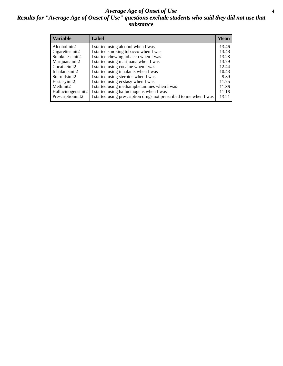#### *Average Age of Onset of Use* **4** *Results for "Average Age of Onset of Use" questions exclude students who said they did not use that substance*

| <b>Variable</b>    | Label                                                              | <b>Mean</b> |
|--------------------|--------------------------------------------------------------------|-------------|
| Alcoholinit2       | I started using alcohol when I was                                 | 13.46       |
| Cigarettesinit2    | I started smoking tobacco when I was                               | 13.48       |
| Smokelessinit2     | I started chewing tobacco when I was                               | 13.28       |
| Marijuanainit2     | I started using marijuana when I was                               | 13.79       |
| Cocaineinit2       | I started using cocaine when I was                                 | 12.44       |
| Inhalantsinit2     | I started using inhalants when I was                               | 10.43       |
| Steroidsinit2      | I started using steroids when I was                                | 9.89        |
| Ecstasyinit2       | I started using ecstasy when I was                                 | 11.75       |
| Methinit2          | I started using methamphetamines when I was                        | 11.36       |
| Hallucinogensinit2 | I started using hallucinogens when I was                           | 11.18       |
| Prescriptioninit2  | I started using prescription drugs not prescribed to me when I was | 13.21       |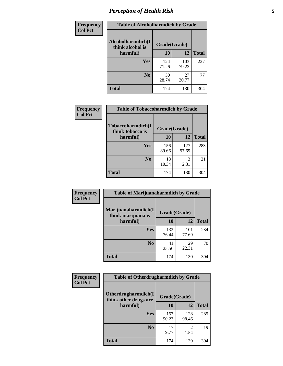## *Perception of Health Risk* **5**

| Frequency      | <b>Table of Alcoholharmdich by Grade</b> |              |              |              |  |
|----------------|------------------------------------------|--------------|--------------|--------------|--|
| <b>Col Pct</b> | Alcoholharmdich(I<br>think alcohol is    | Grade(Grade) |              |              |  |
|                | harmful)                                 | 10           | 12           | <b>Total</b> |  |
|                | <b>Yes</b>                               | 124<br>71.26 | 103<br>79.23 | 227          |  |
|                | N <sub>0</sub>                           | 50<br>28.74  | 27<br>20.77  | 77           |  |
|                | <b>Total</b>                             | 174          | 130          | 304          |  |

| Frequency      | <b>Table of Tobaccoharmdich by Grade</b> |              |              |              |  |
|----------------|------------------------------------------|--------------|--------------|--------------|--|
| <b>Col Pct</b> | Tobaccoharmdich(I<br>think tobacco is    | Grade(Grade) |              |              |  |
|                | harmful)                                 | 10           | 12           | <b>Total</b> |  |
|                | Yes                                      | 156<br>89.66 | 127<br>97.69 | 283          |  |
|                | N <sub>0</sub>                           | 18<br>10.34  | 3<br>2.31    | 21           |  |
|                | <b>Total</b>                             | 174          | 130          | 304          |  |

| Frequency      | <b>Table of Marijuanaharmdich by Grade</b> |              |              |              |  |  |
|----------------|--------------------------------------------|--------------|--------------|--------------|--|--|
| <b>Col Pct</b> | Marijuanaharmdich(I<br>think marijuana is  | Grade(Grade) |              |              |  |  |
|                | harmful)                                   | 10           | 12           | <b>Total</b> |  |  |
|                | Yes                                        | 133<br>76.44 | 101<br>77.69 | 234          |  |  |
|                | N <sub>0</sub>                             | 41<br>23.56  | 29<br>22.31  | 70           |  |  |
|                | <b>Total</b>                               | 174          | 130          | 304          |  |  |

| <b>Frequency</b> | <b>Table of Otherdrugharmdich by Grade</b>   |              |              |              |  |  |  |  |
|------------------|----------------------------------------------|--------------|--------------|--------------|--|--|--|--|
| <b>Col Pct</b>   | Otherdrugharmdich(I<br>think other drugs are |              | Grade(Grade) |              |  |  |  |  |
|                  | harmful)                                     | 10           | 12           | <b>Total</b> |  |  |  |  |
|                  | Yes                                          | 157<br>90.23 | 128<br>98.46 | 285          |  |  |  |  |
|                  | N <sub>0</sub>                               | 17<br>9.77   | 1.54         | 19           |  |  |  |  |
|                  | <b>Total</b>                                 | 174          | 130          | 304          |  |  |  |  |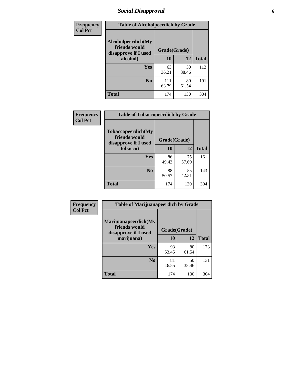## *Social Disapproval* **6**

| <b>Frequency</b> | <b>Table of Alcoholpeerdich by Grade</b>                    |              |              |     |
|------------------|-------------------------------------------------------------|--------------|--------------|-----|
| <b>Col Pct</b>   | Alcoholpeerdich(My<br>friends would<br>disapprove if I used | Grade(Grade) |              |     |
|                  | alcohol)                                                    | 10           | <b>Total</b> |     |
|                  | <b>Yes</b>                                                  | 63<br>36.21  | 50<br>38.46  | 113 |
|                  | N <sub>0</sub>                                              | 111<br>63.79 | 80<br>61.54  | 191 |
|                  | <b>Total</b>                                                | 174          | 130          | 304 |

| <b>Frequency</b> |
|------------------|
| <b>Col Pct</b>   |

| <b>Table of Tobaccopeerdich by Grade</b>                            |             |              |              |  |  |  |
|---------------------------------------------------------------------|-------------|--------------|--------------|--|--|--|
| <b>Tobaccopeerdich</b> (My<br>friends would<br>disapprove if I used |             | Grade(Grade) |              |  |  |  |
| tobacco)                                                            | 10          | 12           | <b>Total</b> |  |  |  |
| Yes                                                                 | 86<br>49.43 | 75<br>57.69  | 161          |  |  |  |
| N <sub>0</sub>                                                      | 88<br>50.57 | 55<br>42.31  | 143          |  |  |  |
| <b>Total</b>                                                        | 174         | 130          | 304          |  |  |  |

| Frequency      | <b>Table of Marijuanapeerdich by Grade</b>                    |              |             |              |  |  |  |  |
|----------------|---------------------------------------------------------------|--------------|-------------|--------------|--|--|--|--|
| <b>Col Pct</b> | Marijuanapeerdich(My<br>friends would<br>disapprove if I used | Grade(Grade) |             |              |  |  |  |  |
|                | marijuana)                                                    | 10           | 12          | <b>Total</b> |  |  |  |  |
|                | <b>Yes</b>                                                    | 93<br>53.45  | 80<br>61.54 | 173          |  |  |  |  |
|                | N <sub>0</sub>                                                | 81<br>46.55  | 50<br>38.46 | 131          |  |  |  |  |
|                | <b>Total</b>                                                  | 174          | 130         | 304          |  |  |  |  |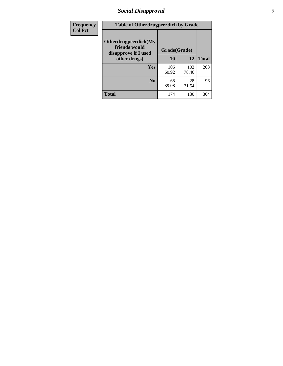## *Social Disapproval* **7**

| Frequency      | <b>Table of Otherdrugpeerdich by Grade</b>                    |              |              |              |  |  |  |  |
|----------------|---------------------------------------------------------------|--------------|--------------|--------------|--|--|--|--|
| <b>Col Pct</b> | Otherdrugpeerdich(My<br>friends would<br>disapprove if I used | Grade(Grade) |              |              |  |  |  |  |
|                | other drugs)                                                  | 10           | 12           | <b>Total</b> |  |  |  |  |
|                | Yes                                                           | 106<br>60.92 | 102<br>78.46 | 208          |  |  |  |  |
|                | N <sub>0</sub>                                                | 68<br>39.08  | 28<br>21.54  | 96           |  |  |  |  |
|                | <b>Total</b>                                                  | 174          | 130          | 304          |  |  |  |  |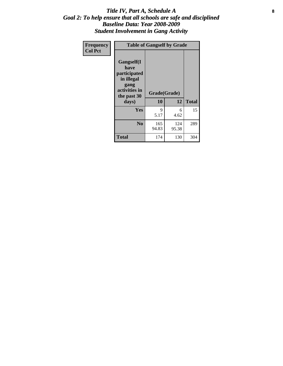#### Title IV, Part A, Schedule A **8** *Goal 2: To help ensure that all schools are safe and disciplined Baseline Data: Year 2008-2009 Student Involvement in Gang Activity*

| Frequency      | <b>Table of Gangself by Grade</b>                                                                 |                    |              |              |
|----------------|---------------------------------------------------------------------------------------------------|--------------------|--------------|--------------|
| <b>Col Pct</b> | Gangself(I<br>have<br>participated<br>in illegal<br>gang<br>activities in<br>the past 30<br>days) | Grade(Grade)<br>10 | 12           | <b>Total</b> |
|                | Yes                                                                                               | 9<br>5.17          | 6<br>4.62    | 15           |
|                | N <sub>0</sub>                                                                                    | 165<br>94.83       | 124<br>95.38 | 289          |
|                | <b>Total</b>                                                                                      | 174                | 130          | 304          |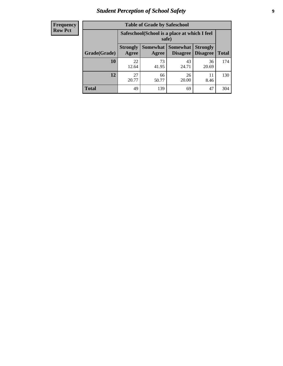## *Student Perception of School Safety* **9**

| <b>Frequency</b><br>Row Pct |
|-----------------------------|
|                             |

| <b>Table of Grade by Safeschool</b> |                                                        |                     |                             |                                    |              |  |  |
|-------------------------------------|--------------------------------------------------------|---------------------|-----------------------------|------------------------------------|--------------|--|--|
|                                     | Safeschool (School is a place at which I feel<br>safe) |                     |                             |                                    |              |  |  |
| Grade(Grade)                        | <b>Strongly</b><br>Agree                               | Somewhat  <br>Agree | <b>Somewhat</b><br>Disagree | <b>Strongly</b><br><b>Disagree</b> | <b>Total</b> |  |  |
| 10                                  | 22<br>12.64                                            | 73<br>41.95         | 43<br>24.71                 | 36<br>20.69                        | 174          |  |  |
| 12                                  | 27<br>20.77                                            | 66<br>50.77         | 26<br>20.00                 | 11<br>8.46                         | 130          |  |  |
| <b>Total</b>                        | 49                                                     | 139                 | 69                          | 47                                 | 304          |  |  |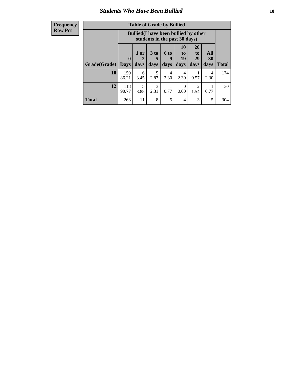### *Students Who Have Been Bullied* **10**

| <b>Frequency</b> |
|------------------|
| Row Pct          |

| <b>Table of Grade by Bullied</b> |                            |                                                                               |                              |                   |                               |                               |                          |              |
|----------------------------------|----------------------------|-------------------------------------------------------------------------------|------------------------------|-------------------|-------------------------------|-------------------------------|--------------------------|--------------|
|                                  |                            | <b>Bullied</b> (I have been bullied by other<br>students in the past 30 days) |                              |                   |                               |                               |                          |              |
| Grade(Grade)                     | $\mathbf 0$<br><b>Days</b> | 1 or<br>2<br>days                                                             | 3 <sub>to</sub><br>5<br>days | 6 to<br>9<br>days | <b>10</b><br>to<br>19<br>days | <b>20</b><br>to<br>29<br>days | <b>All</b><br>30<br>days | <b>Total</b> |
| 10                               | 150<br>86.21               | 6<br>3.45                                                                     | 5<br>2.87                    | 4<br>2.30         | 4<br>2.30                     | 0.57                          | 4<br>2.30                | 174          |
| 12                               | 118<br>90.77               | 5<br>3.85                                                                     | 3<br>2.31                    | 0.77              | $\Omega$<br>0.00              | 2<br>1.54                     | 0.77                     | 130          |
| <b>Total</b>                     | 268                        | 11                                                                            | 8                            | 5                 | 4                             | 3                             | 5                        | 304          |

 $\blacksquare$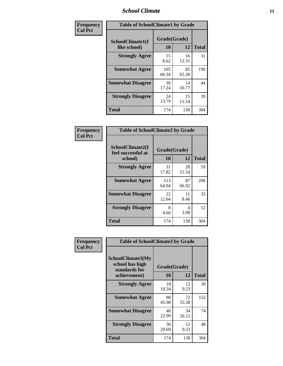## *School Climate* **11**

| Frequency      | <b>Table of SchoolClimate1 by Grade</b> |                    |             |              |  |  |
|----------------|-----------------------------------------|--------------------|-------------|--------------|--|--|
| <b>Col Pct</b> | SchoolClimate1(I<br>like school)        | Grade(Grade)<br>10 | 12          | <b>Total</b> |  |  |
|                | <b>Strongly Agree</b>                   | 15<br>8.62         | 16<br>12.31 | 31           |  |  |
|                | <b>Somewhat Agree</b>                   | 105<br>60.34       | 85<br>65.38 | 190          |  |  |
|                | <b>Somewhat Disagree</b>                | 30<br>17.24        | 14<br>10.77 | 44           |  |  |
|                | <b>Strongly Disagree</b>                | 24<br>13.79        | 15<br>11.54 | 39           |  |  |
|                | <b>Total</b>                            | 174                | 130         | 304          |  |  |

| Frequency<br>Col Pct |
|----------------------|

| <b>Table of SchoolClimate2 by Grade</b>           |                    |             |              |  |  |
|---------------------------------------------------|--------------------|-------------|--------------|--|--|
| SchoolClimate2(I<br>feel successful at<br>school) | Grade(Grade)<br>10 | 12          | <b>Total</b> |  |  |
| <b>Strongly Agree</b>                             | 31<br>17.82        | 28<br>21.54 | 59           |  |  |
| <b>Somewhat Agree</b>                             | 113<br>64.94       | 87<br>66.92 | 200          |  |  |
| <b>Somewhat Disagree</b>                          | 22<br>12.64        | 11<br>8.46  | 33           |  |  |
| <b>Strongly Disagree</b>                          | 8<br>4.60          | 4<br>3.08   | 12           |  |  |
| Total                                             | 174                | 130         | 304          |  |  |

| Frequency | <b>Table of SchoolClimate3 by Grade</b>               |                          |             |              |
|-----------|-------------------------------------------------------|--------------------------|-------------|--------------|
| Col Pct   | SchoolClimate3(My<br>school has high<br>standards for | Grade(Grade)<br>10<br>12 |             |              |
|           | achievement)                                          |                          |             | <b>Total</b> |
|           | <b>Strongly Agree</b>                                 | 18<br>10.34              | 12<br>9.23  | 30           |
|           | <b>Somewhat Agree</b>                                 | 80<br>45.98              | 72<br>55.38 | 152          |
|           | <b>Somewhat Disagree</b>                              | 40<br>22.99              | 34<br>26.15 | 74           |
|           | <b>Strongly Disagree</b>                              | 36<br>20.69              | 12<br>9.23  | 48           |
|           | Total                                                 | 174                      | 130         | 304          |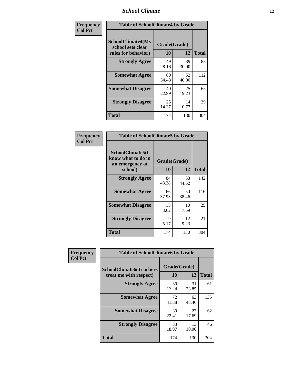## *School Climate* **12**

| Frequency      | <b>Table of SchoolClimate4 by Grade</b>                       |                    |             |              |  |
|----------------|---------------------------------------------------------------|--------------------|-------------|--------------|--|
| <b>Col Pct</b> | SchoolClimate4(My<br>school sets clear<br>rules for behavior) | Grade(Grade)<br>10 | 12          | <b>Total</b> |  |
|                | <b>Strongly Agree</b>                                         | 49<br>28.16        | 39<br>30.00 | 88           |  |
|                | <b>Somewhat Agree</b>                                         | 60<br>34.48        | 52<br>40.00 | 112          |  |
|                | <b>Somewhat Disagree</b>                                      | 40<br>22.99        | 25<br>19.23 | 65           |  |
|                | <b>Strongly Disagree</b>                                      | 25<br>14.37        | 14<br>10.77 | 39           |  |
|                | <b>Total</b>                                                  | 174                | 130         | 304          |  |

| <b>Table of SchoolClimate5 by Grade</b>                   |             |                    |              |  |  |
|-----------------------------------------------------------|-------------|--------------------|--------------|--|--|
| SchoolClimate5(I<br>know what to do in<br>an emergency at | 10          | Grade(Grade)<br>12 | <b>Total</b> |  |  |
| school)                                                   |             |                    |              |  |  |
| <b>Strongly Agree</b>                                     | 84<br>48.28 | 58<br>44.62        | 142          |  |  |
| <b>Somewhat Agree</b>                                     | 66<br>37.93 | 50<br>38.46        | 116          |  |  |
| <b>Somewhat Disagree</b>                                  | 15<br>8.62  | 10<br>7.69         | 25           |  |  |
| <b>Strongly Disagree</b>                                  | 9<br>5.17   | 12<br>9.23         | 21           |  |  |
| Total                                                     | 174         | 130                | 304          |  |  |

| Frequency      | <b>Table of SchoolClimate6 by Grade</b>                  |                    |             |              |  |  |
|----------------|----------------------------------------------------------|--------------------|-------------|--------------|--|--|
| <b>Col Pct</b> | <b>SchoolClimate6(Teachers</b><br>treat me with respect) | Grade(Grade)<br>10 | 12          | <b>Total</b> |  |  |
|                | <b>Strongly Agree</b>                                    | 30<br>17.24        | 31<br>23.85 | 61           |  |  |
|                | <b>Somewhat Agree</b>                                    | 72<br>41.38        | 63<br>48.46 | 135          |  |  |
|                | <b>Somewhat Disagree</b>                                 | 39<br>22.41        | 23<br>17.69 | 62           |  |  |
|                | <b>Strongly Disagree</b>                                 | 33<br>18.97        | 13<br>10.00 | 46           |  |  |
|                | <b>Total</b>                                             | 174                | 130         | 304          |  |  |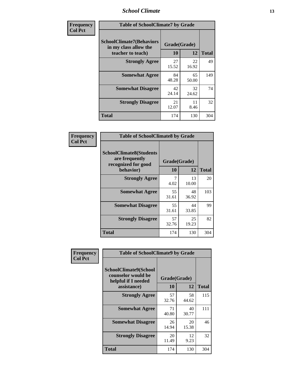## *School Climate* **13**

| Frequency      | <b>Table of SchoolClimate7 by Grade</b>                                       |                    |             |              |  |
|----------------|-------------------------------------------------------------------------------|--------------------|-------------|--------------|--|
| <b>Col Pct</b> | <b>SchoolClimate7(Behaviors</b><br>in my class allow the<br>teacher to teach) | Grade(Grade)<br>10 | 12          | <b>Total</b> |  |
|                | <b>Strongly Agree</b>                                                         | 27<br>15.52        | 22<br>16.92 | 49           |  |
|                | <b>Somewhat Agree</b>                                                         | 84<br>48.28        | 65<br>50.00 | 149          |  |
|                | <b>Somewhat Disagree</b>                                                      | 42<br>24.14        | 32<br>24.62 | 74           |  |
|                | <b>Strongly Disagree</b>                                                      | 21<br>12.07        | 11<br>8.46  | 32           |  |
|                | <b>Total</b>                                                                  | 174                | 130         | 304          |  |

| Frequency      | <b>Table of SchoolClimate8 by Grade</b>                                              |                    |             |              |  |
|----------------|--------------------------------------------------------------------------------------|--------------------|-------------|--------------|--|
| <b>Col Pct</b> | <b>SchoolClimate8(Students</b><br>are frequently<br>recognized for good<br>behavior) | Grade(Grade)<br>10 | 12          | <b>Total</b> |  |
|                | <b>Strongly Agree</b>                                                                | 7                  | 13          | 20           |  |
|                |                                                                                      | 4.02               | 10.00       |              |  |
|                | <b>Somewhat Agree</b>                                                                | 55<br>31.61        | 48<br>36.92 | 103          |  |
|                | <b>Somewhat Disagree</b>                                                             | 55<br>31.61        | 44<br>33.85 | 99           |  |
|                | <b>Strongly Disagree</b>                                                             | 57<br>32.76        | 25<br>19.23 | 82           |  |
|                | <b>Total</b>                                                                         | 174                | 130         | 304          |  |

| Frequency<br><b>Col Pct</b> | <b>Table of SchoolClimate9 by Grade</b>                                           |                    |             |              |  |
|-----------------------------|-----------------------------------------------------------------------------------|--------------------|-------------|--------------|--|
|                             | SchoolClimate9(School<br>counselor would be<br>helpful if I needed<br>assistance) | Grade(Grade)<br>10 | 12          | <b>Total</b> |  |
|                             | <b>Strongly Agree</b>                                                             | 57<br>32.76        | 58<br>44.62 | 115          |  |
|                             | <b>Somewhat Agree</b>                                                             | 71<br>40.80        | 40<br>30.77 | 111          |  |
|                             | <b>Somewhat Disagree</b>                                                          | 26<br>14.94        | 20<br>15.38 | 46           |  |
|                             | <b>Strongly Disagree</b>                                                          | 20<br>11.49        | 12<br>9.23  | 32           |  |
|                             | Total                                                                             | 174                | 130         | 304          |  |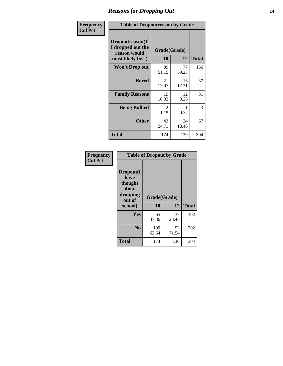## *Reasons for Dropping Out* **14**

| Frequency      | <b>Table of Dropoutreason by Grade</b>                                   |             |                    |              |  |
|----------------|--------------------------------------------------------------------------|-------------|--------------------|--------------|--|
| <b>Col Pct</b> | Dropoutreason(If<br>I dropped out the<br>reason would<br>most likely be) | 10          | Grade(Grade)<br>12 | <b>Total</b> |  |
|                | Won't Drop out                                                           | 89<br>51.15 | 77<br>59.23        | 166          |  |
|                | <b>Bored</b>                                                             | 21<br>12.07 | 16<br>12.31        | 37           |  |
|                | <b>Family Reasons</b>                                                    | 19<br>10.92 | 12<br>9.23         | 31           |  |
|                | <b>Being Bullied</b>                                                     | 2<br>1.15   | 0.77               | 3            |  |
|                | <b>Other</b>                                                             | 43<br>24.71 | 24<br>18.46        | 67           |  |
|                | <b>Total</b>                                                             | 174         | 130                | 304          |  |

| Frequency<br><b>Col Pct</b> | <b>Table of Dropout by Grade</b>                            |                    |             |              |  |
|-----------------------------|-------------------------------------------------------------|--------------------|-------------|--------------|--|
|                             | Dropout(I<br>have<br>thought<br>about<br>dropping<br>out of | Grade(Grade)<br>10 | 12          | <b>Total</b> |  |
|                             | school)                                                     |                    |             |              |  |
|                             | Yes                                                         | 65<br>37.36        | 37<br>28.46 | 102          |  |
|                             | N <sub>0</sub>                                              | 109<br>62.64       | 93<br>71.54 | 202          |  |
|                             |                                                             |                    |             |              |  |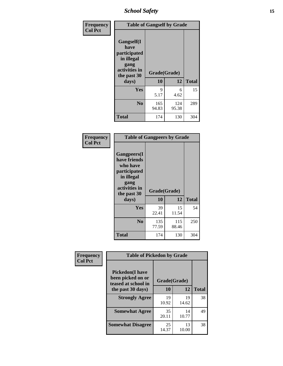*School Safety* **15**

| Frequency      | <b>Table of Gangself by Grade</b>                                                                 |                    |              |              |
|----------------|---------------------------------------------------------------------------------------------------|--------------------|--------------|--------------|
| <b>Col Pct</b> | Gangself(I<br>have<br>participated<br>in illegal<br>gang<br>activities in<br>the past 30<br>days) | Grade(Grade)<br>10 | 12           | <b>Total</b> |
|                | Yes                                                                                               | 9<br>5.17          | 6<br>4.62    | 15           |
|                | N <sub>0</sub>                                                                                    | 165<br>94.83       | 124<br>95.38 | 289          |
|                | <b>Total</b>                                                                                      | 174                | 130          | 304          |

| Frequency<br><b>Col Pct</b> | <b>Table of Gangpeers by Grade</b>                                                                                             |                    |              |              |  |  |  |  |  |  |
|-----------------------------|--------------------------------------------------------------------------------------------------------------------------------|--------------------|--------------|--------------|--|--|--|--|--|--|
|                             | <b>Gangpeers</b> (I<br>have friends<br>who have<br>participated<br>in illegal<br>gang<br>activities in<br>the past 30<br>days) | Grade(Grade)<br>10 | 12           | <b>Total</b> |  |  |  |  |  |  |
|                             | <b>Yes</b>                                                                                                                     | 39<br>22.41        | 15<br>11.54  | 54           |  |  |  |  |  |  |
|                             | N <sub>0</sub>                                                                                                                 | 135<br>77.59       | 115<br>88.46 | 250          |  |  |  |  |  |  |
|                             | <b>Total</b>                                                                                                                   | 174                | 130          | 304          |  |  |  |  |  |  |

| Frequency      |                                                                    | <b>Table of Pickedon by Grade</b> |             |              |  |  |  |  |  |  |  |
|----------------|--------------------------------------------------------------------|-----------------------------------|-------------|--------------|--|--|--|--|--|--|--|
| <b>Col Pct</b> | <b>Pickedon(I have</b><br>been picked on or<br>teased at school in | Grade(Grade)                      |             |              |  |  |  |  |  |  |  |
|                | the past 30 days)                                                  | 10                                | 12          | <b>Total</b> |  |  |  |  |  |  |  |
|                | <b>Strongly Agree</b>                                              | 19<br>10.92                       | 19<br>14.62 | 38           |  |  |  |  |  |  |  |
|                | <b>Somewhat Agree</b>                                              | 35<br>20.11                       | 14<br>10.77 | 49           |  |  |  |  |  |  |  |
|                | <b>Somewhat Disagree</b>                                           | 25<br>14.37                       | 13<br>10.00 | 38           |  |  |  |  |  |  |  |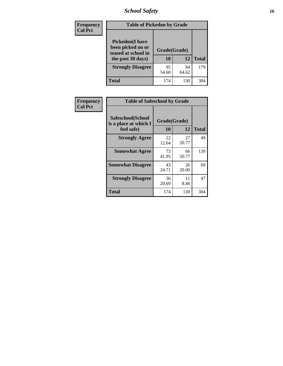*School Safety* **16**

| <b>Frequency</b> | <b>Table of Pickedon by Grade</b>                                                        |                    |              |     |
|------------------|------------------------------------------------------------------------------------------|--------------------|--------------|-----|
| <b>Col Pct</b>   | <b>Pickedon</b> (I have<br>been picked on or<br>teased at school in<br>the past 30 days) | Grade(Grade)<br>10 | <b>Total</b> |     |
|                  | <b>Strongly Disagree</b>                                                                 | 95<br>54.60        | 84<br>64.62  | 179 |
|                  | Total                                                                                    | 174                | 130          | 304 |

| <b>Frequency</b> | <b>Table of Safeschool by Grade</b>        |              |             |              |  |  |  |  |  |  |
|------------------|--------------------------------------------|--------------|-------------|--------------|--|--|--|--|--|--|
| <b>Col Pct</b>   | Safeschool(School<br>is a place at which I | Grade(Grade) |             |              |  |  |  |  |  |  |
|                  | feel safe)                                 | 10           | 12          | <b>Total</b> |  |  |  |  |  |  |
|                  | <b>Strongly Agree</b>                      | 22<br>12.64  | 27<br>20.77 | 49           |  |  |  |  |  |  |
|                  | <b>Somewhat Agree</b>                      | 73<br>41.95  | 66<br>50.77 | 139          |  |  |  |  |  |  |
|                  | <b>Somewhat Disagree</b>                   | 43<br>24.71  | 26<br>20.00 | 69           |  |  |  |  |  |  |
|                  | <b>Strongly Disagree</b>                   | 36<br>20.69  | 11<br>8.46  | 47           |  |  |  |  |  |  |
|                  | <b>Total</b>                               | 174          | 130         | 304          |  |  |  |  |  |  |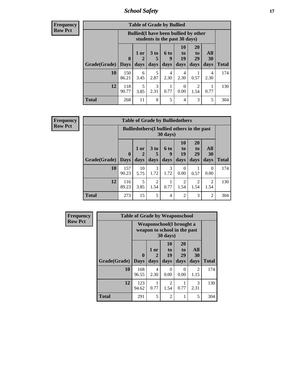*School Safety* **17**

**Frequency Row Pct**

| <b>Table of Grade by Bullied</b> |                        |                                                                               |                              |                   |                        |                               |                          |              |  |  |  |
|----------------------------------|------------------------|-------------------------------------------------------------------------------|------------------------------|-------------------|------------------------|-------------------------------|--------------------------|--------------|--|--|--|
|                                  |                        | <b>Bullied</b> (I have been bullied by other<br>students in the past 30 days) |                              |                   |                        |                               |                          |              |  |  |  |
| Grade(Grade)                     | $\mathbf{0}$<br>  Days | 1 or<br>2<br>days                                                             | 3 <sub>to</sub><br>5<br>days | 6 to<br>9<br>days | 10<br>to<br>19<br>days | <b>20</b><br>to<br>29<br>days | All<br><b>30</b><br>days | <b>Total</b> |  |  |  |
| <b>10</b>                        | 150<br>86.21           | 6<br>3.45                                                                     | 5<br>2.87                    | 4<br>2.30         | 4<br>2.30              | 0.57                          | 4<br>2.30                | 174          |  |  |  |
| 12                               | 118<br>90.77           | 5<br>3.85                                                                     | 3<br>2.31                    | 0.77              | 0<br>0.00              | 2<br>1.54                     | 0.77                     | 130          |  |  |  |
| <b>Total</b>                     | 268                    | 11                                                                            | 8                            | 5                 | 4                      | 3                             | 5                        | 304          |  |  |  |

**Frequency Row Pct**

| <b>Table of Grade by Bulliedothers</b> |                                                                         |                   |                              |                   |                               |                               |                        |              |  |  |
|----------------------------------------|-------------------------------------------------------------------------|-------------------|------------------------------|-------------------|-------------------------------|-------------------------------|------------------------|--------------|--|--|
|                                        | <b>Bulliedothers</b> (I bullied others in the past<br>$30 \text{ days}$ |                   |                              |                   |                               |                               |                        |              |  |  |
| <b>Grade</b> (Grade)                   | $\mathbf 0$<br>Days                                                     | 1 or<br>2<br>days | 3 <sub>to</sub><br>5<br>days | 6 to<br>9<br>days | <b>10</b><br>to<br>19<br>days | <b>20</b><br>to<br>29<br>days | All<br>30<br>days      | <b>Total</b> |  |  |
| 10                                     | 157<br>90.23                                                            | 10<br>5.75        | 3<br>1.72                    | 3<br>1.72         | 0<br>0.00                     | 0.57                          | 0<br>0.00              | 174          |  |  |
| 12                                     | 116<br>89.23                                                            | 5<br>3.85         | $\overline{2}$<br>1.54       | 0.77              | $\mathfrak{D}$<br>1.54        | 2<br>1.54                     | $\mathfrak{D}$<br>1.54 | 130          |  |  |
| Total                                  | 273                                                                     | 15                | 5                            | 4                 | 2                             | 3                             | $\overline{c}$         | 304          |  |  |

| Frequency      |              | <b>Table of Grade by Weaponschool</b>                    |                   |                        |                        |                        |       |
|----------------|--------------|----------------------------------------------------------|-------------------|------------------------|------------------------|------------------------|-------|
| <b>Row Pct</b> |              | Weaponschool(I brought a<br>weapon to school in the past |                   |                        |                        |                        |       |
|                | Grade(Grade) | $\mathbf{0}$<br><b>Days</b>                              | 1 or<br>2<br>days | 10<br>to<br>19<br>days | 20<br>to<br>29<br>days | All<br>30<br>days      | Total |
|                | 10           | 168<br>96.55                                             | 4<br>2.30         | 0<br>0.00              | $\Omega$<br>0.00       | $\mathfrak{D}$<br>1.15 | 174   |
|                | 12           | 123<br>94.62                                             | 0.77              | 2<br>1.54              | 0.77                   | 3<br>2.31              | 130   |
|                | <b>Total</b> | 291                                                      | 5                 | 2                      |                        | 5                      | 304   |

ł,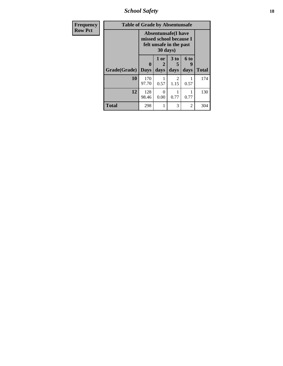*School Safety* **18**

| <b>Frequency</b> | <b>Table of Grade by Absentunsafe</b> |                                                                                   |           |                      |           |              |  |  |  |  |  |
|------------------|---------------------------------------|-----------------------------------------------------------------------------------|-----------|----------------------|-----------|--------------|--|--|--|--|--|
| <b>Row Pct</b>   |                                       | <b>Absentunsafe</b> (I have<br>missed school because I<br>felt unsafe in the past |           |                      |           |              |  |  |  |  |  |
|                  |                                       | 0                                                                                 | 1 or      | 3 <sub>to</sub><br>5 | 6 to<br>9 |              |  |  |  |  |  |
|                  | Grade(Grade)                          | <b>Days</b>                                                                       | days      | days                 | days      | <b>Total</b> |  |  |  |  |  |
|                  | 10                                    | 170<br>97.70                                                                      | 0.57      | 2<br>1.15            | 0.57      | 174          |  |  |  |  |  |
|                  | 12                                    | 128<br>98.46                                                                      | 0<br>0.00 | 0.77                 | 0.77      | 130          |  |  |  |  |  |
|                  | Total                                 | 298                                                                               |           | 3                    | 2         | 304          |  |  |  |  |  |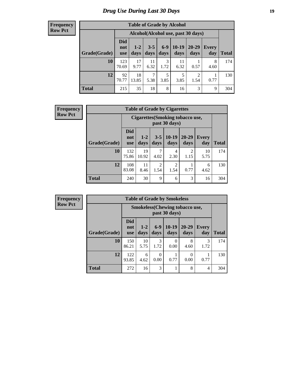## *Drug Use During Last 30 Days* **19**

#### **Frequency Row Pct**

| <b>Table of Grade by Alcohol</b> |                                 |                                    |                 |               |                 |                        |                     |              |  |  |  |  |
|----------------------------------|---------------------------------|------------------------------------|-----------------|---------------|-----------------|------------------------|---------------------|--------------|--|--|--|--|
|                                  |                                 | Alcohol(Alcohol use, past 30 days) |                 |               |                 |                        |                     |              |  |  |  |  |
| Grade(Grade)                     | <b>Did</b><br>not<br><b>use</b> | $1-2$<br>days                      | $3 - 5$<br>days | $6-9$<br>days | $10-19$<br>days | 20-29<br>days          | <b>Every</b><br>day | <b>Total</b> |  |  |  |  |
| 10                               | 123<br>70.69                    | 17<br>9.77                         | 11<br>6.32      | 3<br>1.72     | 11<br>6.32      | 0.57                   | 8<br>4.60           | 174          |  |  |  |  |
| 12                               | 92<br>70.77                     | 18<br>13.85                        | 7<br>5.38       | 5<br>3.85     | 5<br>3.85       | $\overline{c}$<br>1.54 | 0.77                | 130          |  |  |  |  |
| <b>Total</b>                     | 215                             | 35                                 | 18              | 8             | 16              | 3                      | 9                   | 304          |  |  |  |  |

| <b>Frequency</b> |              | <b>Table of Grade by Cigarettes</b> |                 |                        |                                                   |                        |              |              |  |  |
|------------------|--------------|-------------------------------------|-----------------|------------------------|---------------------------------------------------|------------------------|--------------|--------------|--|--|
| <b>Row Pct</b>   |              |                                     |                 |                        | Cigarettes (Smoking tobacco use,<br>past 30 days) |                        |              |              |  |  |
|                  | Grade(Grade) | <b>Did</b><br>not<br><b>use</b>     | $1 - 2$<br>days | $3 - 5$<br>days        | $ 10-19$<br>days                                  | $20 - 29$<br>days      | Every<br>day | <b>Total</b> |  |  |
|                  | 10           | 132<br>75.86                        | 19<br>10.92     | 4.02                   | 4<br>2.30                                         | $\overline{2}$<br>1.15 | 10<br>5.75   | 174          |  |  |
|                  | 12           | 108<br>83.08                        | 11<br>8.46      | $\overline{c}$<br>1.54 | $\overline{c}$<br>1.54                            | 0.77                   | 6<br>4.62    | 130          |  |  |
|                  | <b>Total</b> | 240                                 | 30              | 9                      | 6                                                 | 3                      | 16           | 304          |  |  |

**Frequency Row Pct**

|              | <b>Table of Grade by Smokeless</b> |                                                        |               |                 |                   |                     |              |  |  |  |  |
|--------------|------------------------------------|--------------------------------------------------------|---------------|-----------------|-------------------|---------------------|--------------|--|--|--|--|
|              |                                    | <b>Smokeless</b> (Chewing tobaccouse,<br>past 30 days) |               |                 |                   |                     |              |  |  |  |  |
| Grade(Grade) | <b>Did</b><br>not<br><b>use</b>    | $1 - 2$<br>days                                        | $6-9$<br>days | $10-19$<br>days | $20 - 29$<br>days | <b>Every</b><br>day | <b>Total</b> |  |  |  |  |
| 10           | 150<br>86.21                       | 10<br>5.75                                             | 3<br>1.72     | 0<br>0.00       | 8<br>4.60         | 3<br>1.72           | 174          |  |  |  |  |
| 12           | 122<br>93.85                       | 6<br>4.62                                              | 0<br>0.00     | 0.77            | 0.00              | 0.77                | 130          |  |  |  |  |
| <b>Total</b> | 272                                | 16                                                     | 3             | 1               | 8                 | $\overline{4}$      | 304          |  |  |  |  |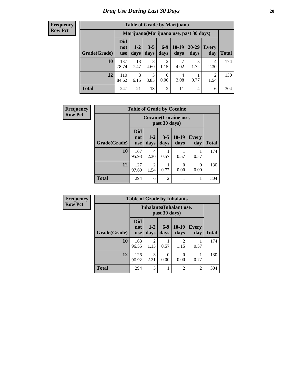#### **Frequency Row Pct**

| <b>Table of Grade by Marijuana</b> |                                         |                 |                 |                        |                 |               |                        |       |  |  |  |  |
|------------------------------------|-----------------------------------------|-----------------|-----------------|------------------------|-----------------|---------------|------------------------|-------|--|--|--|--|
|                                    | Marijuana (Marijuana use, past 30 days) |                 |                 |                        |                 |               |                        |       |  |  |  |  |
| Grade(Grade)                       | <b>Did</b><br>not<br><b>use</b>         | $1 - 2$<br>days | $3 - 5$<br>days | $6 - 9$<br>days        | $10-19$<br>days | 20-29<br>days | Every<br>day           | Total |  |  |  |  |
| 10                                 | 137<br>78.74                            | 13<br>7.47      | 8<br>4.60       | $\overline{2}$<br>1.15 | 7<br>4.02       | 3<br>1.72     | 4<br>2.30              | 174   |  |  |  |  |
| 12                                 | 110<br>84.62                            | 8<br>6.15       | 5<br>3.85       | $\theta$<br>0.00       | 4<br>3.08       | 0.77          | $\mathfrak{D}$<br>1.54 | 130   |  |  |  |  |
| <b>Total</b>                       | 247                                     | 21              | 13              | $\overline{2}$         | 11              | 4             | 6                      | 304   |  |  |  |  |

| <b>Frequency</b> |                                        |                                 |                        | <b>Table of Grade by Cocaine</b> |                       |                      |              |
|------------------|----------------------------------------|---------------------------------|------------------------|----------------------------------|-----------------------|----------------------|--------------|
| <b>Row Pct</b>   | Cocaine (Cocaine use,<br>past 30 days) |                                 |                        |                                  |                       |                      |              |
|                  | Grade(Grade)                           | <b>Did</b><br>not<br><b>use</b> | $1 - 2$<br>days        | days                             | $3-5$   10-19<br>days | Every<br>day         | <b>Total</b> |
|                  | 10                                     | 167<br>95.98                    | 4<br>2.30              | 0.57                             | 0.57                  | 0.57                 | 174          |
|                  | 12                                     | 127<br>97.69                    | $\mathfrak{D}$<br>1.54 | 0.77                             | 0<br>0.00             | $\mathbf{0}$<br>0.00 | 130          |
|                  | Total                                  | 294                             | 6                      | $\overline{2}$                   |                       |                      | 304          |

| Frequency      |              |                                 |                       | <b>Table of Grade by Inhalants</b> |                                 |                     |              |  |  |
|----------------|--------------|---------------------------------|-----------------------|------------------------------------|---------------------------------|---------------------|--------------|--|--|
| <b>Row Pct</b> |              |                                 |                       | past 30 days)                      | <b>Inhalants</b> (Inhalant use, |                     |              |  |  |
|                | Grade(Grade) | <b>Did</b><br>not<br><b>use</b> | $1-2$<br>days         | $6 - 9$<br>days                    | $10-19$<br>days                 | <b>Every</b><br>day | <b>Total</b> |  |  |
|                | 10           | 168<br>96.55                    | 2<br>1.15             | 0.57                               | $\mathfrak{D}$<br>1.15          | 0.57                | 174          |  |  |
|                | 12           | 126<br>96.92                    | $\mathcal{R}$<br>2.31 | 0<br>0.00                          | 0.00                            | 0.77                | 130          |  |  |
|                | <b>Total</b> | 294                             | 5                     |                                    | $\overline{c}$                  | $\overline{2}$      | 304          |  |  |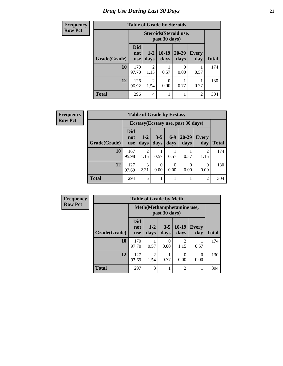## **Frequency Row Pct**

# **Table of Grade by Steroids**

|              |                                 | Steroids (Steroid use,<br>past 30 days) |                  |                   |                     |              |  |  |
|--------------|---------------------------------|-----------------------------------------|------------------|-------------------|---------------------|--------------|--|--|
| Grade(Grade) | <b>Did</b><br>not<br><b>use</b> | $1-2$<br>days                           | $10-19$<br>days  | $20 - 29$<br>days | <b>Every</b><br>day | <b>Total</b> |  |  |
| 10           | 170<br>97.70                    | $\mathfrak{D}$<br>1.15                  | 0.57             | 0<br>0.00         | 0.57                | 174          |  |  |
| 12           | 126<br>96.92                    | $\overline{c}$<br>1.54                  | $\theta$<br>0.00 | 0.77              | 0.77                | 130          |  |  |
| <b>Total</b> | 296                             | $\overline{4}$                          |                  |                   | $\overline{2}$      | 304          |  |  |

| <b>Frequency</b> | <b>Table of Grade by Ecstasy</b> |                                 |                                     |                  |                  |                   |                  |              |
|------------------|----------------------------------|---------------------------------|-------------------------------------|------------------|------------------|-------------------|------------------|--------------|
| <b>Row Pct</b>   |                                  |                                 | Ecstasy (Ecstasy use, past 30 days) |                  |                  |                   |                  |              |
|                  | Grade(Grade)                     | <b>Did</b><br>not<br><b>use</b> | $1-2$<br>days                       | $3 - 5$<br>days  | $6-9$<br>days    | $20 - 29$<br>days | Every<br>day     | <b>Total</b> |
|                  | 10                               | 167<br>95.98                    | 2<br>1.15                           | 0.57             | 0.57             | 0.57              | 2<br>1.15        | 174          |
|                  | 12                               | 127<br>97.69                    | 3<br>2.31                           | $\Omega$<br>0.00 | $\Omega$<br>0.00 | $\theta$<br>0.00  | $\Omega$<br>0.00 | 130          |
|                  | <b>Total</b>                     | 294                             | 5                                   | 1                |                  |                   | $\overline{2}$   | 304          |

| <b>Frequency</b> |              | <b>Table of Grade by Meth</b>   |                 |                 |                        |                     |              |  |
|------------------|--------------|---------------------------------|-----------------|-----------------|------------------------|---------------------|--------------|--|
| <b>Row Pct</b>   |              | Meth (Methamphetamine use,      |                 |                 |                        |                     |              |  |
|                  | Grade(Grade) | <b>Did</b><br>not<br><b>use</b> | $1 - 2$<br>days | $3 - 5$<br>days | $10-19$<br>days        | <b>Every</b><br>day | <b>Total</b> |  |
|                  | 10           | 170<br>97.70                    | 0.57            | 0<br>0.00       | $\mathfrak{D}$<br>1.15 | 0.57                | 174          |  |
|                  | 12           | 127<br>97.69                    | 2<br>1.54       | 0.77            | 0.00                   | 0<br>0.00           | 130          |  |
|                  | <b>Total</b> | 297                             | 3               |                 | $\overline{c}$         |                     | 304          |  |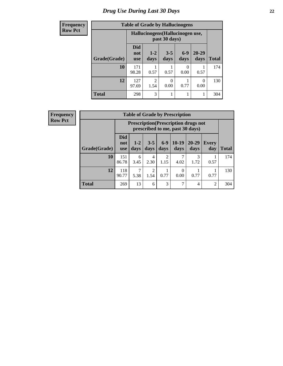## *Drug Use During Last 30 Days* **22**

| <b>Frequency</b> | <b>Table of Grade by Hallucinogens</b> |                                 |                                                   |                 |                  |                   |              |
|------------------|----------------------------------------|---------------------------------|---------------------------------------------------|-----------------|------------------|-------------------|--------------|
| <b>Row Pct</b>   |                                        |                                 | Hallucinogens (Hallucinogen use,<br>past 30 days) |                 |                  |                   |              |
|                  | Grade(Grade)                           | <b>Did</b><br>not<br><b>use</b> | $1 - 2$<br>days                                   | $3 - 5$<br>days | $6-9$<br>days    | $20 - 29$<br>days | <b>Total</b> |
|                  | 10                                     | 171<br>98.28                    | 0.57                                              | 0.57            | $\Omega$<br>0.00 | 0.57              | 174          |
|                  | 12                                     | 127<br>97.69                    | $\mathfrak{D}$<br>1.54                            | 0<br>0.00       | 0.77             | $\Omega$<br>0.00  | 130          |
|                  | <b>Total</b>                           | 298                             | 3                                                 |                 |                  | 1                 | 304          |

| <b>Frequency</b> |
|------------------|
| <b>Row Pct</b>   |

| <b>Table of Grade by Prescription</b> |                                 |                                                                                                                                      |                        |                        |           |           |      |     |  |
|---------------------------------------|---------------------------------|--------------------------------------------------------------------------------------------------------------------------------------|------------------------|------------------------|-----------|-----------|------|-----|--|
|                                       |                                 | <b>Prescription</b> (Prescription drugs not<br>prescribed to me, past 30 days)                                                       |                        |                        |           |           |      |     |  |
| Grade(Grade)                          | <b>Did</b><br>not<br><b>use</b> | $10-19$<br>$6 - 9$<br>$20 - 29$<br>$3 - 5$<br>$1 - 2$<br><b>Every</b><br>days<br>days<br><b>Total</b><br>days<br>days<br>day<br>days |                        |                        |           |           |      |     |  |
| 10                                    | 151<br>86.78                    | 6<br>3.45                                                                                                                            | $\overline{4}$<br>2.30 | $\overline{2}$<br>1.15 | 7<br>4.02 | 3<br>1.72 | 0.57 | 174 |  |
| 12                                    | 118<br>90.77                    | ┑<br>2<br>0<br>0.77<br>0.00<br>0.77<br>0.77<br>5.38<br>1.54                                                                          |                        |                        |           |           |      |     |  |
| <b>Total</b>                          | 269                             | 13                                                                                                                                   | 6                      | 3                      | 7         | 4         | 2    | 304 |  |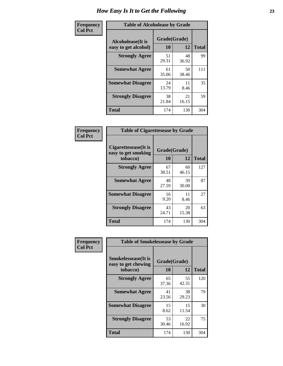| Frequency      | <b>Table of Alcoholease by Grade</b>              |                    |             |              |  |
|----------------|---------------------------------------------------|--------------------|-------------|--------------|--|
| <b>Col Pct</b> | <b>Alcoholease</b> (It is<br>easy to get alcohol) | Grade(Grade)<br>10 | 12          | <b>Total</b> |  |
|                | <b>Strongly Agree</b>                             | 51<br>29.31        | 48<br>36.92 | 99           |  |
|                | <b>Somewhat Agree</b>                             | 61<br>35.06        | 50<br>38.46 | 111          |  |
|                | <b>Somewhat Disagree</b>                          | 24<br>13.79        | 11<br>8.46  | 35           |  |
|                | <b>Strongly Disagree</b>                          | 38<br>21.84        | 21<br>16.15 | 59           |  |
|                | <b>Total</b>                                      | 174                | 130         | 304          |  |

| Frequency      | <b>Table of Cigarettesease by Grade</b>                  |                           |             |              |
|----------------|----------------------------------------------------------|---------------------------|-------------|--------------|
| <b>Col Pct</b> | Cigarettesease (It is<br>easy to get smoking<br>tobacco) | Grade(Grade)<br><b>10</b> | 12          | <b>Total</b> |
|                | <b>Strongly Agree</b>                                    | 67<br>38.51               | 60<br>46.15 | 127          |
|                | <b>Somewhat Agree</b>                                    | 48<br>27.59               | 39<br>30.00 | 87           |
|                | <b>Somewhat Disagree</b>                                 | 16<br>9.20                | 11<br>8.46  | 27           |
|                | <b>Strongly Disagree</b>                                 | 43<br>24.71               | 20<br>15.38 | 63           |
|                | <b>Total</b>                                             | 174                       | 130         | 304          |

| Frequency      | <b>Table of Smokelessease by Grade</b>             |              |             |              |
|----------------|----------------------------------------------------|--------------|-------------|--------------|
| <b>Col Pct</b> | <b>Smokelessease</b> (It is<br>easy to get chewing | Grade(Grade) |             |              |
|                | tobacco)                                           | <b>10</b>    | 12          | <b>Total</b> |
|                | <b>Strongly Agree</b>                              | 65<br>37.36  | 55<br>42.31 | 120          |
|                | <b>Somewhat Agree</b>                              | 41<br>23.56  | 38<br>29.23 | 79           |
|                | <b>Somewhat Disagree</b>                           | 15<br>8.62   | 15<br>11.54 | 30           |
|                | <b>Strongly Disagree</b>                           | 53<br>30.46  | 22<br>16.92 | 75           |
|                | <b>Total</b>                                       | 174          | 130         | 304          |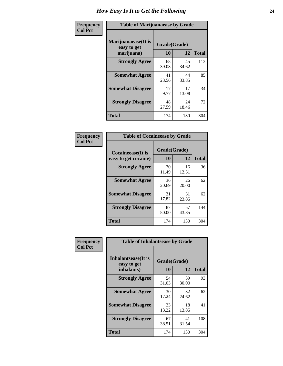| Frequency      | <b>Table of Marijuanaease by Grade</b>           |                    |             |              |  |
|----------------|--------------------------------------------------|--------------------|-------------|--------------|--|
| <b>Col Pct</b> | Marijuanaease(It is<br>easy to get<br>marijuana) | Grade(Grade)<br>10 | 12          | <b>Total</b> |  |
|                | <b>Strongly Agree</b>                            | 68<br>39.08        | 45<br>34.62 | 113          |  |
|                | <b>Somewhat Agree</b>                            | 41<br>23.56        | 44<br>33.85 | 85           |  |
|                | <b>Somewhat Disagree</b>                         | 17<br>9.77         | 17<br>13.08 | 34           |  |
|                | <b>Strongly Disagree</b>                         | 48<br>27.59        | 24<br>18.46 | 72           |  |
|                | <b>Total</b>                                     | 174                | 130         | 304          |  |

| <b>Table of Cocaineease by Grade</b>              |                    |              |     |  |  |  |  |  |  |  |  |
|---------------------------------------------------|--------------------|--------------|-----|--|--|--|--|--|--|--|--|
| <b>Cocaineease</b> (It is<br>easy to get cocaine) | Grade(Grade)<br>10 | <b>Total</b> |     |  |  |  |  |  |  |  |  |
| <b>Strongly Agree</b>                             | 20<br>11.49        | 16<br>12.31  | 36  |  |  |  |  |  |  |  |  |
| <b>Somewhat Agree</b>                             | 36<br>20.69        | 26<br>20.00  | 62  |  |  |  |  |  |  |  |  |
| <b>Somewhat Disagree</b>                          | 31<br>17.82        | 31<br>23.85  | 62  |  |  |  |  |  |  |  |  |
| <b>Strongly Disagree</b>                          | 87<br>50.00        | 57<br>43.85  | 144 |  |  |  |  |  |  |  |  |
| <b>Total</b>                                      | 174                | 130          | 304 |  |  |  |  |  |  |  |  |

| Frequency      | <b>Table of Inhalantsease by Grade</b>     |              |             |              |
|----------------|--------------------------------------------|--------------|-------------|--------------|
| <b>Col Pct</b> | <b>Inhalantsease</b> (It is<br>easy to get | Grade(Grade) |             |              |
|                | inhalants)                                 | 10           | 12          | <b>Total</b> |
|                | <b>Strongly Agree</b>                      | 54<br>31.03  | 39<br>30.00 | 93           |
|                | <b>Somewhat Agree</b>                      | 30<br>17.24  | 32<br>24.62 | 62           |
|                | <b>Somewhat Disagree</b>                   | 23<br>13.22  | 18<br>13.85 | 41           |
|                | <b>Strongly Disagree</b>                   | 67<br>38.51  | 41<br>31.54 | 108          |
|                | <b>Total</b>                               | 174          | 130         | 304          |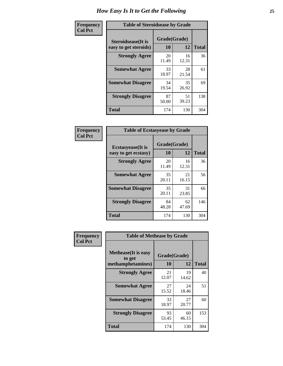| Frequency      |                                                     | <b>Table of Steroidsease by Grade</b> |             |              |  |  |  |  |  |  |  |
|----------------|-----------------------------------------------------|---------------------------------------|-------------|--------------|--|--|--|--|--|--|--|
| <b>Col Pct</b> | <b>Steroidsease</b> (It is<br>easy to get steroids) | Grade(Grade)<br>10                    | 12          | <b>Total</b> |  |  |  |  |  |  |  |
|                | <b>Strongly Agree</b>                               | 20<br>11.49                           | 16<br>12.31 | 36           |  |  |  |  |  |  |  |
|                | <b>Somewhat Agree</b>                               | 33<br>18.97                           | 28<br>21.54 | 61           |  |  |  |  |  |  |  |
|                | <b>Somewhat Disagree</b>                            | 34<br>19.54                           | 35<br>26.92 | 69           |  |  |  |  |  |  |  |
|                | <b>Strongly Disagree</b>                            | 87<br>50.00                           | 51<br>39.23 | 138          |  |  |  |  |  |  |  |
|                | <b>Total</b>                                        | 174                                   | 130         | 304          |  |  |  |  |  |  |  |

| Frequency      | <b>Table of Ecstasyease by Grade</b>              |                           |             |              |  |  |  |  |  |  |  |  |
|----------------|---------------------------------------------------|---------------------------|-------------|--------------|--|--|--|--|--|--|--|--|
| <b>Col Pct</b> | <b>Ecstasyease</b> (It is<br>easy to get ecstasy) | Grade(Grade)<br><b>10</b> | 12          | <b>Total</b> |  |  |  |  |  |  |  |  |
|                | <b>Strongly Agree</b>                             | 20<br>11.49               | 16<br>12.31 | 36           |  |  |  |  |  |  |  |  |
|                | <b>Somewhat Agree</b>                             | 35<br>20.11               | 21<br>16.15 | 56           |  |  |  |  |  |  |  |  |
|                | <b>Somewhat Disagree</b>                          | 35<br>20.11               | 31<br>23.85 | 66           |  |  |  |  |  |  |  |  |
|                | <b>Strongly Disagree</b>                          | 84<br>48.28               | 62<br>47.69 | 146          |  |  |  |  |  |  |  |  |
|                | <b>Total</b>                                      | 174                       | 130         | 304          |  |  |  |  |  |  |  |  |

| Frequency      | <b>Table of Methease by Grade</b>                          |                    |             |              |
|----------------|------------------------------------------------------------|--------------------|-------------|--------------|
| <b>Col Pct</b> | <b>Methease</b> (It is easy<br>to get<br>methamphetamines) | Grade(Grade)<br>10 | 12          | <b>Total</b> |
|                | <b>Strongly Agree</b>                                      | 21<br>12.07        | 19<br>14.62 | 40           |
|                | <b>Somewhat Agree</b>                                      | 27<br>15.52        | 24<br>18.46 | 51           |
|                | <b>Somewhat Disagree</b>                                   | 33<br>18.97        | 27<br>20.77 | 60           |
|                | <b>Strongly Disagree</b>                                   | 93<br>53.45        | 60<br>46.15 | 153          |
|                | <b>Total</b>                                               | 174                | 130         | 304          |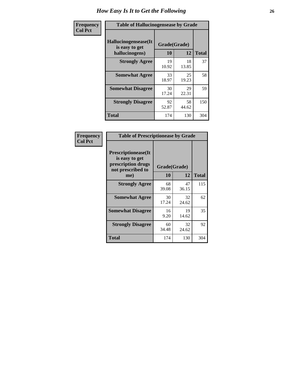| <b>Frequency</b> | <b>Table of Hallucinogensease by Grade</b>               |                    |             |              |  |  |  |  |  |  |  |  |
|------------------|----------------------------------------------------------|--------------------|-------------|--------------|--|--|--|--|--|--|--|--|
| <b>Col Pct</b>   | Hallucinogensease(It<br>is easy to get<br>hallucinogens) | Grade(Grade)<br>10 | 12          | <b>Total</b> |  |  |  |  |  |  |  |  |
|                  | <b>Strongly Agree</b>                                    | 19<br>10.92        | 18<br>13.85 | 37           |  |  |  |  |  |  |  |  |
|                  | <b>Somewhat Agree</b>                                    | 33<br>18.97        | 25<br>19.23 | 58           |  |  |  |  |  |  |  |  |
|                  | <b>Somewhat Disagree</b>                                 | 30<br>17.24        | 29<br>22.31 | 59           |  |  |  |  |  |  |  |  |
|                  | <b>Strongly Disagree</b>                                 | 92<br>52.87        | 58<br>44.62 | 150          |  |  |  |  |  |  |  |  |
|                  | <b>Total</b>                                             | 174                | 130         | 304          |  |  |  |  |  |  |  |  |

| Frequency<br>  Col Pct |
|------------------------|

| <b>Table of Prescriptionease by Grade</b>                                                |             |              |              |  |  |  |  |  |  |  |  |
|------------------------------------------------------------------------------------------|-------------|--------------|--------------|--|--|--|--|--|--|--|--|
| <b>Prescriptionease</b> (It<br>is easy to get<br>prescription drugs<br>not prescribed to |             | Grade(Grade) |              |  |  |  |  |  |  |  |  |
| me)                                                                                      | 10          | 12           | <b>Total</b> |  |  |  |  |  |  |  |  |
| <b>Strongly Agree</b>                                                                    | 68<br>39.08 | 47<br>36.15  | 115          |  |  |  |  |  |  |  |  |
| <b>Somewhat Agree</b>                                                                    | 30<br>17.24 | 32<br>24.62  | 62           |  |  |  |  |  |  |  |  |
| <b>Somewhat Disagree</b>                                                                 | 16<br>9.20  | 19<br>14.62  | 35           |  |  |  |  |  |  |  |  |
| <b>Strongly Disagree</b>                                                                 | 60<br>34.48 | 32<br>24.62  | 92           |  |  |  |  |  |  |  |  |
| <b>Total</b>                                                                             | 174         | 130          | 304          |  |  |  |  |  |  |  |  |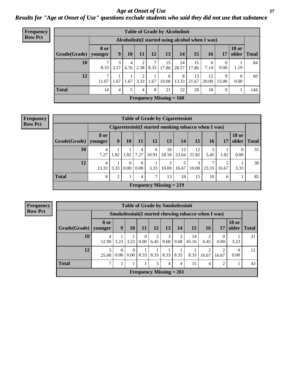*Age at Onset of Use* **27** *Results for "Age at Onset of Use" questions exclude students who said they did not use that substance*

| <b>Frequency</b> | <b>Table of Grade by Alcoholinit</b> |                        |           |      |             |           |                           |                                                  |             |             |                        |                       |              |
|------------------|--------------------------------------|------------------------|-----------|------|-------------|-----------|---------------------------|--------------------------------------------------|-------------|-------------|------------------------|-----------------------|--------------|
| <b>Row Pct</b>   |                                      |                        |           |      |             |           |                           | Alcoholinit (I started using alcohol when I was) |             |             |                        |                       |              |
|                  | Grade(Grade)                         | <b>8 or</b><br>younger | 9         | 10   | 11          | 12        | 13                        | 14                                               | 15          | 16          | 17                     | <b>18 or</b><br>older | <b>Total</b> |
|                  | 10                                   | 8.33                   | 3<br>3.57 | 4    | $4.76$ 2.38 | 7<br>8.33 | 15<br>17.86               | 24<br>28.57                                      | 15<br>17.86 | 6<br>7.14   | $\overline{0}$<br>0.00 | 1.19                  | 84           |
|                  | 12                                   | $\mathcal{I}$<br>11.67 | 1.67      | 1.67 | 2<br>3.33   | 1.67      | 6<br>10.00                | 8<br>13.33                                       | 13<br>21.67 | 12<br>20.00 | 9<br>15.00             | $\theta$<br>0.00      | 60           |
|                  | <b>Total</b>                         | 14                     | 4         | 5.   | 4           | 8         | 21                        | 32                                               | 28          | 18          | 9                      |                       | 144          |
|                  |                                      |                        |           |      |             |           | Frequency Missing $= 160$ |                                                  |             |             |                        |                       |              |

#### **Frequency Row Pct**

| <b>Table of Grade by Cigarettesinit</b> |                        |                                                      |                               |                  |                                             |             |             |             |       |       |                       |              |  |
|-----------------------------------------|------------------------|------------------------------------------------------|-------------------------------|------------------|---------------------------------------------|-------------|-------------|-------------|-------|-------|-----------------------|--------------|--|
|                                         |                        | Cigarettesinit(I started smoking tobacco when I was) |                               |                  |                                             |             |             |             |       |       |                       |              |  |
| Grade(Grade)                            | <b>8 or</b><br>younger | 9                                                    | 10                            | 11               | 12                                          | 13          | 14          | 15          | 16    | 17    | <b>18 or</b><br>older | <b>Total</b> |  |
| 10                                      | 4<br>7.27              | 1.82                                                 | 1.82                          | 4<br>7.27        | 6<br>10.91                                  | 10<br>18.18 | 13<br>23.64 | 12<br>21.82 | 5.45  | 1.82  | $\theta$<br>0.00      | 55           |  |
| 12                                      | 4<br>13.33             | 3.33                                                 | $\Omega$<br>0.00 <sub>l</sub> | $\theta$<br>0.00 | 3.33                                        | 3<br>10.00  | 16.67       | 3<br>10.00  | 23.33 | 16.67 | 3.33                  | 30           |  |
| <b>Total</b>                            | 8                      | 2                                                    |                               | 4                | 7                                           | 13          | 18          | 15          | 10    | 6     |                       | 85           |  |
|                                         |                        |                                                      |                               |                  | <b>Frequency Missing <math>= 219</math></b> |             |             |             |       |       |                       |              |  |

**Frequency Row Pct**

| <b>Table of Grade by Smokelessinit</b> |                 |                                                      |                  |                  |                           |           |           |             |                |            |                       |              |  |
|----------------------------------------|-----------------|------------------------------------------------------|------------------|------------------|---------------------------|-----------|-----------|-------------|----------------|------------|-----------------------|--------------|--|
|                                        |                 | Smokelessinit (I started chewing tobacco when I was) |                  |                  |                           |           |           |             |                |            |                       |              |  |
| Grade(Grade)                           | 8 or<br>vounger | 9                                                    | <b>10</b>        | 11               | 12                        | 13        | 14        | 15          | <b>16</b>      | <b>17</b>  | <b>18 or</b><br>older | <b>Total</b> |  |
| 10                                     | 4<br>12.90      | 3.23                                                 | 3.23             | $\theta$<br>0.00 | 2<br>6.45                 | 3<br>9.68 | 3<br>9.68 | 14<br>45.16 | 6.45           | 0<br>0.00  | 3.23                  | 31           |  |
| 12                                     | 3<br>25.00      | $\Omega$<br>0.00                                     | $\Omega$<br>0.00 | 8.33             | 8.33                      | 8.33      | 8.33      | 8.33        | 16.67          | 2<br>16.67 | 0.00                  | 12           |  |
| <b>Total</b>                           | 7               | 1                                                    |                  |                  | 3                         | 4         | 4         | 15          | $\overline{4}$ | 2          |                       | 43           |  |
|                                        |                 |                                                      |                  |                  | Frequency Missing $= 261$ |           |           |             |                |            |                       |              |  |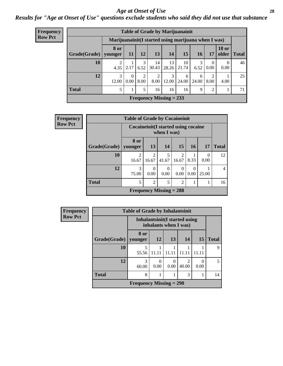#### *Age at Onset of Use* **28**

*Results for "Age at Onset of Use" questions exclude students who said they did not use that substance*

| <b>Frequency</b> |              |                                                      |           |                        |                        | <b>Table of Grade by Marijuanainit</b> |             |            |                  |                       |              |
|------------------|--------------|------------------------------------------------------|-----------|------------------------|------------------------|----------------------------------------|-------------|------------|------------------|-----------------------|--------------|
| <b>Row Pct</b>   |              | Marijuanainit (I started using marijuana when I was) |           |                        |                        |                                        |             |            |                  |                       |              |
|                  | Grade(Grade) | <b>8 or</b><br>younger                               | <b>11</b> | 12                     | 13                     | 14                                     | 15          | 16         | 17               | <b>18 or</b><br>older | <b>Total</b> |
|                  | 10           | 4.35                                                 | 2.17      | 3<br>6.52              | 14<br>30.43            | 13<br>28.26                            | 10<br>21.74 | 3<br>6.52  | $\Omega$<br>0.00 | $\Omega$<br>0.00      | 46           |
|                  | 12           | 12.00                                                | 0.00      | $\overline{c}$<br>8.00 | $\mathfrak{D}$<br>8.00 | 3<br>12.00                             | 6<br>24.00  | 6<br>24.00 | 8.00             | 4.00                  | 25           |
|                  | <b>Total</b> |                                                      |           | 5                      | 16                     | 16                                     | 16          | 9          | $\mathfrak{D}$   |                       | 71           |
|                  |              |                                                      |           |                        |                        | Frequency Missing $= 233$              |             |            |                  |                       |              |

| <b>Frequency</b> |              | <b>Table of Grade by Cocaineinit</b> |                                                      |                           |                         |                  |                  |                |  |
|------------------|--------------|--------------------------------------|------------------------------------------------------|---------------------------|-------------------------|------------------|------------------|----------------|--|
| <b>Row Pct</b>   |              |                                      | Cocaine init (I started using cocaine<br>when I was) |                           |                         |                  |                  |                |  |
|                  | Grade(Grade) | 8 or<br>vounger                      | 13                                                   | 14                        | 15                      | 16               | 17               | <b>Total</b>   |  |
|                  | 10           | $\overline{c}$<br>16.67              | $\overline{2}$<br>16.67                              | 41.67                     | $\mathfrak{D}$<br>16.67 | 8.33             | $\theta$<br>0.00 | 12             |  |
|                  | 12           | 3<br>75.00                           | $\Omega$<br>0.00                                     | $\Omega$<br>0.00          | $\Omega$<br>0.00        | $\Omega$<br>0.00 | 25.00            | $\overline{4}$ |  |
|                  | <b>Total</b> | 5                                    | $\overline{2}$                                       | 5                         | $\mathfrak{D}$          |                  |                  | 16             |  |
|                  |              |                                      |                                                      | Frequency Missing $= 288$ |                         |                  |                  |                |  |

| <b>Frequency</b> | <b>Table of Grade by Inhalantsinit</b> |                           |           |                                                         |            |           |              |
|------------------|----------------------------------------|---------------------------|-----------|---------------------------------------------------------|------------|-----------|--------------|
| <b>Row Pct</b>   |                                        |                           |           | Inhalantsinit (I started using<br>inhalants when I was) |            |           |              |
|                  | Grade(Grade)                           | 8 or<br>younger           | <b>12</b> | 13                                                      | 14         | 15        | <b>Total</b> |
|                  | <b>10</b>                              | 55.56                     | 11.11     | 11.11                                                   | 11.11      | 11.11     | 9            |
|                  | 12                                     | 3<br>60.00                | 0<br>0.00 | 0<br>0.00                                               | っ<br>40.00 | 0<br>0.00 | 5            |
|                  | <b>Total</b>                           | 8                         |           |                                                         | 3          |           | 14           |
|                  |                                        | Frequency Missing $= 290$ |           |                                                         |            |           |              |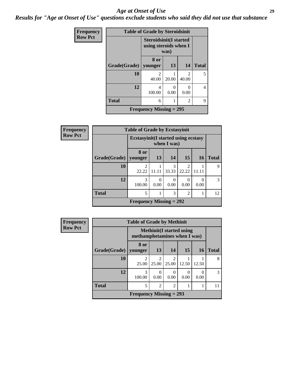#### *Age at Onset of Use* **29**

*Results for "Age at Onset of Use" questions exclude students who said they did not use that substance*

| Frequency      | <b>Table of Grade by Steroidsinit</b> |                           |                                                                |                                      |                |  |  |  |
|----------------|---------------------------------------|---------------------------|----------------------------------------------------------------|--------------------------------------|----------------|--|--|--|
| <b>Row Pct</b> |                                       |                           | <b>Steroidsinit(I started</b><br>using steroids when I<br>was) |                                      |                |  |  |  |
|                | Grade(Grade)                          | 8 or<br>younger           | 13                                                             | 14                                   | <b>Total</b>   |  |  |  |
|                | 10                                    | $\mathfrak{D}$<br>40.00   | 20.00                                                          | $\mathcal{D}_{\mathcal{A}}$<br>40.00 | 5              |  |  |  |
|                | 12                                    | 4<br>100.00               | $\Omega$<br>0.00                                               | 0<br>0.00                            | $\overline{4}$ |  |  |  |
|                | <b>Total</b>                          | 6                         |                                                                | $\mathfrak{D}$                       | 9              |  |  |  |
|                |                                       | Frequency Missing $= 295$ |                                                                |                                      |                |  |  |  |

| Frequency      |              | <b>Table of Grade by Ecstasyinit</b>       |       |            |                         |           |               |
|----------------|--------------|--------------------------------------------|-------|------------|-------------------------|-----------|---------------|
| <b>Row Pct</b> |              | <b>Ecstasyinit(I started using ecstasy</b> |       |            |                         |           |               |
|                | Grade(Grade) | 8 or<br>younger                            | 13    | 14         | 15                      | <b>16</b> | <b>Total</b>  |
|                | 10           | 2<br>22.22                                 | 11.11 | 3<br>33.33 | $\mathfrak{D}$<br>22.22 | 11.11     | 9             |
|                | 12           | 3<br>100.00                                | 0.00  | 0<br>0.00  | $\Omega$<br>0.00        | 0<br>0.00 | $\mathcal{R}$ |
|                | <b>Total</b> | 5                                          |       | 3          | $\overline{2}$          |           | 12            |
|                |              | <b>Frequency Missing = 292</b>             |       |            |                         |           |               |

| Frequency      | <b>Table of Grade by Methinit</b> |                              |                |                        |                                  |           |               |  |
|----------------|-----------------------------------|------------------------------|----------------|------------------------|----------------------------------|-----------|---------------|--|
| <b>Row Pct</b> |                                   | methamphetamines when I was) |                |                        | <b>Methinit</b> (I started using |           |               |  |
|                | Grade(Grade)   younger            | 8 or                         | 13             | 14                     | 15                               | <b>16</b> | <b>Total</b>  |  |
|                | 10                                | 25.00                        | 25.00          | $\mathcal{D}$<br>25.00 | 12.50                            | 12.50     | 8             |  |
|                | 12                                | 3<br>100.00                  | 0<br>0.00      | 0.00                   | 0.00                             | 0.00      | $\mathcal{R}$ |  |
|                | <b>Total</b>                      | 5                            | $\mathfrak{D}$ | $\overline{c}$         |                                  |           | 11            |  |
|                |                                   | Frequency Missing $= 293$    |                |                        |                                  |           |               |  |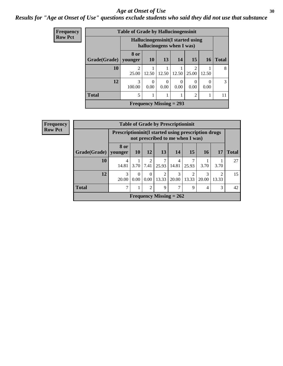#### Age at Onset of Use **30**

## *Results for "Age at Onset of Use" questions exclude students who said they did not use that substance*

| Frequency      |              | <b>Table of Grade by Hallucinogensinit</b> |                                                                 |           |                  |                         |                  |              |  |
|----------------|--------------|--------------------------------------------|-----------------------------------------------------------------|-----------|------------------|-------------------------|------------------|--------------|--|
| <b>Row Pct</b> |              |                                            | Hallucinogensinit (I started using<br>hallucinogens when I was) |           |                  |                         |                  |              |  |
|                | Grade(Grade) | 8 or<br>younger                            | <b>10</b>                                                       | 13        | 14               | 15                      | 16               | <b>Total</b> |  |
|                | 10           | 25.00                                      | 12.50                                                           | 12.50     | 12.50            | $\overline{c}$<br>25.00 | 12.50            | 8            |  |
|                | 12           | 3<br>100.00                                | $\theta$<br>0.00                                                | 0<br>0.00 | $\theta$<br>0.00 | 0<br>0.00               | $\Omega$<br>0.00 | 3            |  |
|                | <b>Total</b> | 5                                          | 1                                                               |           |                  | $\overline{2}$          |                  | 11           |  |
|                |              |                                            | Frequency Missing $= 293$                                       |           |                  |                         |                  |              |  |

| <b>Frequency</b> | <b>Table of Grade by Prescriptioninit</b> |                 |                                                                                                  |                  |                         |                           |                         |                 |            |              |
|------------------|-------------------------------------------|-----------------|--------------------------------------------------------------------------------------------------|------------------|-------------------------|---------------------------|-------------------------|-----------------|------------|--------------|
| <b>Row Pct</b>   |                                           |                 | <b>Prescriptioninit (I started using prescription drugs)</b><br>not prescribed to me when I was) |                  |                         |                           |                         |                 |            |              |
|                  | Grade(Grade)                              | 8 or<br>younger | <b>10</b>                                                                                        | <b>12</b>        | 13 <sup>1</sup>         | 14                        | 15                      | 16 <sup>1</sup> | 17         | <b>Total</b> |
|                  | 10                                        | 4<br>14.81      | 3.70                                                                                             | 2<br>7.41        | 25.93                   | 4<br>14.81                | 25.93                   | 3.70            | 3.70       | 27           |
|                  | 12                                        | 3<br>20.00      | 0<br>0.00                                                                                        | $\Omega$<br>0.00 | $\overline{2}$<br>13.33 | 3<br>20.00                | $\overline{2}$<br>13.33 | 3<br>20.00      | ↑<br>13.33 | 15           |
|                  | <b>Total</b>                              | ⇁               |                                                                                                  | $\overline{2}$   | 9                       | ⇁                         | 9                       | 4               | 3          | 42           |
|                  |                                           |                 |                                                                                                  |                  |                         | Frequency Missing $= 262$ |                         |                 |            |              |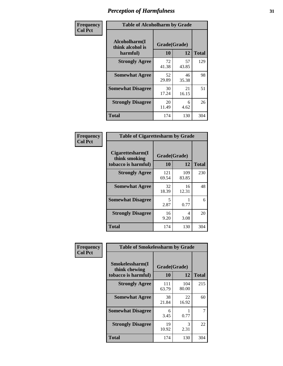| Frequency      | <b>Table of Alcoholharm by Grade</b>          |                    |             |              |  |  |
|----------------|-----------------------------------------------|--------------------|-------------|--------------|--|--|
| <b>Col Pct</b> | Alcoholharm(I<br>think alcohol is<br>harmful) | Grade(Grade)<br>10 | 12          | <b>Total</b> |  |  |
|                | <b>Strongly Agree</b>                         | 72<br>41.38        | 57<br>43.85 | 129          |  |  |
|                | <b>Somewhat Agree</b>                         | 52<br>29.89        | 46<br>35.38 | 98           |  |  |
|                | <b>Somewhat Disagree</b>                      | 30<br>17.24        | 21<br>16.15 | 51           |  |  |
|                | <b>Strongly Disagree</b>                      | 20<br>11.49        | 6<br>4.62   | 26           |  |  |
|                | <b>Total</b>                                  | 174                | 130         | 304          |  |  |

| <b>Table of Cigarettesharm by Grade</b>                  |                    |              |              |  |  |  |  |  |
|----------------------------------------------------------|--------------------|--------------|--------------|--|--|--|--|--|
| Cigarettesharm(I<br>think smoking<br>tobacco is harmful) | Grade(Grade)<br>10 | 12           | <b>Total</b> |  |  |  |  |  |
| <b>Strongly Agree</b>                                    | 121<br>69.54       | 109<br>83.85 | 230          |  |  |  |  |  |
| <b>Somewhat Agree</b>                                    | 32<br>18.39        | 16<br>12.31  | 48           |  |  |  |  |  |
| <b>Somewhat Disagree</b>                                 | 5<br>2.87          | 0.77         | 6            |  |  |  |  |  |
| <b>Strongly Disagree</b>                                 | 16<br>9.20         | 4<br>3.08    | 20           |  |  |  |  |  |
| <b>Total</b>                                             | 174                | 130          | 304          |  |  |  |  |  |

| Frequency      | <b>Table of Smokelessharm by Grade</b>                  |                           |              |     |  |
|----------------|---------------------------------------------------------|---------------------------|--------------|-----|--|
| <b>Col Pct</b> | Smokelessharm(I<br>think chewing<br>tobacco is harmful) | Grade(Grade)<br><b>10</b> |              |     |  |
|                | <b>Strongly Agree</b>                                   | 111<br>63.79              | 104<br>80.00 | 215 |  |
|                | <b>Somewhat Agree</b>                                   | 38<br>21.84               | 22<br>16.92  | 60  |  |
|                | <b>Somewhat Disagree</b>                                | 6<br>3.45                 | 0.77         | 7   |  |
|                | <b>Strongly Disagree</b>                                | 19<br>10.92               | 3<br>2.31    | 22  |  |
|                | <b>Total</b>                                            | 174                       | 130          | 304 |  |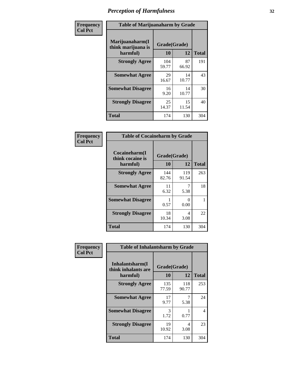| Frequency      | <b>Table of Marijuanaharm by Grade</b>            |                    |             |              |  |  |
|----------------|---------------------------------------------------|--------------------|-------------|--------------|--|--|
| <b>Col Pct</b> | Marijuanaharm(I<br>think marijuana is<br>harmful) | Grade(Grade)<br>10 | 12          | <b>Total</b> |  |  |
|                | <b>Strongly Agree</b>                             | 104<br>59.77       | 87<br>66.92 | 191          |  |  |
|                | <b>Somewhat Agree</b>                             | 29<br>16.67        | 14<br>10.77 | 43           |  |  |
|                | <b>Somewhat Disagree</b>                          | 16<br>9.20         | 14<br>10.77 | 30           |  |  |
|                | <b>Strongly Disagree</b>                          | 25<br>14.37        | 15<br>11.54 | 40           |  |  |
|                | <b>Total</b>                                      | 174                | 130         | 304          |  |  |

| <b>Table of Cocaineharm by Grade</b>          |                    |                           |              |  |  |  |  |  |
|-----------------------------------------------|--------------------|---------------------------|--------------|--|--|--|--|--|
| Cocaineharm(I<br>think cocaine is<br>harmful) | Grade(Grade)<br>10 | 12                        | <b>Total</b> |  |  |  |  |  |
| <b>Strongly Agree</b>                         | 144<br>82.76       | 119<br>91.54              | 263          |  |  |  |  |  |
| <b>Somewhat Agree</b>                         | 11<br>6.32         | 7<br>5.38                 | 18           |  |  |  |  |  |
| <b>Somewhat Disagree</b>                      | 0.57               | $\mathbf{\Omega}$<br>0.00 |              |  |  |  |  |  |
| <b>Strongly Disagree</b>                      | 18<br>10.34        | 4<br>3.08                 | 22           |  |  |  |  |  |
| Total                                         | 174                | 130                       | 304          |  |  |  |  |  |

| Frequency      | <b>Table of Inhalantsharm by Grade</b>              |                    |              |              |
|----------------|-----------------------------------------------------|--------------------|--------------|--------------|
| <b>Col Pct</b> | Inhalantsharm(I)<br>think inhalants are<br>harmful) | Grade(Grade)<br>10 | 12           | <b>Total</b> |
|                | <b>Strongly Agree</b>                               | 135<br>77.59       | 118<br>90.77 | 253          |
|                | <b>Somewhat Agree</b>                               | 17<br>9.77         | 5.38         | 24           |
|                | <b>Somewhat Disagree</b>                            | 3<br>1.72          | 0.77         | 4            |
|                | <b>Strongly Disagree</b>                            | 19<br>10.92        | 4<br>3.08    | 23           |
|                | Total                                               | 174                | 130          | 304          |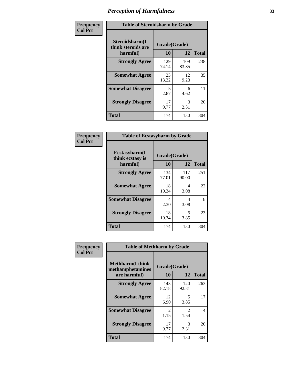| Frequency      | <b>Table of Steroidsharm by Grade</b>            |                    |              |              |
|----------------|--------------------------------------------------|--------------------|--------------|--------------|
| <b>Col Pct</b> | Steroidsharm(I<br>think steroids are<br>harmful) | Grade(Grade)<br>10 | 12           | <b>Total</b> |
|                | <b>Strongly Agree</b>                            | 129<br>74.14       | 109<br>83.85 | 238          |
|                | <b>Somewhat Agree</b>                            | 23<br>13.22        | 12<br>9.23   | 35           |
|                | <b>Somewhat Disagree</b>                         | 5<br>2.87          | 6<br>4.62    | 11           |
|                | <b>Strongly Disagree</b>                         | 17<br>9.77         | 3<br>2.31    | 20           |
|                | <b>Total</b>                                     | 174                | 130          | 304          |

| <b>Table of Ecstasyharm by Grade</b>                |                    |              |     |  |  |  |
|-----------------------------------------------------|--------------------|--------------|-----|--|--|--|
| $E$ cstasyharm $(I$<br>think ecstasy is<br>harmful) | Grade(Grade)<br>10 | <b>Total</b> |     |  |  |  |
| <b>Strongly Agree</b>                               | 134<br>77.01       | 117<br>90.00 | 251 |  |  |  |
| <b>Somewhat Agree</b>                               | 18<br>10.34        | 4<br>3.08    | 22  |  |  |  |
| <b>Somewhat Disagree</b>                            | 4<br>2.30          | 4<br>3.08    | 8   |  |  |  |
| <b>Strongly Disagree</b>                            | 18<br>10.34        | 5<br>3.85    | 23  |  |  |  |
| <b>Total</b>                                        | 174                | 130          | 304 |  |  |  |

| Frequency      | <b>Table of Methharm by Grade</b>                            |              |                    |              |
|----------------|--------------------------------------------------------------|--------------|--------------------|--------------|
| <b>Col Pct</b> | <b>Methharm</b> (I think<br>methamphetamines<br>are harmful) | <b>10</b>    | Grade(Grade)<br>12 | <b>Total</b> |
|                | <b>Strongly Agree</b>                                        | 143<br>82.18 | 120<br>92.31       | 263          |
|                | <b>Somewhat Agree</b>                                        | 12<br>6.90   | 5<br>3.85          | 17           |
|                | <b>Somewhat Disagree</b>                                     | 2<br>1.15    | 2<br>1.54          | 4            |
|                | <b>Strongly Disagree</b>                                     | 17<br>9.77   | 3<br>2.31          | 20           |
|                | <b>Total</b>                                                 | 174          | 130                | 304          |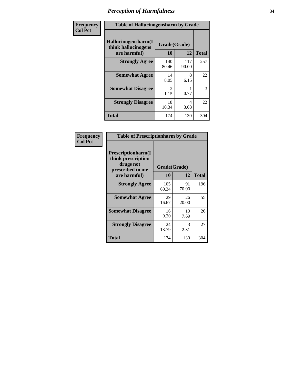| Frequency      | <b>Table of Hallucinogensharm by Grade</b>                 |                    |              |              |
|----------------|------------------------------------------------------------|--------------------|--------------|--------------|
| <b>Col Pct</b> | Hallucinogensharm(I<br>think hallucinogens<br>are harmful) | Grade(Grade)<br>10 | 12           | <b>Total</b> |
|                | <b>Strongly Agree</b>                                      | 140<br>80.46       | 117<br>90.00 | 257          |
|                | <b>Somewhat Agree</b>                                      | 14<br>8.05         | 8<br>6.15    | 22           |
|                | <b>Somewhat Disagree</b>                                   | 2<br>1.15          | 0.77         | 3            |
|                | <b>Strongly Disagree</b>                                   | 18<br>10.34        | 4<br>3.08    | 22           |
|                | <b>Total</b>                                               | 174                | 130          | 304          |

| <b>Table of Prescriptionharm by Grade</b>                                 |              |              |              |  |  |
|---------------------------------------------------------------------------|--------------|--------------|--------------|--|--|
| Prescriptionharm(I<br>think prescription<br>drugs not<br>prescribed to me |              | Grade(Grade) |              |  |  |
| are harmful)                                                              | 10           | 12           | <b>Total</b> |  |  |
| <b>Strongly Agree</b>                                                     | 105<br>60.34 | 91<br>70.00  | 196          |  |  |
| <b>Somewhat Agree</b>                                                     | 29<br>16.67  | 26<br>20.00  | 55           |  |  |
| <b>Somewhat Disagree</b>                                                  | 16<br>9.20   | 10<br>7.69   | 26           |  |  |
| <b>Strongly Disagree</b>                                                  | 24<br>13.79  | 3<br>2.31    | 27           |  |  |
| Total                                                                     | 174          | 130          | 304          |  |  |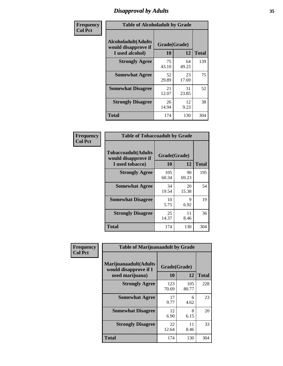## *Disapproval by Adults* **35**

| Frequency      | <b>Table of Alcoholadult by Grade</b>                                 |                    |             |              |
|----------------|-----------------------------------------------------------------------|--------------------|-------------|--------------|
| <b>Col Pct</b> | <b>Alcoholadult</b> (Adults<br>would disapprove if<br>I used alcohol) | Grade(Grade)<br>10 | 12          | <b>Total</b> |
|                | <b>Strongly Agree</b>                                                 | 75<br>43.10        | 64<br>49.23 | 139          |
|                | <b>Somewhat Agree</b>                                                 | 52<br>29.89        | 23<br>17.69 | 75           |
|                | <b>Somewhat Disagree</b>                                              | 21<br>12.07        | 31<br>23.85 | 52           |
|                | <b>Strongly Disagree</b>                                              | 26<br>14.94        | 12<br>9.23  | 38           |
|                | <b>Total</b>                                                          | 174                | 130         | 304          |

| <b>Table of Tobaccoadult by Grade</b>                                 |                    |             |              |  |  |
|-----------------------------------------------------------------------|--------------------|-------------|--------------|--|--|
| <b>Tobaccoadult</b> (Adults<br>would disapprove if<br>I used tobacco) | Grade(Grade)<br>10 | 12          | <b>Total</b> |  |  |
| <b>Strongly Agree</b>                                                 | 105<br>60.34       | 90<br>69.23 | 195          |  |  |
| <b>Somewhat Agree</b>                                                 | 34<br>19.54        | 20<br>15.38 | 54           |  |  |
| <b>Somewhat Disagree</b>                                              | 10<br>5.75         | 9<br>6.92   | 19           |  |  |
| <b>Strongly Disagree</b>                                              | 25<br>14.37        | 11<br>8.46  | 36           |  |  |
| <b>Total</b>                                                          | 174                | 130         | 304          |  |  |

| Frequency      | <b>Table of Marijuanaadult by Grade</b>                           |                    |              |              |
|----------------|-------------------------------------------------------------------|--------------------|--------------|--------------|
| <b>Col Pct</b> | Marijuanaadult(Adults<br>would disapprove if I<br>used marijuana) | Grade(Grade)<br>10 | 12           | <b>Total</b> |
|                | <b>Strongly Agree</b>                                             | 123<br>70.69       | 105<br>80.77 | 228          |
|                | <b>Somewhat Agree</b>                                             | 17<br>9.77         | 6<br>4.62    | 23           |
|                | <b>Somewhat Disagree</b>                                          | 12<br>6.90         | 8<br>6.15    | 20           |
|                | <b>Strongly Disagree</b>                                          | 22<br>12.64        | 11<br>8.46   | 33           |
|                | <b>Total</b>                                                      | 174                | 130          | 304          |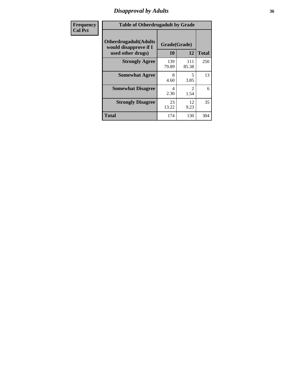## *Disapproval by Adults* **36**

| Frequency      | <b>Table of Otherdrugadult by Grade</b>                                     |                    |                                     |              |
|----------------|-----------------------------------------------------------------------------|--------------------|-------------------------------------|--------------|
| <b>Col Pct</b> | <b>Otherdrugadult</b> (Adults<br>would disapprove if I<br>used other drugs) | Grade(Grade)<br>10 | 12                                  | <b>Total</b> |
|                | <b>Strongly Agree</b>                                                       | 139<br>79.89       | 111<br>85.38                        | 250          |
|                | <b>Somewhat Agree</b>                                                       | 8<br>4.60          | 5<br>3.85                           | 13           |
|                | <b>Somewhat Disagree</b>                                                    | 4<br>2.30          | $\mathcal{D}_{\mathcal{L}}$<br>1.54 | 6            |
|                | <b>Strongly Disagree</b>                                                    | 23<br>13.22        | 12<br>9.23                          | 35           |
|                | <b>Total</b>                                                                | 174                | 130                                 | 304          |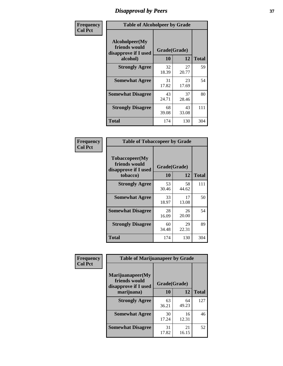# *Disapproval by Peers* **37**

| Frequency      | <b>Table of Alcoholpeer by Grade</b>                    |              |             |              |  |
|----------------|---------------------------------------------------------|--------------|-------------|--------------|--|
| <b>Col Pct</b> | Alcoholpeer(My<br>friends would<br>disapprove if I used | Grade(Grade) |             |              |  |
|                | alcohol)                                                | 10           | 12          | <b>Total</b> |  |
|                | <b>Strongly Agree</b>                                   | 32<br>18.39  | 27<br>20.77 | 59           |  |
|                | <b>Somewhat Agree</b>                                   | 31<br>17.82  | 23<br>17.69 | 54           |  |
|                | <b>Somewhat Disagree</b>                                | 43<br>24.71  | 37<br>28.46 | 80           |  |
|                | <b>Strongly Disagree</b>                                | 68<br>39.08  | 43<br>33.08 | 111          |  |
|                | Total                                                   | 174          | 130         | 304          |  |

| Frequency      | <b>Table of Tobaccopeer by Grade</b>                                |                    |             |              |
|----------------|---------------------------------------------------------------------|--------------------|-------------|--------------|
| <b>Col Pct</b> | Tobaccopeer(My<br>friends would<br>disapprove if I used<br>tobacco) | Grade(Grade)<br>10 | 12          | <b>Total</b> |
|                | <b>Strongly Agree</b>                                               | 53<br>30.46        | 58<br>44.62 | 111          |
|                | <b>Somewhat Agree</b>                                               | 33<br>18.97        | 17<br>13.08 | 50           |
|                | <b>Somewhat Disagree</b>                                            | 28<br>16.09        | 26<br>20.00 | 54           |
|                | <b>Strongly Disagree</b>                                            | 60<br>34.48        | 29<br>22.31 | 89           |
|                | Total                                                               | 174                | 130         | 304          |

| Frequency<br><b>Col Pct</b> | <b>Table of Marijuanapeer by Grade</b>                    |              |             |              |
|-----------------------------|-----------------------------------------------------------|--------------|-------------|--------------|
|                             | Marijuanapeer(My<br>friends would<br>disapprove if I used | Grade(Grade) |             |              |
|                             | marijuana)                                                | 10           | 12          | <b>Total</b> |
|                             | <b>Strongly Agree</b>                                     | 63<br>36.21  | 64<br>49.23 | 127          |
|                             | <b>Somewhat Agree</b>                                     | 30<br>17.24  | 16<br>12.31 | 46           |
|                             | <b>Somewhat Disagree</b>                                  | 31<br>17.82  | 21<br>16.15 | 52           |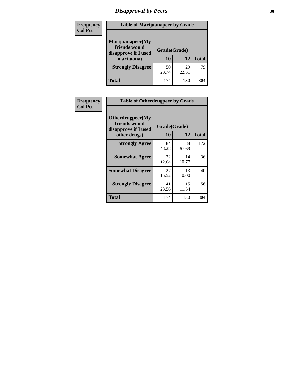# *Disapproval by Peers* **38**

| Frequency<br><b>Col Pct</b> | <b>Table of Marijuanapeer by Grade</b>                                  |                    |             |              |
|-----------------------------|-------------------------------------------------------------------------|--------------------|-------------|--------------|
|                             | Marijuanapeer(My<br>friends would<br>disapprove if I used<br>marijuana) | Grade(Grade)<br>10 | 12          | <b>Total</b> |
|                             | <b>Strongly Disagree</b>                                                | 50<br>28.74        | 29<br>22.31 | 79           |
|                             | Total                                                                   | 174                | 130         | 304          |

| Frequency      | <b>Table of Otherdrugpeer by Grade</b>                                    |                    |             |              |
|----------------|---------------------------------------------------------------------------|--------------------|-------------|--------------|
| <b>Col Pct</b> | Otherdrugpeer(My<br>friends would<br>disapprove if I used<br>other drugs) | Grade(Grade)<br>10 | 12          | <b>Total</b> |
|                | <b>Strongly Agree</b>                                                     | 84                 | 88          | 172          |
|                | <b>Somewhat Agree</b>                                                     | 48.28<br>22        | 67.69<br>14 | 36           |
|                |                                                                           | 12.64              | 10.77       |              |
|                | <b>Somewhat Disagree</b>                                                  | 27<br>15.52        | 13<br>10.00 | 40           |
|                | <b>Strongly Disagree</b>                                                  | 41<br>23.56        | 15<br>11.54 | 56           |
|                | Total                                                                     | 174                | 130         | 304          |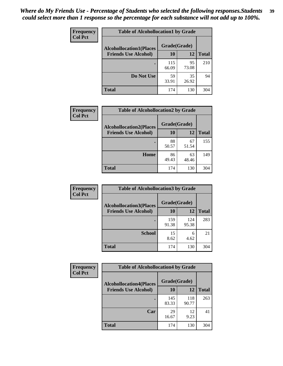| Frequency      | <b>Table of Alcohollocation1 by Grade</b> |              |             |              |
|----------------|-------------------------------------------|--------------|-------------|--------------|
| <b>Col Pct</b> | <b>Alcohollocation1(Places</b>            | Grade(Grade) |             |              |
|                | <b>Friends Use Alcohol)</b>               | 10           | 12          | <b>Total</b> |
|                |                                           | 115<br>66.09 | 95<br>73.08 | 210          |
|                | Do Not Use                                | 59<br>33.91  | 35<br>26.92 | 94           |
|                | <b>Total</b>                              | 174          | 130         | 304          |

| <b>Frequency</b> | <b>Table of Alcohollocation2 by Grade</b>                     |                    |             |              |
|------------------|---------------------------------------------------------------|--------------------|-------------|--------------|
| <b>Col Pct</b>   | <b>Alcohollocation2(Places</b><br><b>Friends Use Alcohol)</b> | Grade(Grade)<br>10 | 12          | <b>Total</b> |
|                  |                                                               |                    |             |              |
|                  |                                                               | 88<br>50.57        | 67<br>51.54 | 155          |
|                  | Home                                                          | 86<br>49.43        | 63<br>48.46 | 149          |
|                  | <b>Total</b>                                                  | 174                | 130         | 304          |

| Frequency<br><b>Col Pct</b> | <b>Table of Alcohollocation 3 by Grade</b>                    |                    |              |              |
|-----------------------------|---------------------------------------------------------------|--------------------|--------------|--------------|
|                             | <b>Alcohollocation3(Places</b><br><b>Friends Use Alcohol)</b> | Grade(Grade)<br>10 | 12           | <b>Total</b> |
|                             |                                                               | 159<br>91.38       | 124<br>95.38 | 283          |
|                             | <b>School</b>                                                 | 15<br>8.62         | 6<br>4.62    | 21           |
|                             | <b>Total</b>                                                  | 174                | 130          | 304          |

| <b>Frequency</b> | <b>Table of Alcohollocation4 by Grade</b> |              |              |              |
|------------------|-------------------------------------------|--------------|--------------|--------------|
| <b>Col Pct</b>   | <b>Alcohollocation4(Places</b>            | Grade(Grade) |              |              |
|                  | <b>Friends Use Alcohol)</b>               | 10           | 12           | <b>Total</b> |
|                  |                                           | 145<br>83.33 | 118<br>90.77 | 263          |
|                  | Car                                       | 29<br>16.67  | 12<br>9.23   | 41           |
|                  | <b>Total</b>                              | 174          | 130          | 304          |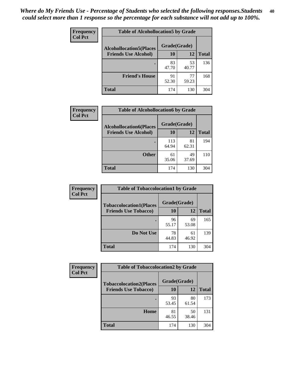| Frequency<br><b>Col Pct</b> | <b>Table of Alcohollocation5 by Grade</b> |              |             |              |  |
|-----------------------------|-------------------------------------------|--------------|-------------|--------------|--|
|                             | <b>Alcohollocation5(Places</b>            | Grade(Grade) |             |              |  |
|                             | <b>Friends Use Alcohol)</b>               | 10           | 12          | <b>Total</b> |  |
|                             |                                           | 83<br>47.70  | 53<br>40.77 | 136          |  |
|                             | <b>Friend's House</b>                     | 91<br>52.30  | 77<br>59.23 | 168          |  |
|                             | <b>Total</b>                              | 174          | 130         | 304          |  |

| <b>Frequency</b> | <b>Table of Alcohollocation6 by Grade</b> |              |             |              |
|------------------|-------------------------------------------|--------------|-------------|--------------|
| <b>Col Pct</b>   | <b>Alcohollocation6(Places</b>            | Grade(Grade) |             |              |
|                  | <b>Friends Use Alcohol)</b>               | 10           | 12          | <b>Total</b> |
|                  |                                           | 113<br>64.94 | 81<br>62.31 | 194          |
|                  | <b>Other</b>                              | 61<br>35.06  | 49<br>37.69 | 110          |
|                  | <b>Total</b>                              | 174          | 130         | 304          |

| Frequency      | <b>Table of Tobaccolocation1 by Grade</b> |              |             |              |
|----------------|-------------------------------------------|--------------|-------------|--------------|
| <b>Col Pct</b> | <b>Tobaccolocation1(Places</b>            | Grade(Grade) |             |              |
|                | <b>Friends Use Tobacco)</b>               | 10           | <b>12</b>   | <b>Total</b> |
|                |                                           | 96<br>55.17  | 69<br>53.08 | 165          |
|                | Do Not Use                                | 78<br>44.83  | 61<br>46.92 | 139          |
|                | <b>Total</b>                              | 174          | 130         | 304          |

| <b>Frequency</b> | <b>Table of Tobaccolocation2 by Grade</b> |              |             |              |  |
|------------------|-------------------------------------------|--------------|-------------|--------------|--|
| <b>Col Pct</b>   | <b>Tobaccolocation2(Places</b>            | Grade(Grade) |             |              |  |
|                  | <b>Friends Use Tobacco)</b>               | 10           | 12          | <b>Total</b> |  |
|                  |                                           | 93<br>53.45  | 80<br>61.54 | 173          |  |
|                  | Home                                      | 81<br>46.55  | 50<br>38.46 | 131          |  |
|                  | <b>Total</b>                              | 174          | 130         | 304          |  |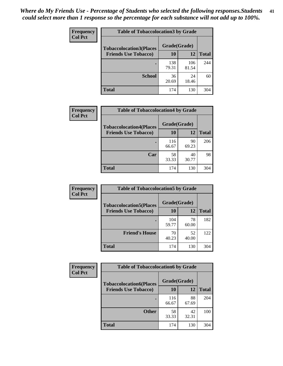| Frequency      | <b>Table of Tobaccolocation 3 by Grade</b> |              |              |              |  |
|----------------|--------------------------------------------|--------------|--------------|--------------|--|
| <b>Col Pct</b> | <b>Tobaccolocation3(Places</b>             | Grade(Grade) |              |              |  |
|                | <b>Friends Use Tobacco)</b>                | 10           | <b>12</b>    | <b>Total</b> |  |
|                |                                            | 138<br>79.31 | 106<br>81.54 | 244          |  |
|                | <b>School</b>                              | 36<br>20.69  | 24<br>18.46  | 60           |  |
|                | <b>Total</b>                               | 174          | 130          | 304          |  |

| Frequency      | <b>Table of Tobaccolocation4 by Grade</b> |              |             |              |
|----------------|-------------------------------------------|--------------|-------------|--------------|
| <b>Col Pct</b> | <b>Tobaccolocation4(Places</b>            | Grade(Grade) |             |              |
|                | <b>Friends Use Tobacco)</b>               | 10           | 12          | <b>Total</b> |
|                |                                           | 116<br>66.67 | 90<br>69.23 | 206          |
|                | Car                                       | 58<br>33.33  | 40<br>30.77 | 98           |
|                | <b>Total</b>                              | 174          | 130         | 304          |

| Frequency      | <b>Table of Tobaccolocation5 by Grade</b> |              |             |              |
|----------------|-------------------------------------------|--------------|-------------|--------------|
| <b>Col Pct</b> | <b>Tobaccolocation5(Places</b>            | Grade(Grade) |             |              |
|                | <b>Friends Use Tobacco)</b>               | 10           | <b>12</b>   | <b>Total</b> |
|                |                                           | 104<br>59.77 | 78<br>60.00 | 182          |
|                | <b>Friend's House</b>                     | 70<br>40.23  | 52<br>40.00 | 122          |
|                | <b>Total</b>                              | 174          | 130         | 304          |

| <b>Frequency</b> | <b>Table of Tobaccolocation6 by Grade</b> |              |             |              |
|------------------|-------------------------------------------|--------------|-------------|--------------|
| <b>Col Pct</b>   | <b>Tobaccolocation6(Places</b>            | Grade(Grade) |             |              |
|                  | <b>Friends Use Tobacco)</b>               | 10           | 12          | <b>Total</b> |
|                  |                                           | 116<br>66.67 | 88<br>67.69 | 204          |
|                  | <b>Other</b>                              | 58<br>33.33  | 42<br>32.31 | 100          |
|                  | <b>Total</b>                              | 174          | 130         | 304          |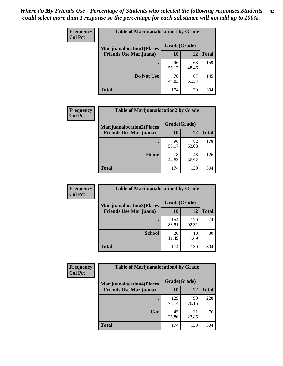| <b>Frequency</b> | <b>Table of Marijuanalocation1 by Grade</b> |              |             |              |
|------------------|---------------------------------------------|--------------|-------------|--------------|
| <b>Col Pct</b>   | <b>Marijuanalocation1(Places</b>            | Grade(Grade) |             |              |
|                  | <b>Friends Use Marijuana</b> )              | 10           | 12          | <b>Total</b> |
|                  |                                             | 96<br>55.17  | 63<br>48.46 | 159          |
|                  | Do Not Use                                  | 78<br>44.83  | 67<br>51.54 | 145          |
|                  | Total                                       | 174          | 130         | 304          |

| <b>Frequency</b> | <b>Table of Marijuanalocation2 by Grade</b>                        |                    |             |              |
|------------------|--------------------------------------------------------------------|--------------------|-------------|--------------|
| <b>Col Pct</b>   | <b>Marijuanalocation2(Places</b><br><b>Friends Use Marijuana</b> ) | Grade(Grade)<br>10 | 12          | <b>Total</b> |
|                  |                                                                    | 96<br>55.17        | 82<br>63.08 | 178          |
|                  | <b>Home</b>                                                        | 78<br>44.83        | 48<br>36.92 | 126          |
|                  | <b>Total</b>                                                       | 174                | 130         | 304          |

| Frequency      | <b>Table of Marijuanalocation3 by Grade</b> |              |              |              |
|----------------|---------------------------------------------|--------------|--------------|--------------|
| <b>Col Pct</b> | <b>Marijuanalocation3</b> (Places           | Grade(Grade) |              |              |
|                | <b>Friends Use Marijuana</b> )              | 10           | 12           | <b>Total</b> |
|                |                                             | 154<br>88.51 | 120<br>92.31 | 274          |
|                | <b>School</b>                               | 20<br>11.49  | 10<br>7.69   | 30           |
|                | <b>Total</b>                                | 174          | 130          | 304          |

| <b>Frequency</b> | <b>Table of Marijuanalocation4 by Grade</b> |              |             |              |  |
|------------------|---------------------------------------------|--------------|-------------|--------------|--|
| <b>Col Pct</b>   | <b>Marijuanalocation4(Places</b>            | Grade(Grade) |             |              |  |
|                  | <b>Friends Use Marijuana</b> )              | <b>10</b>    | 12          | <b>Total</b> |  |
|                  |                                             | 129<br>74.14 | 99<br>76.15 | 228          |  |
|                  | Car                                         | 45<br>25.86  | 31<br>23.85 | 76           |  |
|                  | <b>Total</b>                                | 174          | 130         | 304          |  |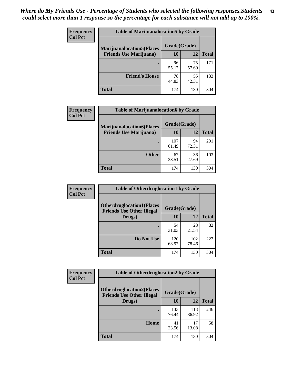| <b>Frequency</b> | <b>Table of Marijuanalocation5 by Grade</b> |              |             |              |  |
|------------------|---------------------------------------------|--------------|-------------|--------------|--|
| <b>Col Pct</b>   | <b>Marijuanalocation5</b> (Places           | Grade(Grade) |             |              |  |
|                  | <b>Friends Use Marijuana</b> )              | 10           | 12          | <b>Total</b> |  |
|                  |                                             | 96<br>55.17  | 75<br>57.69 | 171          |  |
|                  | <b>Friend's House</b>                       | 78<br>44.83  | 55<br>42.31 | 133          |  |
|                  | <b>Total</b>                                | 174          | 130         | 304          |  |

| <b>Frequency</b> | <b>Table of Marijuanalocation6 by Grade</b>                        |                    |             |              |
|------------------|--------------------------------------------------------------------|--------------------|-------------|--------------|
| <b>Col Pct</b>   | <b>Marijuanalocation6(Places</b><br><b>Friends Use Marijuana</b> ) | Grade(Grade)<br>10 | 12          | <b>Total</b> |
|                  |                                                                    |                    |             |              |
|                  |                                                                    | 107<br>61.49       | 94<br>72.31 | 201          |
|                  | <b>Other</b>                                                       | 67<br>38.51        | 36<br>27.69 | 103          |
|                  | <b>Total</b>                                                       | 174                | 130         | 304          |

| Frequency      | <b>Table of Otherdruglocation1 by Grade</b>                          |              |              |              |
|----------------|----------------------------------------------------------------------|--------------|--------------|--------------|
| <b>Col Pct</b> | <b>Otherdruglocation1(Places</b><br><b>Friends Use Other Illegal</b> | Grade(Grade) |              |              |
|                | Drugs)                                                               | 10           | 12           | <b>Total</b> |
|                |                                                                      | 54<br>31.03  | 28<br>21.54  | 82           |
|                | Do Not Use                                                           | 120<br>68.97 | 102<br>78.46 | 222          |
|                | <b>Total</b>                                                         | 174          | 130          | 304          |

| <b>Frequency</b> | <b>Table of Otherdruglocation2 by Grade</b>                          |              |              |              |
|------------------|----------------------------------------------------------------------|--------------|--------------|--------------|
| <b>Col Pct</b>   | <b>Otherdruglocation2(Places</b><br><b>Friends Use Other Illegal</b> | Grade(Grade) |              |              |
|                  | Drugs)                                                               | 10           | 12           | <b>Total</b> |
|                  |                                                                      | 133<br>76.44 | 113<br>86.92 | 246          |
|                  | Home                                                                 | 41<br>23.56  | 17<br>13.08  | 58           |
|                  | <b>Total</b>                                                         | 174          | 130          | 304          |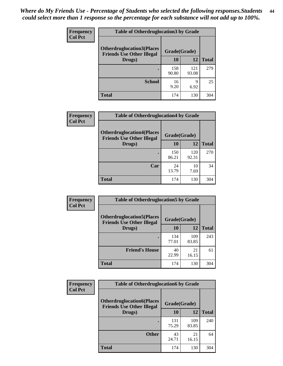| <b>Frequency</b> | <b>Table of Otherdruglocation 3 by Grade</b>                         |              |              |              |
|------------------|----------------------------------------------------------------------|--------------|--------------|--------------|
| <b>Col Pct</b>   | <b>Otherdruglocation3(Places</b><br><b>Friends Use Other Illegal</b> | Grade(Grade) |              |              |
|                  | Drugs)                                                               | 10           | 12           | <b>Total</b> |
|                  |                                                                      | 158<br>90.80 | 121<br>93.08 | 279          |
|                  | <b>School</b>                                                        | 16<br>9.20   | q<br>6.92    | 25           |
|                  | <b>Total</b>                                                         | 174          | 130          | 304          |

| <b>Frequency</b> | <b>Table of Otherdruglocation4 by Grade</b>                          |              |              |              |
|------------------|----------------------------------------------------------------------|--------------|--------------|--------------|
| <b>Col Pct</b>   | <b>Otherdruglocation4(Places</b><br><b>Friends Use Other Illegal</b> | Grade(Grade) |              |              |
|                  | Drugs)                                                               | 10           | 12           | <b>Total</b> |
|                  |                                                                      | 150<br>86.21 | 120<br>92.31 | 270          |
|                  | Car                                                                  | 24<br>13.79  | 10<br>7.69   | 34           |
|                  | <b>Total</b>                                                         | 174          | 130          | 304          |

| Frequency<br><b>Col Pct</b> | <b>Table of Otherdruglocation5 by Grade</b>                          |              |              |              |
|-----------------------------|----------------------------------------------------------------------|--------------|--------------|--------------|
|                             | <b>Otherdruglocation5(Places</b><br><b>Friends Use Other Illegal</b> | Grade(Grade) |              |              |
|                             | Drugs)                                                               | 10           | 12           | <b>Total</b> |
|                             |                                                                      | 134<br>77.01 | 109<br>83.85 | 243          |
|                             | <b>Friend's House</b>                                                | 40<br>22.99  | 21<br>16.15  | 61           |
|                             | <b>Total</b>                                                         | 174          | 130          | 304          |

| <b>Frequency</b> | <b>Table of Otherdruglocation6 by Grade</b>                          |              |              |              |
|------------------|----------------------------------------------------------------------|--------------|--------------|--------------|
| <b>Col Pct</b>   | <b>Otherdruglocation6(Places</b><br><b>Friends Use Other Illegal</b> | Grade(Grade) |              |              |
|                  | Drugs)                                                               | <b>10</b>    | 12           | <b>Total</b> |
|                  |                                                                      | 131<br>75.29 | 109<br>83.85 | 240          |
|                  | <b>Other</b>                                                         | 43<br>24.71  | 21<br>16.15  | 64           |
|                  | <b>Total</b>                                                         | 174          | 130          | 304          |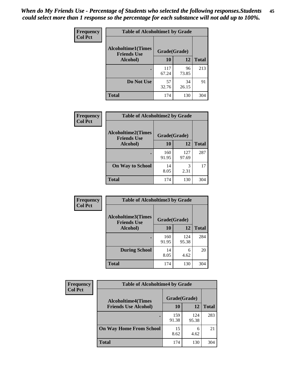| Frequency      | <b>Table of Alcoholtime1 by Grade</b>           |              |             |              |
|----------------|-------------------------------------------------|--------------|-------------|--------------|
| <b>Col Pct</b> | <b>Alcoholtime1(Times</b><br><b>Friends Use</b> | Grade(Grade) |             |              |
|                | Alcohol)                                        | <b>10</b>    | <b>12</b>   | <b>Total</b> |
|                |                                                 | 117<br>67.24 | 96<br>73.85 | 213          |
|                | Do Not Use                                      | 57<br>32.76  | 34<br>26.15 | 91           |
|                | <b>Total</b>                                    | 174          | 130         | 304          |

| <b>Frequency</b> | <b>Table of Alcoholtime2 by Grade</b>           |              |              |              |
|------------------|-------------------------------------------------|--------------|--------------|--------------|
| <b>Col Pct</b>   | <b>Alcoholtime2(Times</b><br><b>Friends Use</b> | Grade(Grade) |              |              |
|                  | Alcohol)                                        | 10           | 12           | <b>Total</b> |
|                  |                                                 | 160<br>91.95 | 127<br>97.69 | 287          |
|                  | <b>On Way to School</b>                         | 14<br>8.05   | 3<br>2.31    | 17           |
|                  | <b>Total</b>                                    | 174          | 130          | 304          |

| Frequency      | <b>Table of Alcoholtime3 by Grade</b>           |              |              |              |
|----------------|-------------------------------------------------|--------------|--------------|--------------|
| <b>Col Pct</b> | <b>Alcoholtime3(Times</b><br><b>Friends Use</b> | Grade(Grade) |              |              |
|                | Alcohol)                                        | 10           | 12           | <b>Total</b> |
|                |                                                 | 160<br>91.95 | 124<br>95.38 | 284          |
|                | <b>During School</b>                            | 14<br>8.05   | 6<br>4.62    | 20           |
|                | <b>Total</b>                                    | 174          | 130          | 304          |

| <b>Frequency</b><br><b>Col Pct</b> | <b>Table of Alcoholtime4 by Grade</b> |              |              |              |
|------------------------------------|---------------------------------------|--------------|--------------|--------------|
|                                    | <b>Alcoholtime4(Times</b>             | Grade(Grade) |              |              |
|                                    | <b>Friends Use Alcohol)</b>           | 10           | 12           | <b>Total</b> |
|                                    |                                       | 159<br>91.38 | 124<br>95.38 | 283          |
|                                    | <b>On Way Home From School</b>        | 15<br>8.62   | 4.62         | 21           |
|                                    | <b>Total</b>                          | 174          | 130          | 304          |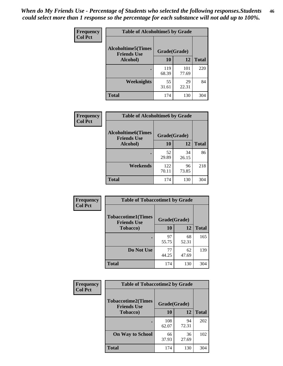*When do My Friends Use - Percentage of Students who selected the following responses.Students could select more than 1 response so the percentage for each substance will not add up to 100%.* **46**

| Frequency      | <b>Table of Alcoholtime5 by Grade</b>           |              |              |              |
|----------------|-------------------------------------------------|--------------|--------------|--------------|
| <b>Col Pct</b> | <b>Alcoholtime5(Times</b><br><b>Friends Use</b> | Grade(Grade) |              |              |
|                | Alcohol)                                        | 10           | 12           | <b>Total</b> |
|                |                                                 | 119<br>68.39 | 101<br>77.69 | 220          |
|                | Weeknights                                      | 55<br>31.61  | 29<br>22.31  | 84           |
|                | <b>Total</b>                                    | 174          | 130          | 304          |

| Frequency      | <b>Table of Alcoholtime6 by Grade</b>           |              |             |              |
|----------------|-------------------------------------------------|--------------|-------------|--------------|
| <b>Col Pct</b> | <b>Alcoholtime6(Times</b><br><b>Friends Use</b> | Grade(Grade) |             |              |
|                | Alcohol)                                        | 10           | 12          | <b>Total</b> |
|                |                                                 | 52<br>29.89  | 34<br>26.15 | 86           |
|                | Weekends                                        | 122<br>70.11 | 96<br>73.85 | 218          |
|                | <b>Total</b>                                    | 174          | 130         | 304          |

| Frequency      | <b>Table of Tobaccotime1 by Grade</b>           |              |             |              |
|----------------|-------------------------------------------------|--------------|-------------|--------------|
| <b>Col Pct</b> | <b>Tobaccotime1(Times</b><br><b>Friends Use</b> | Grade(Grade) |             |              |
|                | <b>Tobacco</b> )                                | 10           | 12          | <b>Total</b> |
|                | ٠                                               | 97<br>55.75  | 68<br>52.31 | 165          |
|                | Do Not Use                                      | 77<br>44.25  | 62<br>47.69 | 139          |
|                | <b>Total</b>                                    | 174          | 130         | 304          |

| <b>Frequency</b> | <b>Table of Tobaccotime2 by Grade</b>           |              |             |              |
|------------------|-------------------------------------------------|--------------|-------------|--------------|
| <b>Col Pct</b>   | <b>Tobaccotime2(Times</b><br><b>Friends Use</b> | Grade(Grade) |             |              |
|                  | Tobacco)                                        | 10           | 12          | <b>Total</b> |
|                  |                                                 | 108<br>62.07 | 94<br>72.31 | 202          |
|                  | <b>On Way to School</b>                         | 66<br>37.93  | 36<br>27.69 | 102          |
|                  | <b>Total</b>                                    | 174          | 130         | 304          |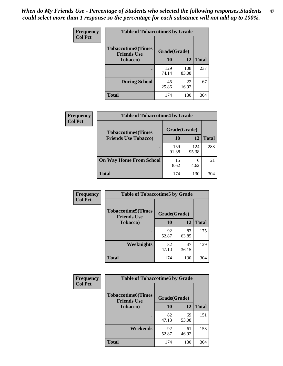*When do My Friends Use - Percentage of Students who selected the following responses.Students could select more than 1 response so the percentage for each substance will not add up to 100%.* **47**

| <b>Frequency</b> | <b>Table of Tobaccotime3 by Grade</b>           |              |              |              |  |
|------------------|-------------------------------------------------|--------------|--------------|--------------|--|
| <b>Col Pct</b>   | <b>Tobaccotime3(Times</b><br><b>Friends Use</b> | Grade(Grade) |              |              |  |
|                  | <b>Tobacco</b> )                                | 10           | 12           | <b>Total</b> |  |
|                  |                                                 | 129<br>74.14 | 108<br>83.08 | 237          |  |
|                  | <b>During School</b>                            | 45<br>25.86  | 22<br>16.92  | 67           |  |
|                  | <b>Total</b>                                    | 174          | 130          | 304          |  |

| <b>Frequency</b> | <b>Table of Tobaccotime4 by Grade</b> |              |              |              |
|------------------|---------------------------------------|--------------|--------------|--------------|
| <b>Col Pct</b>   | <b>Tobaccotime4(Times</b>             | Grade(Grade) |              |              |
|                  | <b>Friends Use Tobacco)</b>           | 10           | 12           | <b>Total</b> |
|                  |                                       | 159<br>91.38 | 124<br>95.38 | 283          |
|                  | <b>On Way Home From School</b>        | 15<br>8.62   | 6<br>4.62    | 21           |
|                  | <b>Total</b>                          | 174          | 130          | 304          |

| <b>Frequency</b> | <b>Table of Tobaccotime5 by Grade</b>           |              |             |              |
|------------------|-------------------------------------------------|--------------|-------------|--------------|
| <b>Col Pct</b>   | <b>Tobaccotime5(Times</b><br><b>Friends Use</b> | Grade(Grade) |             |              |
|                  | <b>Tobacco</b> )                                | 10           | 12          | <b>Total</b> |
|                  |                                                 | 92<br>52.87  | 83<br>63.85 | 175          |
|                  | Weeknights                                      | 82<br>47.13  | 47<br>36.15 | 129          |
|                  | <b>Total</b>                                    | 174          | 130         | 304          |

| Frequency      | <b>Table of Tobaccotime6 by Grade</b>           |              |             |              |  |
|----------------|-------------------------------------------------|--------------|-------------|--------------|--|
| <b>Col Pct</b> | <b>Tobaccotime6(Times</b><br><b>Friends Use</b> | Grade(Grade) |             |              |  |
|                | <b>Tobacco</b> )                                | 10           | <b>12</b>   | <b>Total</b> |  |
|                | ٠                                               | 82<br>47.13  | 69<br>53.08 | 151          |  |
|                | Weekends                                        | 92<br>52.87  | 61<br>46.92 | 153          |  |
|                | <b>Total</b>                                    | 174          | 130         | 304          |  |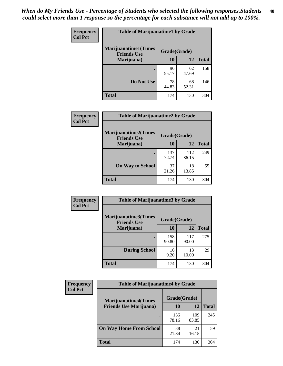| Frequency      | <b>Table of Marijuanatime1 by Grade</b>           |              |             |              |
|----------------|---------------------------------------------------|--------------|-------------|--------------|
| <b>Col Pct</b> | <b>Marijuanatime1(Times</b><br><b>Friends Use</b> | Grade(Grade) |             |              |
|                | Marijuana)                                        | 10           | 12          | <b>Total</b> |
|                |                                                   | 96<br>55.17  | 62<br>47.69 | 158          |
|                | Do Not Use                                        | 78<br>44.83  | 68<br>52.31 | 146          |
|                | <b>Total</b>                                      | 174          | 130         | 304          |

| <b>Frequency</b> | <b>Table of Marijuanatime2 by Grade</b>           |              |              |              |
|------------------|---------------------------------------------------|--------------|--------------|--------------|
| <b>Col Pct</b>   | <b>Marijuanatime2(Times</b><br><b>Friends Use</b> | Grade(Grade) |              |              |
|                  | Marijuana)                                        | 10           | 12           | <b>Total</b> |
|                  | ٠                                                 | 137<br>78.74 | 112<br>86.15 | 249          |
|                  | <b>On Way to School</b>                           | 37<br>21.26  | 18<br>13.85  | 55           |
|                  | <b>Total</b>                                      | 174          | 130          | 304          |

| Frequency<br><b>Col Pct</b> | <b>Table of Marijuanatime3 by Grade</b>    |              |              |              |
|-----------------------------|--------------------------------------------|--------------|--------------|--------------|
|                             | Marijuanatime3(Times<br><b>Friends Use</b> | Grade(Grade) |              |              |
|                             | Marijuana)                                 | 10           | 12           | <b>Total</b> |
|                             |                                            | 158<br>90.80 | 117<br>90.00 | 275          |
|                             | <b>During School</b>                       | 16<br>9.20   | 13<br>10.00  | 29           |
|                             | Total                                      | 174          | 130          | 304          |

| <b>Frequency</b> | <b>Table of Marijuanatime4 by Grade</b> |              |              |              |
|------------------|-----------------------------------------|--------------|--------------|--------------|
| <b>Col Pct</b>   | <b>Marijuanatime4(Times</b>             | Grade(Grade) |              |              |
|                  | <b>Friends Use Marijuana</b> )          | 10           | 12           | <b>Total</b> |
|                  | ٠                                       | 136<br>78.16 | 109<br>83.85 | 245          |
|                  | <b>On Way Home From School</b>          | 38<br>21.84  | 21<br>16.15  | 59           |
|                  | <b>Total</b>                            | 174          | 130          | 304          |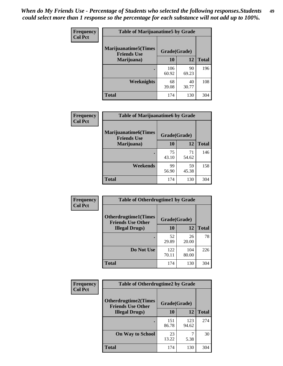| Frequency      | <b>Table of Marijuanatime5 by Grade</b>            |              |             |              |
|----------------|----------------------------------------------------|--------------|-------------|--------------|
| <b>Col Pct</b> | <b>Marijuanatime5</b> (Times<br><b>Friends Use</b> | Grade(Grade) |             |              |
|                | Marijuana)                                         | 10           | 12          | <b>Total</b> |
|                |                                                    | 106<br>60.92 | 90<br>69.23 | 196          |
|                | <b>Weeknights</b>                                  | 68<br>39.08  | 40<br>30.77 | 108          |
|                | <b>Total</b>                                       | 174          | 130         | 304          |

| Frequency      | <b>Table of Marijuanatime6 by Grade</b>    |              |             |              |
|----------------|--------------------------------------------|--------------|-------------|--------------|
| <b>Col Pct</b> | Marijuanatime6(Times<br><b>Friends Use</b> | Grade(Grade) |             |              |
|                | Marijuana)                                 | 10           | 12          | <b>Total</b> |
|                |                                            | 75<br>43.10  | 71<br>54.62 | 146          |
|                | Weekends                                   | 99<br>56.90  | 59<br>45.38 | 158          |
|                | <b>Total</b>                               | 174          | 130         | 304          |

| Frequency      | <b>Table of Otherdrugtime1 by Grade</b>                 |              |              |              |
|----------------|---------------------------------------------------------|--------------|--------------|--------------|
| <b>Col Pct</b> | <b>Otherdrugtime1(Times</b><br><b>Friends Use Other</b> | Grade(Grade) |              |              |
|                | <b>Illegal Drugs</b> )                                  | 10           | 12           | <b>Total</b> |
|                |                                                         | 52<br>29.89  | 26<br>20.00  | 78           |
|                | Do Not Use                                              | 122<br>70.11 | 104<br>80.00 | 226          |
|                | <b>Total</b>                                            | 174          | 130          | 304          |

| Frequency      | <b>Table of Otherdrugtime2 by Grade</b>                 |              |              |              |
|----------------|---------------------------------------------------------|--------------|--------------|--------------|
| <b>Col Pct</b> | <b>Otherdrugtime2(Times</b><br><b>Friends Use Other</b> | Grade(Grade) |              |              |
|                | <b>Illegal Drugs</b> )                                  | 10           | 12           | <b>Total</b> |
|                |                                                         | 151<br>86.78 | 123<br>94.62 | 274          |
|                | <b>On Way to School</b>                                 | 23<br>13.22  | 7<br>5.38    | 30           |
|                | Total                                                   | 174          | 130          | 304          |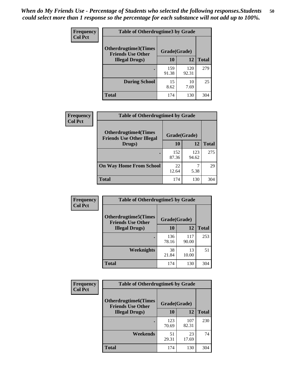| <b>Frequency</b> | <b>Table of Otherdrugtime3 by Grade</b>                          |              |              |              |
|------------------|------------------------------------------------------------------|--------------|--------------|--------------|
| <b>Col Pct</b>   | Otherdrugtime3(Times<br>Grade(Grade)<br><b>Friends Use Other</b> |              |              |              |
|                  | <b>Illegal Drugs</b> )                                           | 10           | 12           | <b>Total</b> |
|                  |                                                                  | 159<br>91.38 | 120<br>92.31 | 279          |
|                  | <b>During School</b>                                             | 15<br>8.62   | 10<br>7.69   | 25           |
|                  | Total                                                            | 174          | 130          | 304          |

| <b>Frequency</b> | <b>Table of Otherdrugtime4 by Grade</b>                         |              |              |              |
|------------------|-----------------------------------------------------------------|--------------|--------------|--------------|
| <b>Col Pct</b>   | <b>Otherdrugtime4(Times</b><br><b>Friends Use Other Illegal</b> | Grade(Grade) |              |              |
|                  | Drugs)                                                          | 10           | 12           | <b>Total</b> |
|                  | $\bullet$                                                       | 152<br>87.36 | 123<br>94.62 | 275          |
|                  | <b>On Way Home From School</b>                                  | 22<br>12.64  | 5.38         | 29           |
|                  | <b>Total</b>                                                    | 174          | 130          | 304          |

| <b>Frequency</b><br><b>Col Pct</b> | <b>Table of Otherdrugtime5 by Grade</b>                  |              |              |              |
|------------------------------------|----------------------------------------------------------|--------------|--------------|--------------|
|                                    | <b>Otherdrugtime5</b> (Times<br><b>Friends Use Other</b> | Grade(Grade) |              |              |
|                                    | <b>Illegal Drugs</b> )                                   | 10           | 12           | <b>Total</b> |
|                                    |                                                          | 136<br>78.16 | 117<br>90.00 | 253          |
|                                    | Weeknights                                               | 38<br>21.84  | 13<br>10.00  | 51           |
|                                    | Total                                                    | 174          | 130          | 304          |

| <b>Frequency</b> | <b>Table of Otherdrugtime6 by Grade</b>                                 |              |              |              |
|------------------|-------------------------------------------------------------------------|--------------|--------------|--------------|
| <b>Col Pct</b>   | <b>Otherdrugtime6(Times</b><br>Grade(Grade)<br><b>Friends Use Other</b> |              |              |              |
|                  | <b>Illegal Drugs</b> )                                                  | 10           | 12           | <b>Total</b> |
|                  |                                                                         | 123<br>70.69 | 107<br>82.31 | 230          |
|                  | Weekends                                                                | 51<br>29.31  | 23<br>17.69  | 74           |
|                  | Total                                                                   | 174          | 130          | 304          |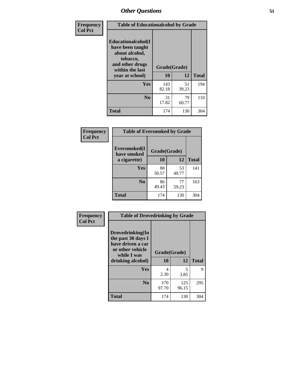| Frequency      | <b>Table of Educationalcohol by Grade</b>                                                                  |              |             |              |
|----------------|------------------------------------------------------------------------------------------------------------|--------------|-------------|--------------|
| <b>Col Pct</b> | Educationalcohol(I<br>have been taught<br>about alcohol,<br>tobacco,<br>and other drugs<br>within the last | Grade(Grade) |             |              |
|                | year at school)                                                                                            | 10           | 12          | <b>Total</b> |
|                | Yes                                                                                                        | 143<br>82.18 | 51<br>39.23 | 194          |
|                | N <sub>0</sub>                                                                                             | 31<br>17.82  | 79<br>60.77 | 110          |
|                | <b>Total</b>                                                                                               | 174          | 130         | 304          |

| Frequency      | <b>Table of Eversmoked by Grade</b> |              |             |              |  |
|----------------|-------------------------------------|--------------|-------------|--------------|--|
| <b>Col Pct</b> | Eversmoked(I<br>have smoked         | Grade(Grade) |             |              |  |
|                | a cigarette)                        | 10           | 12          | <b>Total</b> |  |
|                | <b>Yes</b>                          | 88<br>50.57  | 53<br>40.77 | 141          |  |
|                | N <sub>0</sub>                      | 86<br>49.43  | 77<br>59.23 | 163          |  |
|                | <b>Total</b>                        | 174          | 130         | 304          |  |

| Frequency      | <b>Table of Drovedrinking by Grade</b>                                                                              |                    |              |              |
|----------------|---------------------------------------------------------------------------------------------------------------------|--------------------|--------------|--------------|
| <b>Col Pct</b> | Drovedrinking(In<br>the past 30 days I<br>have driven a car<br>or other vehicle<br>while I was<br>drinking alcohol) | Grade(Grade)<br>10 | 12           | <b>Total</b> |
|                | <b>Yes</b>                                                                                                          | 4<br>2.30          | 5<br>3.85    | 9            |
|                | N <sub>0</sub>                                                                                                      | 170<br>97.70       | 125<br>96.15 | 295          |
|                | <b>Total</b>                                                                                                        | 174                | 130          | 304          |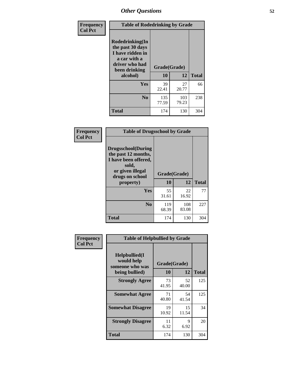| Frequency<br><b>Col Pct</b> | <b>Table of Rodedrinking by Grade</b>                                                                      |              |              |              |
|-----------------------------|------------------------------------------------------------------------------------------------------------|--------------|--------------|--------------|
|                             | Rodedrinking(In<br>the past 30 days<br>I have ridden in<br>a car with a<br>driver who had<br>been drinking | Grade(Grade) |              |              |
|                             | alcohol)                                                                                                   | 10           | 12           | <b>Total</b> |
|                             | <b>Yes</b>                                                                                                 | 39<br>22.41  | 27<br>20.77  | 66           |
|                             | N <sub>0</sub>                                                                                             | 135<br>77.59 | 103<br>79.23 | 238          |
|                             | <b>Total</b>                                                                                               | 174          | 130          | 304          |

#### **Frequency Col Pct**

| <b>Table of Drugsschool by Grade</b>                                                                                      |              |              |              |  |
|---------------------------------------------------------------------------------------------------------------------------|--------------|--------------|--------------|--|
| <b>Drugsschool</b> (During<br>the past 12 months,<br>I have been offered,<br>sold,<br>or given illegal<br>drugs on school | Grade(Grade) |              |              |  |
| property)                                                                                                                 | 10           | 12           | <b>Total</b> |  |
| Yes                                                                                                                       | 55<br>31.61  | 22<br>16.92  | 77           |  |
| N <sub>0</sub>                                                                                                            | 119<br>68.39 | 108<br>83.08 | 227          |  |
| Total                                                                                                                     | 174          | 130          | 304          |  |

| Frequency      | <b>Table of Helpbullied by Grade</b>                              |                    |             |              |  |
|----------------|-------------------------------------------------------------------|--------------------|-------------|--------------|--|
| <b>Col Pct</b> | Helpbullied(I)<br>would help<br>someone who was<br>being bullied) | Grade(Grade)<br>10 | 12          | <b>Total</b> |  |
|                |                                                                   |                    |             |              |  |
|                | <b>Strongly Agree</b>                                             | 73<br>41.95        | 52<br>40.00 | 125          |  |
|                | <b>Somewhat Agree</b>                                             | 71<br>40.80        | 54<br>41.54 | 125          |  |
|                | <b>Somewhat Disagree</b>                                          | 19<br>10.92        | 15<br>11.54 | 34           |  |
|                | <b>Strongly Disagree</b>                                          | 11<br>6.32         | 9<br>6.92   | 20           |  |
|                | <b>Total</b>                                                      | 174                | 130         | 304          |  |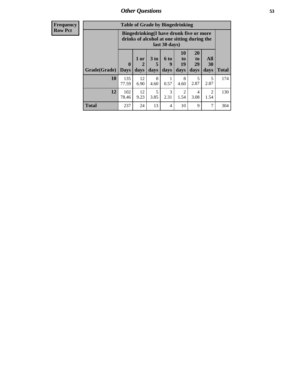| <b>Frequency</b> |  |
|------------------|--|
| <b>Row Pct</b>   |  |

| <b>Table of Grade by Bingedrinking</b> |                                                                                                         |                     |                   |                              |                        |                        |                                     |              |
|----------------------------------------|---------------------------------------------------------------------------------------------------------|---------------------|-------------------|------------------------------|------------------------|------------------------|-------------------------------------|--------------|
|                                        | Bingedrinking(I have drunk five or more<br>drinks of alcohol at one sitting during the<br>last 30 days) |                     |                   |                              |                        |                        |                                     |              |
| Grade(Grade)                           | $\mathbf 0$<br><b>Days</b>                                                                              | $1$ or<br>2<br>days | 3 to<br>5<br>days | 6 <sub>to</sub><br>9<br>days | 10<br>to<br>19<br>days | 20<br>to<br>29<br>days | All<br>30<br>days                   | <b>Total</b> |
| 10                                     | 135<br>77.59                                                                                            | 12<br>6.90          | 8<br>4.60         | 1<br>0.57                    | 8<br>4.60              | 5<br>2.87              | 5<br>2.87                           | 174          |
| 12                                     | 102<br>78.46                                                                                            | 12<br>9.23          | 5<br>3.85         | 3<br>2.31                    | $\mathfrak{D}$<br>1.54 | 4<br>3.08              | $\mathcal{D}_{\mathcal{L}}$<br>1.54 | 130          |
|                                        |                                                                                                         |                     |                   |                              |                        |                        |                                     |              |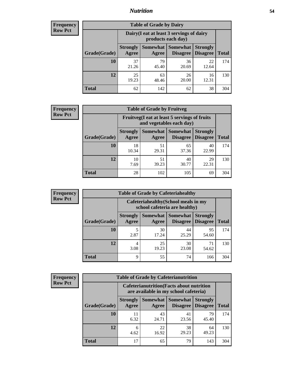### *Nutrition* **54**

| <b>Frequency</b><br>Row Pct |  |
|-----------------------------|--|
|                             |  |

| <b>Table of Grade by Dairy</b> |                          |                                                                 |                             |                                    |              |  |  |  |  |
|--------------------------------|--------------------------|-----------------------------------------------------------------|-----------------------------|------------------------------------|--------------|--|--|--|--|
|                                |                          | Dairy (I eat at least 3 servings of dairy<br>products each day) |                             |                                    |              |  |  |  |  |
| Grade(Grade)                   | <b>Strongly</b><br>Agree | Somewhat  <br>Agree                                             | <b>Somewhat</b><br>Disagree | <b>Strongly</b><br><b>Disagree</b> | <b>Total</b> |  |  |  |  |
| 10                             | 37<br>21.26              | 79<br>45.40                                                     | 36<br>20.69                 | 22<br>12.64                        | 174          |  |  |  |  |
| 12                             | 25<br>19.23              | 63<br>48.46                                                     | 26<br>20.00                 | 16<br>12.31                        | 130          |  |  |  |  |
| <b>Total</b>                   | 62                       | 142                                                             | 62                          | 38                                 | 304          |  |  |  |  |

| <b>Frequency</b> |  |
|------------------|--|
| <b>Row Pct</b>   |  |

| <b>Table of Grade by Fruitveg</b>                                        |                          |                     |                                    |                                    |              |  |
|--------------------------------------------------------------------------|--------------------------|---------------------|------------------------------------|------------------------------------|--------------|--|
| Fruitveg(I eat at least 5 servings of fruits<br>and vegetables each day) |                          |                     |                                    |                                    |              |  |
| Grade(Grade)                                                             | <b>Strongly</b><br>Agree | Somewhat  <br>Agree | <b>Somewhat</b><br><b>Disagree</b> | <b>Strongly</b><br><b>Disagree</b> | <b>Total</b> |  |
| 10                                                                       | 18<br>10.34              | 51<br>29.31         | 65<br>37.36                        | 40<br>22.99                        | 174          |  |
| 12                                                                       | 10<br>7.69               | 51<br>39.23         | 40<br>30.77                        | 29<br>22.31                        | 130          |  |
| <b>Total</b>                                                             | 28                       | 102                 | 105                                | 69                                 | 304          |  |

| <b>Frequency</b> | <b>Table of Grade by Cafeteriahealthy</b> |                          |                                                                       |                 |                                    |              |  |  |  |
|------------------|-------------------------------------------|--------------------------|-----------------------------------------------------------------------|-----------------|------------------------------------|--------------|--|--|--|
| <b>Row Pct</b>   |                                           |                          | Cafeteriahealthy (School meals in my<br>school cafeteria are healthy) |                 |                                    |              |  |  |  |
|                  | Grade(Grade)                              | <b>Strongly</b><br>Agree | Somewhat Somewhat<br>Agree                                            | <b>Disagree</b> | <b>Strongly</b><br><b>Disagree</b> | <b>Total</b> |  |  |  |
|                  | 10                                        | 2.87                     | 30<br>17.24                                                           | 44<br>25.29     | 95<br>54.60                        | 174          |  |  |  |
|                  | 12                                        | 4<br>3.08                | 25<br>19.23                                                           | 30<br>23.08     | 71<br>54.62                        | 130          |  |  |  |
|                  | Total                                     | 9                        | 55                                                                    | 74              | 166                                | 304          |  |  |  |

| <b>Frequency</b> |
|------------------|
| <b>Row Pct</b>   |

| <b>Table of Grade by Cafeterianutrition</b>                                               |                          |                          |                                    |                                    |              |  |  |
|-------------------------------------------------------------------------------------------|--------------------------|--------------------------|------------------------------------|------------------------------------|--------------|--|--|
| <b>Cafeterianutrition</b> (Facts about nutrition<br>are available in my school cafeteria) |                          |                          |                                    |                                    |              |  |  |
| Grade(Grade)                                                                              | <b>Strongly</b><br>Agree | <b>Somewhat</b><br>Agree | <b>Somewhat</b><br><b>Disagree</b> | <b>Strongly</b><br><b>Disagree</b> | <b>Total</b> |  |  |
| 10                                                                                        | 11<br>6.32               | 43<br>24.71              | 41<br>23.56                        | 79<br>45.40                        | 174          |  |  |
| 12                                                                                        | 6<br>4.62                | 22<br>16.92              | 38<br>29.23                        | 64<br>49.23                        | 130          |  |  |
| <b>Total</b>                                                                              | 17                       | 65                       | 79                                 | 143                                | 304          |  |  |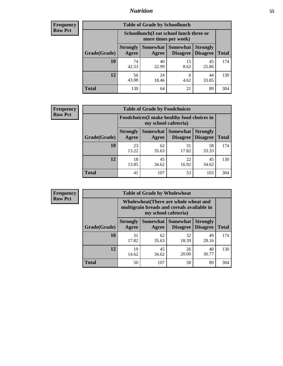### *Nutrition* **55**

| <b>Frequency</b> |
|------------------|
| Row Pct          |

| <b>Table of Grade by Schoollunch</b> |                          |                                                                 |                             |                                    |       |  |  |  |  |
|--------------------------------------|--------------------------|-----------------------------------------------------------------|-----------------------------|------------------------------------|-------|--|--|--|--|
|                                      |                          | Schoollunch(I eat school lunch three or<br>more times per week) |                             |                                    |       |  |  |  |  |
| Grade(Grade)                         | <b>Strongly</b><br>Agree | Somewhat  <br>Agree                                             | <b>Somewhat</b><br>Disagree | <b>Strongly</b><br><b>Disagree</b> | Total |  |  |  |  |
| 10                                   | 74<br>42.53              | 40<br>22.99                                                     | 15<br>8.62                  | 45<br>25.86                        | 174   |  |  |  |  |
| 12                                   | 56<br>43.08              | 24<br>18.46                                                     | 6<br>4.62                   | 44<br>33.85                        | 130   |  |  |  |  |
| <b>Total</b>                         | 130                      | 64                                                              | 21                          | 89                                 | 304   |  |  |  |  |

| <b>Frequency</b> |  |
|------------------|--|
| <b>Row Pct</b>   |  |

| <b>Table of Grade by Foodchoices</b>                                       |                          |             |                                      |                                    |              |  |  |
|----------------------------------------------------------------------------|--------------------------|-------------|--------------------------------------|------------------------------------|--------------|--|--|
| <b>Foodchoices</b> (I make healthy food choices in<br>my school cafeteria) |                          |             |                                      |                                    |              |  |  |
| Grade(Grade)                                                               | <b>Strongly</b><br>Agree | Agree       | <b>Somewhat Somewhat</b><br>Disagree | <b>Strongly</b><br><b>Disagree</b> | <b>Total</b> |  |  |
| 10                                                                         | 23<br>13.22              | 62<br>35.63 | 31<br>17.82                          | 58<br>33.33                        | 174          |  |  |
| 12                                                                         | 18<br>13.85              | 45<br>34.62 | 22<br>16.92                          | 45<br>34.62                        | 130          |  |  |
| <b>Total</b>                                                               | 41                       | 107         | 53                                   | 103                                | 304          |  |  |

| <b>Frequency</b> |              | <b>Table of Grade by Wholewheat</b>                                                                         |                          |                             |                                    |              |  |
|------------------|--------------|-------------------------------------------------------------------------------------------------------------|--------------------------|-----------------------------|------------------------------------|--------------|--|
| <b>Row Pct</b>   |              | Wholewheat (There are whole wheat and<br>multigrain breads and cereals available in<br>my school cafeteria) |                          |                             |                                    |              |  |
|                  | Grade(Grade) | <b>Strongly</b><br>Agree                                                                                    | <b>Somewhat</b><br>Agree | <b>Somewhat</b><br>Disagree | <b>Strongly</b><br><b>Disagree</b> | <b>Total</b> |  |
|                  | 10           | 31<br>17.82                                                                                                 | 62<br>35.63              | 32<br>18.39                 | 49<br>28.16                        | 174          |  |
|                  | 12           | 19<br>14.62                                                                                                 | 45<br>34.62              | 26<br>20.00                 | 40<br>30.77                        | 130          |  |
|                  | <b>Total</b> | 50                                                                                                          | 107                      | 58                          | 89                                 | 304          |  |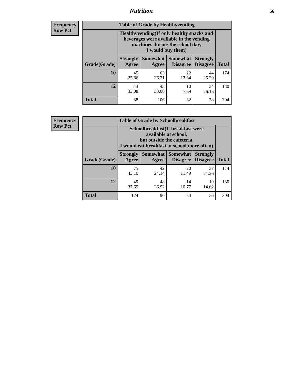### *Nutrition* **56**

**Frequency Row Pct**

| <b>Table of Grade by Healthyvending</b> |                                                                                                                                               |             |                                        |                                    |              |  |
|-----------------------------------------|-----------------------------------------------------------------------------------------------------------------------------------------------|-------------|----------------------------------------|------------------------------------|--------------|--|
|                                         | Healthyvending (If only healthy snacks and<br>beverages were available in the vending<br>machines during the school day,<br>I would buy them) |             |                                        |                                    |              |  |
| Grade(Grade)                            | <b>Strongly</b><br>Agree                                                                                                                      | Agree       | Somewhat   Somewhat<br><b>Disagree</b> | <b>Strongly</b><br><b>Disagree</b> | <b>Total</b> |  |
| 10                                      | 45<br>25.86                                                                                                                                   | 63<br>36.21 | 22<br>12.64                            | 44<br>25.29                        | 174          |  |
| 12                                      | 43<br>33.08                                                                                                                                   | 43<br>33.08 | 10<br>7.69                             | 34<br>26.15                        | 130          |  |
| <b>Total</b>                            | 88                                                                                                                                            | 106         | 32                                     | 78                                 | 304          |  |

**Frequency Row Pct**

| <b>Table of Grade by Schoolbreakfast</b> |                                                                                                                                         |             |                                        |                                    |              |  |
|------------------------------------------|-----------------------------------------------------------------------------------------------------------------------------------------|-------------|----------------------------------------|------------------------------------|--------------|--|
|                                          | Schoolbreakfast (If breakfast were<br>available at school,<br>but outside the cafeteria,<br>I would eat breakfast at school more often) |             |                                        |                                    |              |  |
| Grade(Grade)                             | <b>Strongly</b><br>Agree                                                                                                                | Agree       | Somewhat   Somewhat<br><b>Disagree</b> | <b>Strongly</b><br><b>Disagree</b> | <b>Total</b> |  |
| 10                                       | 75<br>43.10                                                                                                                             | 42<br>24.14 | 20<br>11.49                            | 37<br>21.26                        | 174          |  |
| 12                                       | 49<br>37.69                                                                                                                             | 48<br>36.92 | 14<br>10.77                            | 19<br>14.62                        | 130          |  |
| <b>Total</b>                             | 124                                                                                                                                     | 90          | 34                                     | 56                                 | 304          |  |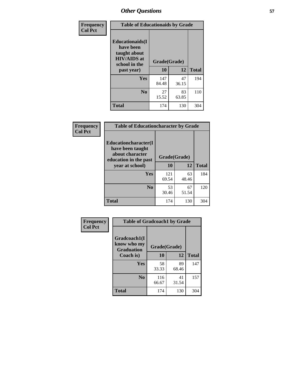| Frequency<br><b>Col Pct</b> | <b>Table of Educationaids by Grade</b>                                                                    |                    |             |              |
|-----------------------------|-----------------------------------------------------------------------------------------------------------|--------------------|-------------|--------------|
|                             | <b>Educationaids</b> (I<br>have been<br>taught about<br><b>HIV/AIDS</b> at<br>school in the<br>past year) | Grade(Grade)<br>10 | 12          | <b>Total</b> |
|                             | Yes                                                                                                       | 147<br>84.48       | 47<br>36.15 | 194          |
|                             | N <sub>0</sub>                                                                                            | 27<br>15.52        | 83<br>63.85 | 110          |
|                             | <b>Total</b>                                                                                              | 174                | 130         | 304          |

| Frequency      | <b>Table of Educationcharacter by Grade</b>                         |              |             |              |
|----------------|---------------------------------------------------------------------|--------------|-------------|--------------|
| <b>Col Pct</b> | <b>Educationcharacter(I)</b><br>have been taught<br>about character | Grade(Grade) |             |              |
|                | education in the past<br>year at school)                            | 10           | 12          | <b>Total</b> |
|                | <b>Yes</b>                                                          | 121<br>69.54 | 63<br>48.46 | 184          |
|                | N <sub>0</sub>                                                      | 53<br>30.46  | 67<br>51.54 | 120          |
|                | <b>Total</b>                                                        | 174          | 130         | 304          |

| Frequency      | <b>Table of Gradcoach1 by Grade</b>              |              |             |              |
|----------------|--------------------------------------------------|--------------|-------------|--------------|
| <b>Col Pct</b> | Gradcoach1(I<br>know who my<br><b>Graduation</b> | Grade(Grade) |             |              |
|                | Coach is)                                        | 10           | 12          | <b>Total</b> |
|                | <b>Yes</b>                                       | 58<br>33.33  | 89<br>68.46 | 147          |
|                | N <sub>0</sub>                                   | 116<br>66.67 | 41<br>31.54 | 157          |
|                | <b>Total</b>                                     | 174          | 130         | 304          |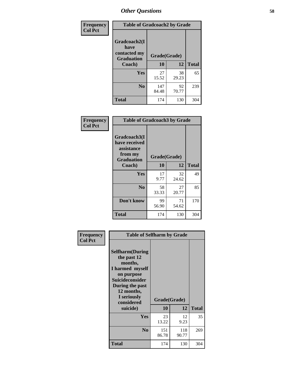| Frequency      | <b>Table of Gradcoach2 by Grade</b> |              |             |              |  |
|----------------|-------------------------------------|--------------|-------------|--------------|--|
| <b>Col Pct</b> | Gradcoach2(I<br>have                |              |             |              |  |
|                | contacted my<br><b>Graduation</b>   | Grade(Grade) |             |              |  |
|                | Coach)                              | 10           | 12          | <b>Total</b> |  |
|                | Yes                                 | 27<br>15.52  | 38<br>29.23 | 65           |  |
|                | N <sub>0</sub>                      | 147<br>84.48 | 92<br>70.77 | 239          |  |
|                | <b>Total</b>                        | 174          | 130         | 304          |  |

| <b>Frequency</b><br><b>Col Pct</b> | <b>Table of Gradcoach3 by Grade</b>                                         |              |             |              |
|------------------------------------|-----------------------------------------------------------------------------|--------------|-------------|--------------|
|                                    | Gradcoach3(I<br>have received<br>assistance<br>from my<br><b>Graduation</b> | Grade(Grade) |             |              |
|                                    | Coach)                                                                      | 10           | 12          | <b>Total</b> |
|                                    | <b>Yes</b>                                                                  | 17<br>9.77   | 32<br>24.62 | 49           |
|                                    | N <sub>0</sub>                                                              | 58<br>33.33  | 27<br>20.77 | 85           |
|                                    | Don't know                                                                  | 99<br>56.90  | 71<br>54.62 | 170          |
|                                    | <b>Total</b>                                                                | 174          | 130         | 304          |

| Frequency      | <b>Table of Selfharm by Grade</b>                                                                                                                                                      |              |                    |              |
|----------------|----------------------------------------------------------------------------------------------------------------------------------------------------------------------------------------|--------------|--------------------|--------------|
| <b>Col Pct</b> | <b>Selfharm</b> (During<br>the past 12<br>months,<br>I harmed myself<br>on purpose<br><b>Suicideconsider</b><br>During the past<br>12 months,<br>I seriously<br>considered<br>suicide) | 10           | Grade(Grade)<br>12 | <b>Total</b> |
|                | Yes                                                                                                                                                                                    | 23<br>13.22  | 12<br>9.23         | 35           |
|                | N <sub>0</sub>                                                                                                                                                                         | 151<br>86.78 | 118<br>90.77       | 269          |
|                | <b>Total</b>                                                                                                                                                                           | 174          | 130                | 304          |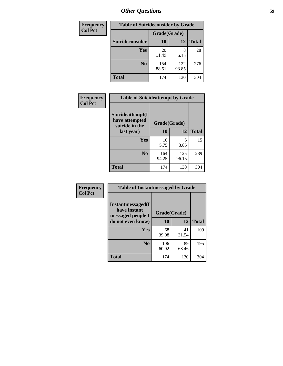| <b>Frequency</b> | <b>Table of Suicideconsider by Grade</b> |              |              |              |
|------------------|------------------------------------------|--------------|--------------|--------------|
| <b>Col Pct</b>   |                                          | Grade(Grade) |              |              |
|                  | <b>Suicideconsider</b>                   | 10           | 12           | <b>Total</b> |
|                  | <b>Yes</b>                               | 20<br>11.49  | 8<br>6.15    | 28           |
|                  | N <sub>0</sub>                           | 154<br>88.51 | 122<br>93.85 | 276          |
|                  | <b>Total</b>                             | 174          | 130          | 304          |

| Frequency      | <b>Table of Suicideattempt by Grade</b>              |              |              |              |
|----------------|------------------------------------------------------|--------------|--------------|--------------|
| <b>Col Pct</b> | Suicideattempt(I<br>have attempted<br>suicide in the | Grade(Grade) |              |              |
|                | last year)                                           | 10           | 12           | <b>Total</b> |
|                | Yes                                                  | 10<br>5.75   | 5<br>3.85    | 15           |
|                | N <sub>0</sub>                                       | 164<br>94.25 | 125<br>96.15 | 289          |
|                | <b>Total</b>                                         | 174          | 130          | 304          |

| Frequency      | <b>Table of Instantmessaged by Grade</b>               |              |             |              |
|----------------|--------------------------------------------------------|--------------|-------------|--------------|
| <b>Col Pct</b> | Instantmessaged(I<br>have instant<br>messaged people I | Grade(Grade) |             |              |
|                | do not even know)                                      | 10           | 12          | <b>Total</b> |
|                | Yes                                                    | 68<br>39.08  | 41<br>31.54 | 109          |
|                | N <sub>0</sub>                                         | 106<br>60.92 | 89<br>68.46 | 195          |
|                | <b>Total</b>                                           | 174          | 130         | 304          |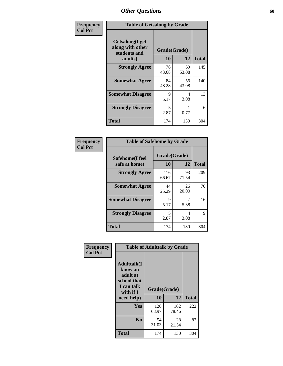| Frequency      | <b>Table of Getsalong by Grade</b>                                     |                    |             |              |  |  |
|----------------|------------------------------------------------------------------------|--------------------|-------------|--------------|--|--|
| <b>Col Pct</b> | <b>Getsalong</b> (I get<br>along with other<br>students and<br>adults) | Grade(Grade)<br>10 | 12          | <b>Total</b> |  |  |
|                | <b>Strongly Agree</b>                                                  | 76<br>43.68        | 69<br>53.08 | 145          |  |  |
|                | <b>Somewhat Agree</b>                                                  | 84<br>48.28        | 56<br>43.08 | 140          |  |  |
|                | <b>Somewhat Disagree</b>                                               | 9<br>5.17          | 4<br>3.08   | 13           |  |  |
|                | <b>Strongly Disagree</b>                                               | 5<br>2.87          | 0.77        | 6            |  |  |
|                | <b>Total</b>                                                           | 174                | 130         | 304          |  |  |

| Frequency      | <b>Table of Safehome by Grade</b> |                    |             |              |  |  |
|----------------|-----------------------------------|--------------------|-------------|--------------|--|--|
| <b>Col Pct</b> | Safehome(I feel<br>safe at home)  | Grade(Grade)<br>10 | 12          | <b>Total</b> |  |  |
|                | <b>Strongly Agree</b>             | 116<br>66.67       | 93<br>71.54 | 209          |  |  |
|                | <b>Somewhat Agree</b>             | 44<br>25.29        | 26<br>20.00 | 70           |  |  |
|                | <b>Somewhat Disagree</b>          | 9<br>5.17          | 5.38        | 16           |  |  |
|                | <b>Strongly Disagree</b>          | 5<br>2.87          | 4<br>3.08   | 9            |  |  |
|                | <b>Total</b>                      | 174                | 130         | 304          |  |  |

| Frequency      |                                                                                                   | <b>Table of Adulttalk by Grade</b> |              |              |
|----------------|---------------------------------------------------------------------------------------------------|------------------------------------|--------------|--------------|
| <b>Col Pct</b> | <b>Adulttalk(I</b><br>know an<br>adult at<br>school that<br>I can talk<br>with if I<br>need help) | Grade(Grade)<br>10                 | 12           | <b>Total</b> |
|                |                                                                                                   |                                    |              |              |
|                | <b>Yes</b>                                                                                        | 120<br>68.97                       | 102<br>78.46 | 222          |
|                | N <sub>0</sub>                                                                                    | 54<br>31.03                        | 28<br>21.54  | 82           |
|                | <b>Total</b>                                                                                      | 174                                | 130          | 304          |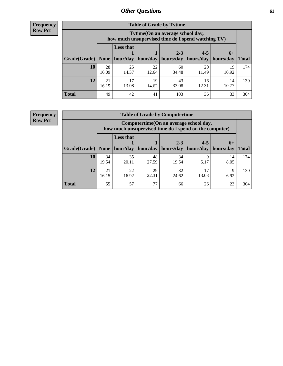**Frequency Row Pct**

| <b>Table of Grade by Tytime</b> |             |                                                                                                                           |             |             |             |             |     |  |  |  |
|---------------------------------|-------------|---------------------------------------------------------------------------------------------------------------------------|-------------|-------------|-------------|-------------|-----|--|--|--|
|                                 |             | Tytime (On an average school day,<br>how much unsupervised time do I spend watching TV)                                   |             |             |             |             |     |  |  |  |
| Grade(Grade)   None             |             | <b>Less that</b><br>$2 - 3$<br>$4 - 5$<br>$6+$<br>hour/day   hour/day   hours/day   hours/day   hours/day<br><b>Total</b> |             |             |             |             |     |  |  |  |
| 10                              | 28<br>16.09 | 25<br>14.37                                                                                                               | 22<br>12.64 | 60<br>34.48 | 20<br>11.49 | 19<br>10.92 | 174 |  |  |  |
| 12                              | 21<br>16.15 | 17<br>13.08                                                                                                               | 19<br>14.62 | 43<br>33.08 | 16<br>12.31 | 14<br>10.77 | 130 |  |  |  |
| <b>Total</b>                    | 49          | 42                                                                                                                        | 41          | 103         | 36          | 33          | 304 |  |  |  |

**Frequency Row Pct**

| <b>Table of Grade by Computertime</b> |             |                                                                                                   |             |                      |                      |                   |              |  |  |  |
|---------------------------------------|-------------|---------------------------------------------------------------------------------------------------|-------------|----------------------|----------------------|-------------------|--------------|--|--|--|
|                                       |             | Computertime (On an average school day,<br>how much unsupervised time do I spend on the computer) |             |                      |                      |                   |              |  |  |  |
| Grade(Grade)                          | None $ $    | <b>Less that</b><br>hour/day                                                                      | hour/day    | $2 - 3$<br>hours/day | $4 - 5$<br>hours/day | $6+$<br>hours/day | <b>Total</b> |  |  |  |
| 10                                    | 34<br>19.54 | 35<br>20.11                                                                                       | 48<br>27.59 | 34<br>19.54          | 9<br>5.17            | 14<br>8.05        | 174          |  |  |  |
| 12                                    | 21<br>16.15 | 22<br>29<br>32<br>17<br>Q<br>22.31<br>13.08<br>16.92<br>6.92<br>24.62                             |             |                      |                      |                   |              |  |  |  |
| <b>Total</b>                          | 55          | 57                                                                                                | 77          | 66                   | 26                   | 23                | 304          |  |  |  |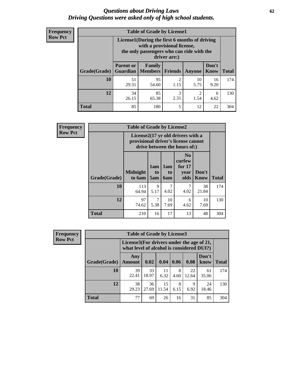#### *Questions about Driving Laws* **62** *Driving Questions were asked only of high school students.*

| <b>Frequency</b> |
|------------------|
| <b>Row Pct</b>   |

| <b>Table of Grade by License1</b> |                                                                   |                                                                                                                                           |                        |            |               |              |  |  |  |
|-----------------------------------|-------------------------------------------------------------------|-------------------------------------------------------------------------------------------------------------------------------------------|------------------------|------------|---------------|--------------|--|--|--|
|                                   |                                                                   | License1(During the first 6 months of driving<br>with a provisional license,<br>the only passengers who can ride with the<br>driver are:) |                        |            |               |              |  |  |  |
| Grade(Grade)                      | <b>Parent or</b><br><b>Guardian</b>                               | Family<br>  Members                                                                                                                       | <b>Friends</b>         | Anyone     | Don't<br>Know | <b>Total</b> |  |  |  |
| 10                                | 51<br>29.31                                                       | 95<br>54.60                                                                                                                               | $\overline{2}$<br>1.15 | 10<br>5.75 | 16<br>9.20    | 174          |  |  |  |
| 12                                | 85<br>3<br>34<br>2<br>6<br>2.31<br>26.15<br>65.38<br>1.54<br>4.62 |                                                                                                                                           |                        |            |               |              |  |  |  |
| <b>Total</b>                      | 85                                                                | 180                                                                                                                                       | 5                      | 12         | 22            | 304          |  |  |  |

| <b>Frequency</b> |                                                                                                          | <b>Table of Grade by License2</b> |                              |                              |                                                      |               |              |
|------------------|----------------------------------------------------------------------------------------------------------|-----------------------------------|------------------------------|------------------------------|------------------------------------------------------|---------------|--------------|
| <b>Row Pct</b>   | License2(17 yr old drivers with a<br>provisional driver's license cannot<br>drive between the hours of:) |                                   |                              |                              |                                                      |               |              |
|                  | Grade(Grade)                                                                                             | <b>Midnight</b><br>to 6am         | 1am<br>t <sub>0</sub><br>5am | 1am<br>t <sub>0</sub><br>6am | N <sub>0</sub><br>curfew<br>for $17$<br>vear<br>olds | Don't<br>Know | <b>Total</b> |
|                  | 10                                                                                                       | 113<br>64.94                      | 9<br>5.17                    | 7<br>4.02                    | 7<br>4.02                                            | 38<br>21.84   | 174          |
|                  | 12                                                                                                       | 97<br>74.62                       | 7<br>5.38                    | 10<br>7.69                   | 6<br>4.62                                            | 10<br>7.69    | 130          |
|                  | <b>Total</b>                                                                                             | 210                               | 16                           | 17                           | 13                                                   | 48            | 304          |

| Frequency      |              | <b>Table of Grade by License3</b> |                                                                                        |             |           |                     |               |              |  |  |
|----------------|--------------|-----------------------------------|----------------------------------------------------------------------------------------|-------------|-----------|---------------------|---------------|--------------|--|--|
| <b>Row Pct</b> |              |                                   | License3(For drivers under the age of 21,<br>what level of alcohol is considered DUI?) |             |           |                     |               |              |  |  |
|                | Grade(Grade) | Any<br><b>Amount</b>              | 0.02                                                                                   | 0.04        | 0.06      | 0.08                | Don't<br>know | <b>Total</b> |  |  |
|                | <b>10</b>    | 39<br>22.41                       | 33<br>18.97                                                                            | 11<br>6.32  | 8<br>4.60 | 22<br>12.64         | 61<br>35.06   | 174          |  |  |
|                | 12           | 38<br>29.23                       | 36<br>27.69                                                                            | 15<br>11.54 | 8<br>6.15 | $\mathbf Q$<br>6.92 | 24<br>18.46   | 130          |  |  |
|                | <b>Total</b> | 77                                | 69                                                                                     | 26          | 16        | 31                  | 85            | 304          |  |  |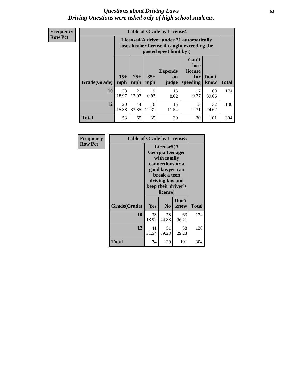#### *Questions about Driving Laws* **63** *Driving Questions were asked only of high school students.*

**Frequency Row Pct**

| <b>Table of Grade by License4</b> |             |                                                                                                                                                                                                                                                                                       |             |            |            |             |     |  |  |
|-----------------------------------|-------------|---------------------------------------------------------------------------------------------------------------------------------------------------------------------------------------------------------------------------------------------------------------------------------------|-------------|------------|------------|-------------|-----|--|--|
|                                   |             | License4(A driver under 21 automatically<br>loses his/her license if caught exceeding the<br>posted speet limit by:)<br>Can't<br>lose<br><b>Depends</b><br>license<br>$15+$<br>$25+$<br>$35+$<br>Don't<br>for<br><b>on</b><br>mph<br>speeding<br><b>Total</b><br>know<br>mph<br>judge |             |            |            |             |     |  |  |
| Grade(Grade)                      | mph         |                                                                                                                                                                                                                                                                                       |             |            |            |             |     |  |  |
| 10                                | 33<br>18.97 | 21<br>12.07                                                                                                                                                                                                                                                                           | 19<br>10.92 | 15<br>8.62 | 17<br>9.77 | 69<br>39.66 | 174 |  |  |
| 12                                | 20<br>15.38 | 15<br>44<br>16<br>3<br>32<br>33.85<br>2.31<br>12.31<br>11.54<br>24.62                                                                                                                                                                                                                 |             |            |            |             |     |  |  |
| <b>Total</b>                      | 53          | 65                                                                                                                                                                                                                                                                                    | 35          | 30         | 20         | 101         | 304 |  |  |

| Frequency<br><b>Row Pct</b> |              |             | <b>Table of Grade by License5</b><br>License5(A<br>Georgia teenager<br>with family<br>connections or a<br>good lawyer can<br>break a teen<br>driving law and<br>keep their driver's<br>license) |               |       |  |
|-----------------------------|--------------|-------------|-------------------------------------------------------------------------------------------------------------------------------------------------------------------------------------------------|---------------|-------|--|
|                             | Grade(Grade) | <b>Yes</b>  | N <sub>0</sub>                                                                                                                                                                                  | Don't<br>know | Total |  |
|                             | 10           | 33<br>18.97 | 78<br>44.83                                                                                                                                                                                     | 63<br>36.21   | 174   |  |
|                             | 12           | 41<br>31.54 | 51<br>39.23                                                                                                                                                                                     | 38<br>29.23   | 130   |  |
|                             | <b>Total</b> | 74          | 129                                                                                                                                                                                             | 101           | 304   |  |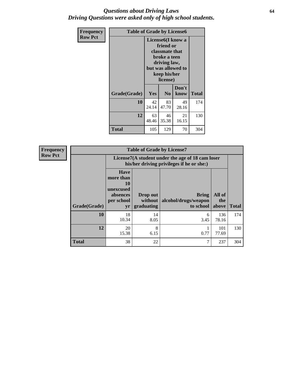#### *Questions about Driving Laws* **64** *Driving Questions were asked only of high school students.*

| <b>Frequency</b> | <b>Table of Grade by License6</b> |                                                                                                                                                 |                |               |              |
|------------------|-----------------------------------|-------------------------------------------------------------------------------------------------------------------------------------------------|----------------|---------------|--------------|
| <b>Row Pct</b>   |                                   | License <sub>6</sub> (I know a<br>friend or<br>classmate that<br>broke a teen<br>driving law,<br>but was allowed to<br>keep his/her<br>license) |                |               |              |
|                  | Grade(Grade)                      | Yes                                                                                                                                             | N <sub>0</sub> | Don't<br>know | <b>Total</b> |
|                  | 10                                | 42<br>83<br>49<br>47.70<br>24.14<br>28.16                                                                                                       |                |               | 174          |
|                  | 12                                | 21<br>63<br>46<br>48.46<br>35.38<br>16.15                                                                                                       |                |               | 130          |
|                  | <b>Total</b>                      | 105                                                                                                                                             | 129            | 70            | 304          |

| <b>Frequency</b> |              |                                                                             | <b>Table of Grade by License7</b>                                                             |                                                   |                        |              |  |
|------------------|--------------|-----------------------------------------------------------------------------|-----------------------------------------------------------------------------------------------|---------------------------------------------------|------------------------|--------------|--|
| <b>Row Pct</b>   |              |                                                                             | License7(A student under the age of 18 cam loser<br>his/her driving privileges if he or she:) |                                                   |                        |              |  |
|                  | Grade(Grade) | <b>Have</b><br>more than<br>10<br>unexcused<br>absences<br>per school<br>yr | Drop out<br>without  <br>graduating                                                           | <b>Bring</b><br>alcohol/drugs/weapon<br>to school | All of<br>the<br>above | <b>Total</b> |  |
|                  | 10           | 18<br>10.34                                                                 | 14<br>8.05                                                                                    | 6<br>3.45                                         | 136<br>78.16           | 174          |  |
|                  | 12           | 20<br>15.38                                                                 | 8<br>6.15                                                                                     | 0.77                                              | 101<br>77.69           | 130          |  |
|                  | <b>Total</b> | 38                                                                          | 22                                                                                            | ⇁                                                 | 237                    | 304          |  |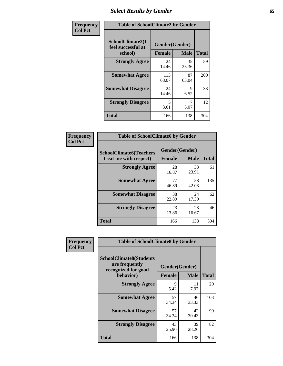# *Select Results by Gender* **65**

| Frequency      | <b>Table of SchoolClimate2 by Gender</b>          |                                 |             |              |
|----------------|---------------------------------------------------|---------------------------------|-------------|--------------|
| <b>Col Pct</b> | SchoolClimate2(I<br>feel successful at<br>school) | Gender(Gender)<br><b>Female</b> | <b>Male</b> | <b>Total</b> |
|                | <b>Strongly Agree</b>                             | 24<br>14.46                     | 35<br>25.36 | 59           |
|                | <b>Somewhat Agree</b>                             | 113<br>68.07                    | 87<br>63.04 | 200          |
|                | <b>Somewhat Disagree</b>                          | 24<br>14.46                     | 9<br>6.52   | 33           |
|                | <b>Strongly Disagree</b>                          | 5<br>3.01                       | 7<br>5.07   | 12           |
|                | <b>Total</b>                                      | 166                             | 138         | 304          |

| <b>Frequency</b> | <b>Table of SchoolClimate6 by Gender</b>                 |                                 |             |              |
|------------------|----------------------------------------------------------|---------------------------------|-------------|--------------|
| <b>Col Pct</b>   | <b>SchoolClimate6(Teachers</b><br>treat me with respect) | Gender(Gender)<br><b>Female</b> | <b>Male</b> | <b>Total</b> |
|                  | <b>Strongly Agree</b>                                    | 28<br>16.87                     | 33<br>23.91 | 61           |
|                  | <b>Somewhat Agree</b>                                    | 77<br>46.39                     | 58<br>42.03 | 135          |
|                  | <b>Somewhat Disagree</b>                                 | 38<br>22.89                     | 24<br>17.39 | 62           |
|                  | <b>Strongly Disagree</b>                                 | 23<br>13.86                     | 23<br>16.67 | 46           |
|                  | <b>Total</b>                                             | 166                             | 138         | 304          |

| <b>Frequency</b> | <b>Table of SchoolClimate8 by Gender</b>                                             |                                 |              |     |
|------------------|--------------------------------------------------------------------------------------|---------------------------------|--------------|-----|
| <b>Col Pct</b>   | <b>SchoolClimate8(Students</b><br>are frequently<br>recognized for good<br>behavior) | Gender(Gender)<br><b>Female</b> | <b>Total</b> |     |
|                  | <b>Strongly Agree</b>                                                                | 9<br>5.42                       | 11<br>7.97   | 20  |
|                  | <b>Somewhat Agree</b>                                                                | 57<br>34.34                     | 46<br>33.33  | 103 |
|                  | <b>Somewhat Disagree</b>                                                             | 57<br>34.34                     | 42<br>30.43  | 99  |
|                  | <b>Strongly Disagree</b>                                                             | 43<br>25.90                     | 39<br>28.26  | 82  |
|                  | Total                                                                                | 166                             | 138          | 304 |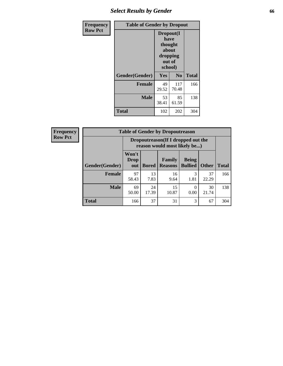# *Select Results by Gender* **66**

| Frequency      | <b>Table of Gender by Dropout</b> |                                                                        |                |              |
|----------------|-----------------------------------|------------------------------------------------------------------------|----------------|--------------|
| <b>Row Pct</b> |                                   | Dropout(I<br>have<br>thought<br>about<br>dropping<br>out of<br>school) |                |              |
|                | Gender(Gender)                    | Yes                                                                    | N <sub>0</sub> | <b>Total</b> |
|                | <b>Female</b>                     | 49<br>29.52                                                            | 117<br>70.48   | 166          |
|                | <b>Male</b>                       | 53<br>38.41                                                            | 85<br>61.59    | 138          |
|                | <b>Total</b>                      | 102                                                                    | 202            | 304          |

| Frequency      | <b>Table of Gender by Dropoutreason</b> |                             |              |                                                                    |                                |              |              |
|----------------|-----------------------------------------|-----------------------------|--------------|--------------------------------------------------------------------|--------------------------------|--------------|--------------|
| <b>Row Pct</b> |                                         |                             |              | Dropoutreason(If I dropped out the<br>reason would most likely be) |                                |              |              |
|                | Gender(Gender)                          | Won't<br><b>Drop</b><br>out | <b>Bored</b> | Family<br><b>Reasons</b>                                           | <b>Being</b><br><b>Bullied</b> | <b>Other</b> | <b>Total</b> |
|                | Female                                  | 97<br>58.43                 | 13<br>7.83   | 16<br>9.64                                                         | 3<br>1.81                      | 37<br>22.29  | 166          |
|                | <b>Male</b>                             | 69<br>50.00                 | 24<br>17.39  | 15<br>10.87                                                        | $\Omega$<br>0.00               | 30<br>21.74  | 138          |
|                | <b>Total</b>                            | 166                         | 37           | 31                                                                 | 3                              | 67           | 304          |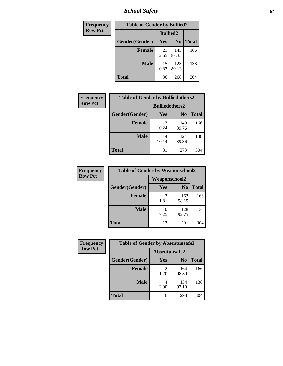*School Safety* **67**

| Frequency      | <b>Table of Gender by Bullied2</b> |                 |                |              |
|----------------|------------------------------------|-----------------|----------------|--------------|
| <b>Row Pct</b> |                                    | <b>Bullied2</b> |                |              |
|                | Gender(Gender)                     | <b>Yes</b>      | N <sub>0</sub> | <b>Total</b> |
|                | <b>Female</b>                      | 21<br>12.65     | 145<br>87.35   | 166          |
|                | <b>Male</b>                        | 15<br>10.87     | 123<br>89.13   | 138          |
|                | <b>Total</b>                       | 36              | 268            | 304          |

| Frequency      | <b>Table of Gender by Bulliedothers2</b> |                       |                |              |
|----------------|------------------------------------------|-----------------------|----------------|--------------|
| <b>Row Pct</b> |                                          | <b>Bulliedothers2</b> |                |              |
|                | Gender(Gender)                           | <b>Yes</b>            | N <sub>0</sub> | <b>Total</b> |
|                | <b>Female</b>                            | 17<br>10.24           | 149<br>89.76   | 166          |
|                | <b>Male</b>                              | 14<br>10.14           | 124<br>89.86   | 138          |
|                | <b>Total</b>                             | 31                    | 273            | 304          |

| Frequency      | <b>Table of Gender by Weaponschool2</b> |                      |                |              |  |
|----------------|-----------------------------------------|----------------------|----------------|--------------|--|
| <b>Row Pct</b> |                                         | <b>Weaponschool2</b> |                |              |  |
|                | Gender(Gender)                          | Yes                  | N <sub>0</sub> | <b>Total</b> |  |
|                | <b>Female</b>                           | 3<br>1.81            | 163<br>98.19   | 166          |  |
|                | <b>Male</b>                             | 10<br>7.25           | 128<br>92.75   | 138          |  |
|                | <b>Total</b>                            | 13                   | 291            | 304          |  |

| Frequency      | <b>Table of Gender by Absentunsafe2</b> |               |                |              |
|----------------|-----------------------------------------|---------------|----------------|--------------|
| <b>Row Pct</b> |                                         | Absentunsafe2 |                |              |
|                | Gender(Gender)                          | Yes           | N <sub>0</sub> | <b>Total</b> |
|                | <b>Female</b>                           | 1.20          | 164<br>98.80   | 166          |
|                | <b>Male</b>                             | 4<br>2.90     | 134<br>97.10   | 138          |
|                | <b>Total</b>                            | 6             | 298            | 304          |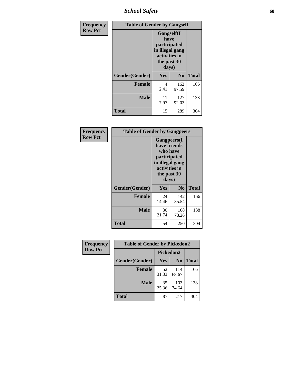*School Safety* **68**

| Frequency      | <b>Table of Gender by Gangself</b> |                                                                                                |                |              |
|----------------|------------------------------------|------------------------------------------------------------------------------------------------|----------------|--------------|
| <b>Row Pct</b> |                                    | Gangself(I<br>have<br>participated<br>in illegal gang<br>activities in<br>the past 30<br>days) |                |              |
|                | Gender(Gender)                     | Yes                                                                                            | N <sub>0</sub> | <b>Total</b> |
|                | <b>Female</b>                      | 4<br>2.41                                                                                      | 162<br>97.59   | 166          |
|                | <b>Male</b>                        | 11<br>7.97                                                                                     | 127<br>92.03   | 138          |
|                | <b>Total</b>                       | 15                                                                                             | 289            | 304          |

| Frequency      | <b>Table of Gender by Gangpeers</b> |                                                                                                                             |                |              |
|----------------|-------------------------------------|-----------------------------------------------------------------------------------------------------------------------------|----------------|--------------|
| <b>Row Pct</b> |                                     | <b>Gangpeers</b> (I<br>have friends<br>who have<br>participated<br>in illegal gang<br>activities in<br>the past 30<br>days) |                |              |
|                | Gender(Gender)                      | <b>Yes</b>                                                                                                                  | N <sub>0</sub> | <b>Total</b> |
|                | <b>Female</b>                       | 24<br>14.46                                                                                                                 | 142<br>85.54   | 166          |
|                | <b>Male</b>                         | 30<br>21.74                                                                                                                 | 108<br>78.26   | 138          |
|                | <b>Total</b>                        | 54                                                                                                                          | 250            | 304          |

| <b>Frequency</b> | <b>Table of Gender by Pickedon2</b> |             |                |              |
|------------------|-------------------------------------|-------------|----------------|--------------|
| <b>Row Pct</b>   |                                     |             | Pickedon2      |              |
|                  | Gender(Gender)                      | Yes         | N <sub>0</sub> | <b>Total</b> |
|                  | <b>Female</b>                       | 52<br>31.33 | 114<br>68.67   | 166          |
|                  | <b>Male</b>                         | 35<br>25.36 | 103<br>74.64   | 138          |
|                  | <b>Total</b>                        | 87<br>217   |                | 304          |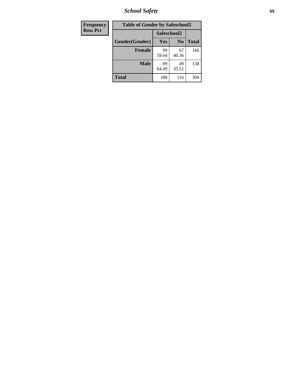*School Safety* **69**

| Frequency      | <b>Table of Gender by Safeschool2</b> |             |                |              |
|----------------|---------------------------------------|-------------|----------------|--------------|
| <b>Row Pct</b> |                                       |             | Safeschool2    |              |
|                | Gender(Gender)                        | <b>Yes</b>  | N <sub>0</sub> | <b>Total</b> |
|                | <b>Female</b>                         | 99<br>59.64 | 67<br>40.36    | 166          |
|                | <b>Male</b>                           | 89<br>64.49 | 49<br>35.51    | 138          |
|                | <b>Total</b>                          | 188         | 116            | 304          |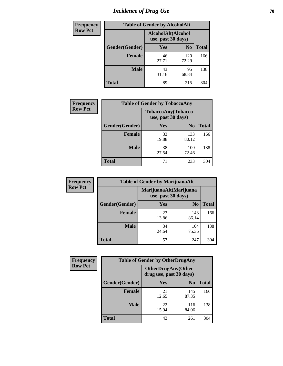# *Incidence of Drug Use* **70**

| <b>Frequency</b> | <b>Table of Gender by AlcoholAlt</b> |                                          |                |              |
|------------------|--------------------------------------|------------------------------------------|----------------|--------------|
| <b>Row Pct</b>   |                                      | AlcoholAlt(Alcohol<br>use, past 30 days) |                |              |
|                  | Gender(Gender)                       | <b>Yes</b>                               | N <sub>0</sub> | <b>Total</b> |
|                  | <b>Female</b>                        | 46<br>27.71                              | 120<br>72.29   | 166          |
|                  | <b>Male</b>                          | 43<br>31.16                              | 95<br>68.84    | 138          |
|                  | <b>Total</b>                         | 89                                       | 215            | 304          |

| <b>Frequency</b> | <b>Table of Gender by TobaccoAny</b> |                                          |                |              |
|------------------|--------------------------------------|------------------------------------------|----------------|--------------|
| <b>Row Pct</b>   |                                      | TobaccoAny(Tobacco<br>use, past 30 days) |                |              |
|                  | Gender(Gender)                       | Yes                                      | N <sub>0</sub> | <b>Total</b> |
|                  | <b>Female</b>                        | 33<br>19.88                              | 133<br>80.12   | 166          |
|                  | <b>Male</b>                          | 38<br>27.54                              | 100<br>72.46   | 138          |
|                  | <b>Total</b>                         | 71                                       | 233            | 304          |

| <b>Frequency</b> | <b>Table of Gender by MarijuanaAlt</b> |             |                                              |              |
|------------------|----------------------------------------|-------------|----------------------------------------------|--------------|
| <b>Row Pct</b>   |                                        |             | MarijuanaAlt(Marijuana<br>use, past 30 days) |              |
|                  | Gender(Gender)                         | <b>Yes</b>  | N <sub>0</sub>                               | <b>Total</b> |
|                  | <b>Female</b>                          | 23<br>13.86 | 143<br>86.14                                 | 166          |
|                  | <b>Male</b>                            | 34<br>24.64 | 104<br>75.36                                 | 138          |
|                  | <b>Total</b>                           | 57          | 247                                          | 304          |

| <b>Frequency</b> | <b>Table of Gender by OtherDrugAny</b> |                         |                           |              |
|------------------|----------------------------------------|-------------------------|---------------------------|--------------|
| <b>Row Pct</b>   |                                        | drug use, past 30 days) | <b>OtherDrugAny(Other</b> |              |
|                  | Gender(Gender)                         | <b>Yes</b>              | N <sub>0</sub>            | <b>Total</b> |
|                  | <b>Female</b>                          | 21<br>12.65             | 145<br>87.35              | 166          |
|                  | <b>Male</b>                            | 22<br>15.94             | 116<br>84.06              | 138          |
|                  | <b>Total</b>                           | 43                      | 261                       | 304          |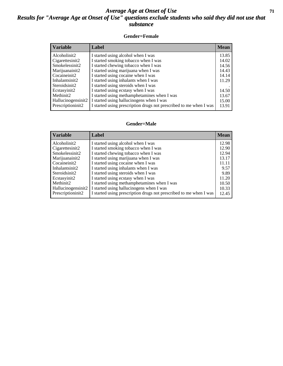#### *Average Age at Onset of Use* **71** *Results for "Average Age at Onset of Use" questions exclude students who said they did not use that substance*

#### **Gender=Female**

| <b>Variable</b>    | Label                                                              | <b>Mean</b> |
|--------------------|--------------------------------------------------------------------|-------------|
| Alcoholinit2       | I started using alcohol when I was                                 | 13.85       |
| Cigarettesinit2    | I started smoking tobacco when I was                               | 14.02       |
| Smokelessinit2     | I started chewing tobacco when I was                               | 14.56       |
| Marijuanainit2     | I started using marijuana when I was                               | 14.43       |
| Cocaineinit2       | I started using cocaine when I was                                 | 14.14       |
| Inhalantsinit2     | I started using inhalants when I was                               | 11.29       |
| Steroidsinit2      | I started using steroids when I was                                |             |
| Ecstasyinit2       | I started using ecstasy when I was                                 | 14.50       |
| Methinit2          | I started using methamphetamines when I was                        | 13.67       |
| Hallucinogensinit2 | I started using hallucinogens when I was                           | 15.00       |
| Prescription in t2 | I started using prescription drugs not prescribed to me when I was | 13.91       |

#### **Gender=Male**

| <b>Variable</b>    | Label                                                              | <b>Mean</b> |
|--------------------|--------------------------------------------------------------------|-------------|
| Alcoholinit2       | I started using alcohol when I was                                 | 12.98       |
| Cigarettesinit2    | I started smoking tobacco when I was                               | 12.90       |
| Smokelessinit2     | I started chewing tobacco when I was                               | 12.94       |
| Marijuanainit2     | I started using marijuana when I was                               | 13.17       |
| Cocaineinit2       | I started using cocaine when I was                                 | 11.11       |
| Inhalantsinit2     | I started using inhalants when I was                               | 9.57        |
| Steroidsinit2      | I started using steroids when I was                                | 9.89        |
| Ecstasyinit2       | I started using ecstasy when I was                                 | 11.20       |
| Methinit2          | I started using methamphetamines when I was                        | 10.50       |
| Hallucinogensinit2 | I started using hallucinogens when I was                           | 10.33       |
| Prescriptioninit2  | I started using prescription drugs not prescribed to me when I was | 12.45       |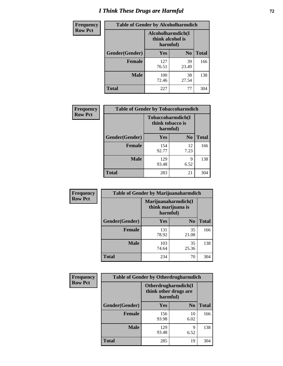# *I Think These Drugs are Harmful* **72**

| <b>Frequency</b> | <b>Table of Gender by Alcoholharmdich</b> |                                                   |                |              |
|------------------|-------------------------------------------|---------------------------------------------------|----------------|--------------|
| <b>Row Pct</b>   |                                           | Alcoholharmdich(I<br>think alcohol is<br>harmful) |                |              |
|                  | Gender(Gender)                            | Yes                                               | N <sub>0</sub> | <b>Total</b> |
|                  | Female                                    | 127<br>76.51                                      | 39<br>23.49    | 166          |
|                  | <b>Male</b>                               | 100<br>72.46                                      | 38<br>27.54    | 138          |
|                  | <b>Total</b>                              | 227                                               | 77             | 304          |

| Frequency      | <b>Table of Gender by Tobaccoharmdich</b> |                              |                   |              |
|----------------|-------------------------------------------|------------------------------|-------------------|--------------|
| <b>Row Pct</b> |                                           | think tobacco is<br>harmful) | Tobaccoharmdich(I |              |
|                | Gender(Gender)                            | Yes                          | N <sub>0</sub>    | <b>Total</b> |
|                | <b>Female</b>                             | 154<br>92.77                 | 12<br>7.23        | 166          |
|                | <b>Male</b>                               | 129<br>93.48                 | 9<br>6.52         | 138          |
|                | <b>Total</b>                              | 283                          | 21                | 304          |

| Frequency      | <b>Table of Gender by Marijuanaharmdich</b> |                                                       |                |              |  |
|----------------|---------------------------------------------|-------------------------------------------------------|----------------|--------------|--|
| <b>Row Pct</b> |                                             | Marijuanaharmdich(I<br>think marijuana is<br>harmful) |                |              |  |
|                | Gender(Gender)                              | <b>Yes</b>                                            | N <sub>0</sub> | <b>Total</b> |  |
|                | <b>Female</b>                               | 131<br>78.92                                          | 35<br>21.08    | 166          |  |
|                | <b>Male</b>                                 | 103<br>74.64                                          | 35<br>25.36    | 138          |  |
|                | <b>Total</b>                                | 234                                                   | 70             | 304          |  |

| Frequency      | <b>Table of Gender by Otherdrugharmdich</b> |                                                          |                |              |  |
|----------------|---------------------------------------------|----------------------------------------------------------|----------------|--------------|--|
| <b>Row Pct</b> |                                             | Otherdrugharmdich(I<br>think other drugs are<br>harmful) |                |              |  |
|                | Gender(Gender)                              | <b>Yes</b>                                               | N <sub>0</sub> | <b>Total</b> |  |
|                | <b>Female</b>                               | 156<br>93.98                                             | 10<br>6.02     | 166          |  |
|                | <b>Male</b>                                 | 129<br>93.48                                             | 9<br>6.52      | 138          |  |
|                | <b>Total</b>                                | 285                                                      | 19             | 304          |  |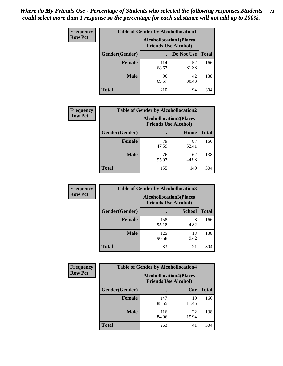| <b>Frequency</b> | <b>Table of Gender by Alcohollocation1</b> |                                                               |             |              |
|------------------|--------------------------------------------|---------------------------------------------------------------|-------------|--------------|
| <b>Row Pct</b>   |                                            | <b>Alcohollocation1(Places</b><br><b>Friends Use Alcohol)</b> |             |              |
|                  | Gender(Gender)                             |                                                               | Do Not Use  | <b>Total</b> |
|                  | <b>Female</b>                              | 114<br>68.67                                                  | 52<br>31.33 | 166          |
|                  | <b>Male</b>                                | 96<br>69.57                                                   | 42<br>30.43 | 138          |
|                  | <b>Total</b>                               | 210                                                           | 94          | 304          |

| <b>Frequency</b> | <b>Table of Gender by Alcohollocation2</b> |             |                                                               |              |
|------------------|--------------------------------------------|-------------|---------------------------------------------------------------|--------------|
| <b>Row Pct</b>   |                                            |             | <b>Alcohollocation2(Places</b><br><b>Friends Use Alcohol)</b> |              |
|                  | Gender(Gender)                             |             | Home                                                          | <b>Total</b> |
|                  | <b>Female</b>                              | 79<br>47.59 | 87<br>52.41                                                   | 166          |
|                  | <b>Male</b>                                | 76<br>55.07 | 62<br>44.93                                                   | 138          |
|                  | <b>Total</b>                               | 155         | 149                                                           | 304          |

| Frequency      | <b>Table of Gender by Alcohollocation3</b> |                                                               |               |              |
|----------------|--------------------------------------------|---------------------------------------------------------------|---------------|--------------|
| <b>Row Pct</b> |                                            | <b>Alcohollocation3(Places</b><br><b>Friends Use Alcohol)</b> |               |              |
|                | Gender(Gender)                             |                                                               | <b>School</b> | <b>Total</b> |
|                | <b>Female</b>                              | 158<br>95.18                                                  | 8<br>4.82     | 166          |
|                | <b>Male</b>                                | 125<br>90.58                                                  | 13<br>9.42    | 138          |
|                | <b>Total</b>                               | 283                                                           | 21            | 304          |

| Frequency      | <b>Table of Gender by Alcohollocation4</b> |                                                               |             |              |
|----------------|--------------------------------------------|---------------------------------------------------------------|-------------|--------------|
| <b>Row Pct</b> |                                            | <b>Alcohollocation4(Places</b><br><b>Friends Use Alcohol)</b> |             |              |
|                | Gender(Gender)                             |                                                               | Car         | <b>Total</b> |
|                | <b>Female</b>                              | 147<br>88.55                                                  | 19<br>11.45 | 166          |
|                | <b>Male</b>                                | 116<br>84.06                                                  | 22<br>15.94 | 138          |
|                | <b>Total</b>                               | 263                                                           | 41          | 304          |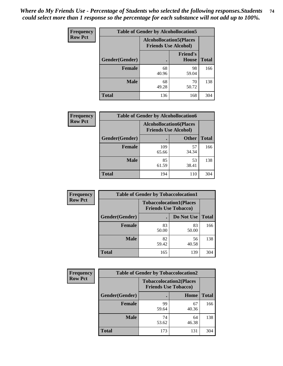| <b>Frequency</b> | <b>Table of Gender by Alcohollocation5</b> |                                                               |                                 |              |
|------------------|--------------------------------------------|---------------------------------------------------------------|---------------------------------|--------------|
| <b>Row Pct</b>   |                                            | <b>Alcohollocation5(Places</b><br><b>Friends Use Alcohol)</b> |                                 |              |
|                  | Gender(Gender)                             | $\bullet$                                                     | <b>Friend's</b><br><b>House</b> | <b>Total</b> |
|                  | <b>Female</b>                              | 68<br>40.96                                                   | 98<br>59.04                     | 166          |
|                  | <b>Male</b>                                | 68<br>49.28                                                   | 70<br>50.72                     | 138          |
|                  | <b>Total</b>                               | 136                                                           | 168                             | 304          |

| Frequency      | <b>Table of Gender by Alcohollocation6</b> |                                                               |              |              |
|----------------|--------------------------------------------|---------------------------------------------------------------|--------------|--------------|
| <b>Row Pct</b> |                                            | <b>Alcohollocation6(Places</b><br><b>Friends Use Alcohol)</b> |              |              |
|                | <b>Gender</b> (Gender)                     |                                                               | <b>Other</b> | <b>Total</b> |
|                | <b>Female</b>                              | 109<br>65.66                                                  | 57<br>34.34  | 166          |
|                | <b>Male</b>                                | 85<br>61.59                                                   | 53<br>38.41  | 138          |
|                | <b>Total</b>                               | 194                                                           | 110          | 304          |

| Frequency      | <b>Table of Gender by Tobaccolocation1</b> |                                                               |             |              |  |
|----------------|--------------------------------------------|---------------------------------------------------------------|-------------|--------------|--|
| <b>Row Pct</b> |                                            | <b>Tobaccolocation1(Places</b><br><b>Friends Use Tobacco)</b> |             |              |  |
|                | Gender(Gender)                             |                                                               | Do Not Use  | <b>Total</b> |  |
|                | Female                                     | 83<br>50.00                                                   | 83<br>50.00 | 166          |  |
|                | <b>Male</b>                                | 82<br>59.42                                                   | 56<br>40.58 | 138          |  |
|                | <b>Total</b>                               | 165                                                           | 139         | 304          |  |

| <b>Frequency</b> | <b>Table of Gender by Tobaccolocation2</b> |                                                               |             |              |
|------------------|--------------------------------------------|---------------------------------------------------------------|-------------|--------------|
| <b>Row Pct</b>   |                                            | <b>Tobaccolocation2(Places</b><br><b>Friends Use Tobacco)</b> |             |              |
|                  | Gender(Gender)                             |                                                               | Home        | <b>Total</b> |
|                  | Female                                     | 99<br>59.64                                                   | 67<br>40.36 | 166          |
|                  | <b>Male</b>                                | 74<br>53.62                                                   | 64<br>46.38 | 138          |
|                  | <b>Total</b>                               | 173                                                           | 131         | 304          |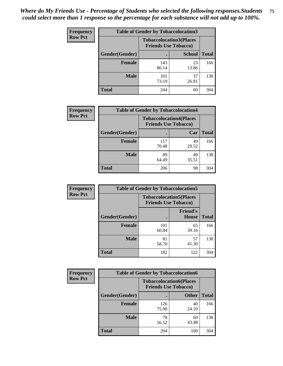| <b>Frequency</b> | <b>Table of Gender by Tobaccolocation3</b> |              |                                                               |              |
|------------------|--------------------------------------------|--------------|---------------------------------------------------------------|--------------|
| <b>Row Pct</b>   |                                            |              | <b>Tobaccolocation3(Places</b><br><b>Friends Use Tobacco)</b> |              |
|                  | Gender(Gender)                             |              | <b>School</b>                                                 | <b>Total</b> |
|                  | Female                                     | 143<br>86.14 | 23<br>13.86                                                   | 166          |
|                  | <b>Male</b>                                | 101<br>73.19 | 37<br>26.81                                                   | 138          |
|                  | <b>Total</b>                               | 244          | 60                                                            | 304          |

| <b>Frequency</b> | <b>Table of Gender by Tobaccolocation4</b> |              |                                                               |              |
|------------------|--------------------------------------------|--------------|---------------------------------------------------------------|--------------|
| <b>Row Pct</b>   |                                            |              | <b>Tobaccolocation4(Places</b><br><b>Friends Use Tobacco)</b> |              |
|                  | Gender(Gender)                             |              | Car                                                           | <b>Total</b> |
|                  | <b>Female</b>                              | 117<br>70.48 | 49<br>29.52                                                   | 166          |
|                  | <b>Male</b>                                | 89<br>64.49  | 49<br>35.51                                                   | 138          |
|                  | <b>Total</b>                               | 206          | 98                                                            | 304          |

| <b>Frequency</b> | <b>Table of Gender by Tobaccolocation5</b> |                                                               |                          |              |
|------------------|--------------------------------------------|---------------------------------------------------------------|--------------------------|--------------|
| <b>Row Pct</b>   |                                            | <b>Tobaccolocation5(Places</b><br><b>Friends Use Tobacco)</b> |                          |              |
|                  | Gender(Gender)                             |                                                               | <b>Friend's</b><br>House | <b>Total</b> |
|                  | <b>Female</b>                              | 101<br>60.84                                                  | 65<br>39.16              | 166          |
|                  | <b>Male</b>                                | 81<br>58.70                                                   | 57<br>41.30              | 138          |
|                  | <b>Total</b>                               | 182                                                           | 122                      | 304          |

| <b>Frequency</b> | <b>Table of Gender by Tobaccolocation6</b> |                                                               |              |              |
|------------------|--------------------------------------------|---------------------------------------------------------------|--------------|--------------|
| <b>Row Pct</b>   |                                            | <b>Tobaccolocation6(Places</b><br><b>Friends Use Tobacco)</b> |              |              |
|                  | Gender(Gender)                             |                                                               | <b>Other</b> | <b>Total</b> |
|                  | Female                                     | 126<br>75.90                                                  | 40<br>24.10  | 166          |
|                  | <b>Male</b>                                | 78<br>56.52                                                   | 60<br>43.48  | 138          |
|                  | <b>Total</b>                               | 204                                                           | 100          | 304          |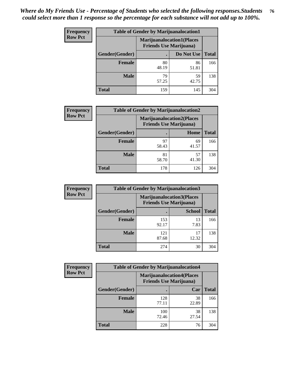| <b>Frequency</b> | <b>Table of Gender by Marijuanalocation1</b> |                                |                                  |              |  |
|------------------|----------------------------------------------|--------------------------------|----------------------------------|--------------|--|
| <b>Row Pct</b>   |                                              | <b>Friends Use Marijuana</b> ) | <b>Marijuanalocation1(Places</b> |              |  |
|                  | Gender(Gender)                               |                                | Do Not Use                       | <b>Total</b> |  |
|                  | <b>Female</b>                                | 80<br>48.19                    | 86<br>51.81                      | 166          |  |
|                  | <b>Male</b>                                  | 79<br>57.25                    | 59<br>42.75                      | 138          |  |
|                  | <b>Total</b>                                 | 159                            | 145                              | 304          |  |

| <b>Frequency</b> | <b>Table of Gender by Marijuanalocation2</b> |                                                                    |             |              |
|------------------|----------------------------------------------|--------------------------------------------------------------------|-------------|--------------|
| <b>Row Pct</b>   |                                              | <b>Marijuanalocation2(Places</b><br><b>Friends Use Marijuana</b> ) |             |              |
|                  | Gender(Gender)                               |                                                                    | Home        | <b>Total</b> |
|                  | <b>Female</b>                                | 97<br>58.43                                                        | 69<br>41.57 | 166          |
|                  | <b>Male</b>                                  | 81<br>58.70                                                        | 57<br>41.30 | 138          |
|                  | <b>Total</b>                                 | 178                                                                | 126         | 304          |

| <b>Frequency</b> |                | <b>Table of Gender by Marijuanalocation3</b> |                                                                    |              |
|------------------|----------------|----------------------------------------------|--------------------------------------------------------------------|--------------|
| <b>Row Pct</b>   |                |                                              | <b>Marijuanalocation3(Places</b><br><b>Friends Use Marijuana</b> ) |              |
|                  | Gender(Gender) |                                              | <b>School</b>                                                      | <b>Total</b> |
|                  | Female         | 153<br>92.17                                 | 13<br>7.83                                                         | 166          |
|                  | <b>Male</b>    | 121<br>87.68                                 | 17<br>12.32                                                        | 138          |
|                  | <b>Total</b>   | 274                                          | 30                                                                 | 304          |

| Frequency      | <b>Table of Gender by Marijuanalocation4</b> |                                |                                  |              |  |
|----------------|----------------------------------------------|--------------------------------|----------------------------------|--------------|--|
| <b>Row Pct</b> |                                              | <b>Friends Use Marijuana</b> ) | <b>Marijuanalocation4(Places</b> |              |  |
|                | Gender(Gender)                               |                                | Car                              | <b>Total</b> |  |
|                | <b>Female</b>                                | 128<br>77.11                   | 38<br>22.89                      | 166          |  |
|                | <b>Male</b>                                  | 100<br>72.46                   | 38<br>27.54                      | 138          |  |
|                | <b>Total</b>                                 | 228                            | 76                               | 304          |  |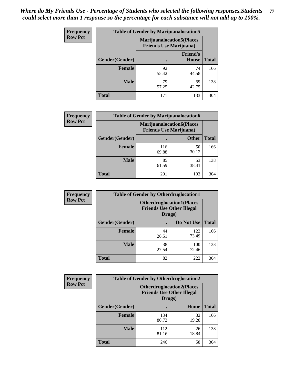| <b>Frequency</b> | <b>Table of Gender by Marijuanalocation5</b> |                                                                     |                                 |              |
|------------------|----------------------------------------------|---------------------------------------------------------------------|---------------------------------|--------------|
| <b>Row Pct</b>   |                                              | <b>Marijuanalocation5</b> (Places<br><b>Friends Use Marijuana</b> ) |                                 |              |
|                  | Gender(Gender)                               |                                                                     | <b>Friend's</b><br><b>House</b> | <b>Total</b> |
|                  | <b>Female</b>                                | 92<br>55.42                                                         | 74<br>44.58                     | 166          |
|                  | <b>Male</b>                                  | 79<br>57.25                                                         | 59<br>42.75                     | 138          |
|                  | <b>Total</b>                                 | 171                                                                 | 133                             | 304          |

| <b>Frequency</b> | <b>Table of Gender by Marijuanalocation6</b> |                                |                                  |              |
|------------------|----------------------------------------------|--------------------------------|----------------------------------|--------------|
| <b>Row Pct</b>   |                                              | <b>Friends Use Marijuana</b> ) | <b>Marijuanalocation6(Places</b> |              |
|                  | <b>Gender</b> (Gender)                       |                                | <b>Other</b>                     | <b>Total</b> |
|                  | <b>Female</b>                                | 116<br>69.88                   | 50<br>30.12                      | 166          |
|                  | <b>Male</b>                                  | 85<br>61.59                    | 53<br>38.41                      | 138          |
|                  | <b>Total</b>                                 | 201                            | 103                              | 304          |

| <b>Frequency</b> | <b>Table of Gender by Otherdruglocation1</b> |                                            |                                  |              |
|------------------|----------------------------------------------|--------------------------------------------|----------------------------------|--------------|
| <b>Row Pct</b>   |                                              | <b>Friends Use Other Illegal</b><br>Drugs) | <b>Otherdruglocation1(Places</b> |              |
|                  | Gender(Gender)                               |                                            | Do Not Use                       | <b>Total</b> |
|                  | <b>Female</b>                                | 44<br>26.51                                | 122<br>73.49                     | 166          |
|                  | <b>Male</b>                                  | 38<br>27.54                                | 100<br>72.46                     | 138          |
|                  | <b>Total</b>                                 | 82                                         | 222                              | 304          |

| <b>Frequency</b> | <b>Table of Gender by Otherdruglocation2</b>                                   |              |             |              |
|------------------|--------------------------------------------------------------------------------|--------------|-------------|--------------|
| <b>Row Pct</b>   | <b>Otherdruglocation2(Places</b><br><b>Friends Use Other Illegal</b><br>Drugs) |              |             |              |
|                  | Gender(Gender)                                                                 |              | Home        | <b>Total</b> |
|                  | <b>Female</b>                                                                  | 134<br>80.72 | 32<br>19.28 | 166          |
|                  | <b>Male</b>                                                                    | 112<br>81.16 | 26<br>18.84 | 138          |
|                  | <b>Total</b>                                                                   | 246          | 58          | 304          |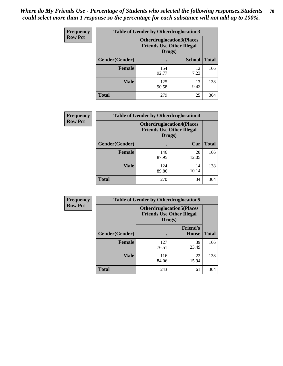| <b>Frequency</b> | <b>Table of Gender by Otherdruglocation3</b> |                                            |                                  |              |
|------------------|----------------------------------------------|--------------------------------------------|----------------------------------|--------------|
| <b>Row Pct</b>   |                                              | <b>Friends Use Other Illegal</b><br>Drugs) | <b>Otherdruglocation3(Places</b> |              |
|                  | Gender(Gender)                               |                                            | <b>School</b>                    | <b>Total</b> |
|                  | <b>Female</b>                                | 154<br>92.77                               | 12<br>7.23                       | 166          |
|                  | <b>Male</b>                                  | 125<br>90.58                               | 13<br>9.42                       | 138          |
|                  | <b>Total</b>                                 | 279                                        | 25                               | 304          |

| <b>Frequency</b> | <b>Table of Gender by Otherdruglocation4</b> |                                                                                |             |              |
|------------------|----------------------------------------------|--------------------------------------------------------------------------------|-------------|--------------|
| <b>Row Pct</b>   |                                              | <b>Otherdruglocation4(Places</b><br><b>Friends Use Other Illegal</b><br>Drugs) |             |              |
|                  | Gender(Gender)                               |                                                                                | Car         | <b>Total</b> |
|                  | <b>Female</b>                                | 146<br>87.95                                                                   | 20<br>12.05 | 166          |
|                  | <b>Male</b>                                  | 124<br>89.86                                                                   | 14<br>10.14 | 138          |
|                  | <b>Total</b>                                 | 270                                                                            | 34          | 304          |

| <b>Frequency</b> | <b>Table of Gender by Otherdruglocation5</b> |              |                                                                      |              |
|------------------|----------------------------------------------|--------------|----------------------------------------------------------------------|--------------|
| <b>Row Pct</b>   |                                              | Drugs)       | <b>Otherdruglocation5(Places</b><br><b>Friends Use Other Illegal</b> |              |
|                  | Gender(Gender)                               |              | <b>Friend's</b><br><b>House</b>                                      | <b>Total</b> |
|                  | <b>Female</b>                                | 127<br>76.51 | 39<br>23.49                                                          | 166          |
|                  | <b>Male</b>                                  | 116<br>84.06 | 22<br>15.94                                                          | 138          |
|                  | <b>Total</b>                                 | 243          | 61                                                                   | 304          |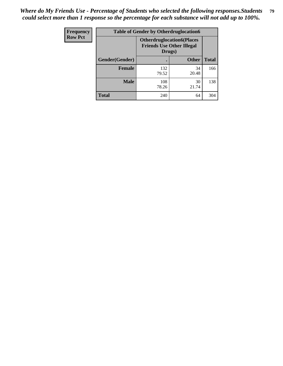| Frequency      | <b>Table of Gender by Otherdruglocation6</b> |                                                                                |              |              |
|----------------|----------------------------------------------|--------------------------------------------------------------------------------|--------------|--------------|
| <b>Row Pct</b> |                                              | <b>Otherdruglocation6(Places</b><br><b>Friends Use Other Illegal</b><br>Drugs) |              |              |
|                | Gender(Gender)                               |                                                                                | <b>Other</b> | <b>Total</b> |
|                | Female                                       | 132<br>79.52                                                                   | 34<br>20.48  | 166          |
|                | <b>Male</b>                                  | 108<br>78.26                                                                   | 30<br>21.74  | 138          |
|                | <b>Total</b>                                 | 240                                                                            | 64           | 304          |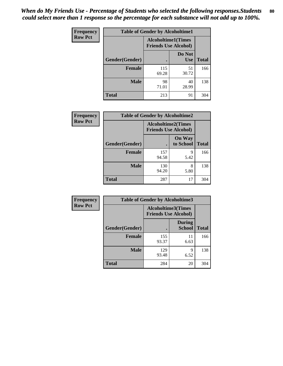| <b>Frequency</b> | <b>Table of Gender by Alcoholtime1</b> |                                                          |                      |              |
|------------------|----------------------------------------|----------------------------------------------------------|----------------------|--------------|
| <b>Row Pct</b>   |                                        | <b>Alcoholtime1(Times</b><br><b>Friends Use Alcohol)</b> |                      |              |
|                  | Gender(Gender)                         | $\bullet$                                                | Do Not<br><b>Use</b> | <b>Total</b> |
|                  | <b>Female</b>                          | 115<br>69.28                                             | 51<br>30.72          | 166          |
|                  | <b>Male</b>                            | 98<br>71.01                                              | 40<br>28.99          | 138          |
|                  | <b>Total</b>                           | 213                                                      | 91                   | 304          |

| <b>Frequency</b> | <b>Table of Gender by Alcoholtime2</b> |                                                          |                            |              |
|------------------|----------------------------------------|----------------------------------------------------------|----------------------------|--------------|
| <b>Row Pct</b>   |                                        | <b>Alcoholtime2(Times</b><br><b>Friends Use Alcohol)</b> |                            |              |
|                  | Gender(Gender)                         |                                                          | <b>On Way</b><br>to School | <b>Total</b> |
|                  | <b>Female</b>                          | 157<br>94.58                                             | 9<br>5.42                  | 166          |
|                  | <b>Male</b>                            | 130<br>94.20                                             | 8<br>5.80                  | 138          |
|                  | <b>Total</b>                           | 287                                                      | 17                         | 304          |

| Frequency      | <b>Table of Gender by Alcoholtime3</b> |                                                          |                                |              |
|----------------|----------------------------------------|----------------------------------------------------------|--------------------------------|--------------|
| <b>Row Pct</b> |                                        | <b>Alcoholtime3(Times</b><br><b>Friends Use Alcohol)</b> |                                |              |
|                | Gender(Gender)                         |                                                          | <b>During</b><br><b>School</b> | <b>Total</b> |
|                | <b>Female</b>                          | 155<br>93.37                                             | 11<br>6.63                     | 166          |
|                | <b>Male</b>                            | 129<br>93.48                                             | 9<br>6.52                      | 138          |
|                | <b>Total</b>                           | 284                                                      | 20                             | 304          |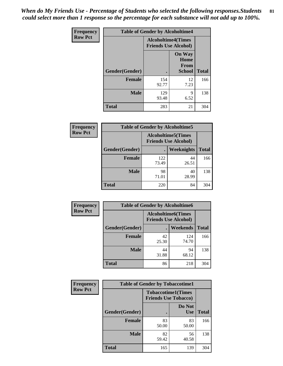*When do My Friends Use - Percentage of Students who selected the following responses.Students could select more than 1 response so the percentage for each substance will not add up to 100%.* **81**

| <b>Frequency</b> | <b>Table of Gender by Alcoholtime4</b> |                                                          |                                                       |              |
|------------------|----------------------------------------|----------------------------------------------------------|-------------------------------------------------------|--------------|
| <b>Row Pct</b>   |                                        | <b>Alcoholtime4(Times</b><br><b>Friends Use Alcohol)</b> |                                                       |              |
|                  | Gender(Gender)                         |                                                          | <b>On Way</b><br>Home<br><b>From</b><br><b>School</b> | <b>Total</b> |
|                  | <b>Female</b>                          | 154<br>92.77                                             | 12<br>7.23                                            | 166          |
|                  | <b>Male</b>                            | 129<br>93.48                                             | 9<br>6.52                                             | 138          |
|                  | <b>Total</b>                           | 283                                                      | 21                                                    | 304          |

| <b>Frequency</b> | <b>Table of Gender by Alcoholtime5</b> |                                                           |             |              |
|------------------|----------------------------------------|-----------------------------------------------------------|-------------|--------------|
| <b>Row Pct</b>   |                                        | <b>Alcoholtime5</b> (Times<br><b>Friends Use Alcohol)</b> |             |              |
|                  | Gender(Gender)                         |                                                           | Weeknights  | <b>Total</b> |
|                  | <b>Female</b>                          | 122<br>73.49                                              | 44<br>26.51 | 166          |
|                  | <b>Male</b>                            | 98<br>71.01                                               | 40<br>28.99 | 138          |
|                  | <b>Total</b>                           | 220                                                       | 84          | 304          |

| <b>Frequency</b> | <b>Table of Gender by Alcoholtime6</b> |             |                                                          |              |
|------------------|----------------------------------------|-------------|----------------------------------------------------------|--------------|
| <b>Row Pct</b>   |                                        |             | <b>Alcoholtime6(Times</b><br><b>Friends Use Alcohol)</b> |              |
|                  | Gender(Gender)                         |             | Weekends                                                 | <b>Total</b> |
|                  | Female                                 | 42<br>25.30 | 124<br>74.70                                             | 166          |
|                  | <b>Male</b>                            | 44<br>31.88 | 94<br>68.12                                              | 138          |
|                  | <b>Total</b>                           | 86          | 218                                                      | 304          |

| <b>Frequency</b> | <b>Table of Gender by Tobaccotime1</b> |                                                          |                      |              |
|------------------|----------------------------------------|----------------------------------------------------------|----------------------|--------------|
| <b>Row Pct</b>   |                                        | <b>Tobaccotime1(Times</b><br><b>Friends Use Tobacco)</b> |                      |              |
|                  | Gender(Gender)                         |                                                          | Do Not<br><b>Use</b> | <b>Total</b> |
|                  | <b>Female</b>                          | 83<br>50.00                                              | 83<br>50.00          | 166          |
|                  | <b>Male</b>                            | 82<br>59.42                                              | 56<br>40.58          | 138          |
|                  | <b>Total</b>                           | 165                                                      | 139                  | 304          |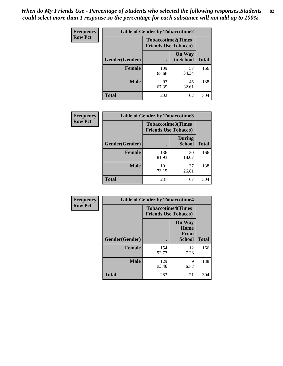| <b>Frequency</b> | <b>Table of Gender by Tobaccotime2</b> |                                                          |                            |              |
|------------------|----------------------------------------|----------------------------------------------------------|----------------------------|--------------|
| <b>Row Pct</b>   |                                        | <b>Tobaccotime2(Times</b><br><b>Friends Use Tobacco)</b> |                            |              |
|                  | Gender(Gender)                         |                                                          | <b>On Way</b><br>to School | <b>Total</b> |
|                  | <b>Female</b>                          | 109<br>65.66                                             | 57<br>34.34                | 166          |
|                  | <b>Male</b>                            | 93<br>67.39                                              | 45<br>32.61                | 138          |
|                  | <b>Total</b>                           | 202                                                      | 102                        | 304          |

| Frequency      | <b>Table of Gender by Tobaccotime3</b> |                                                          |                                |              |
|----------------|----------------------------------------|----------------------------------------------------------|--------------------------------|--------------|
| <b>Row Pct</b> |                                        | <b>Tobaccotime3(Times</b><br><b>Friends Use Tobacco)</b> |                                |              |
|                | Gender(Gender)                         |                                                          | <b>During</b><br><b>School</b> | <b>Total</b> |
|                | Female                                 | 136<br>81.93                                             | 30<br>18.07                    | 166          |
|                | <b>Male</b>                            | 101<br>73.19                                             | 37<br>26.81                    | 138          |
|                | <b>Total</b>                           | 237                                                      | 67                             | 304          |

| <b>Frequency</b> | <b>Table of Gender by Tobaccotime4</b> |                                                          |                                                |              |
|------------------|----------------------------------------|----------------------------------------------------------|------------------------------------------------|--------------|
| <b>Row Pct</b>   |                                        | <b>Tobaccotime4(Times</b><br><b>Friends Use Tobacco)</b> |                                                |              |
|                  | Gender(Gender)                         |                                                          | <b>On Way</b><br>Home<br><b>From</b><br>School | <b>Total</b> |
|                  | <b>Female</b>                          | 154<br>92.77                                             | 12<br>7.23                                     | 166          |
|                  | <b>Male</b>                            | 129<br>93.48                                             | 9<br>6.52                                      | 138          |
|                  | <b>Total</b>                           | 283                                                      | 21                                             | 304          |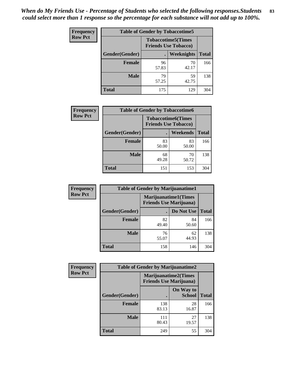| Frequency      | <b>Table of Gender by Tobaccotime5</b> |             |                                                           |              |  |
|----------------|----------------------------------------|-------------|-----------------------------------------------------------|--------------|--|
| <b>Row Pct</b> |                                        |             | <b>Tobaccotime5</b> (Times<br><b>Friends Use Tobacco)</b> |              |  |
|                | Gender(Gender)                         |             | Weeknights                                                | <b>Total</b> |  |
|                | <b>Female</b>                          | 96<br>57.83 | 70<br>42.17                                               | 166          |  |
|                | <b>Male</b>                            | 79<br>57.25 | 59<br>42.75                                               | 138          |  |
|                | <b>Total</b>                           | 175         | 129                                                       | 304          |  |

| <b>Frequency</b> | <b>Table of Gender by Tobaccotime6</b> |                                                          |                 |              |
|------------------|----------------------------------------|----------------------------------------------------------|-----------------|--------------|
| <b>Row Pct</b>   |                                        | <b>Tobaccotime6(Times</b><br><b>Friends Use Tobacco)</b> |                 |              |
|                  | Gender(Gender)                         |                                                          | <b>Weekends</b> | <b>Total</b> |
|                  | Female                                 | 83<br>50.00                                              | 83<br>50.00     | 166          |
|                  | <b>Male</b>                            | 68<br>49.28                                              | 70<br>50.72     | 138          |
|                  | <b>Total</b>                           | 151                                                      | 153             | 304          |

| <b>Frequency</b> | <b>Table of Gender by Marijuanatime1</b> |                                                               |             |              |  |
|------------------|------------------------------------------|---------------------------------------------------------------|-------------|--------------|--|
| <b>Row Pct</b>   |                                          | <b>Marijuanatime1(Times</b><br><b>Friends Use Marijuana</b> ) |             |              |  |
|                  | Gender(Gender)                           |                                                               | Do Not Use  | <b>Total</b> |  |
|                  | <b>Female</b>                            | 82<br>49.40                                                   | 84<br>50.60 | 166          |  |
|                  | <b>Male</b>                              | 76<br>55.07                                                   | 62<br>44.93 | 138          |  |
|                  | <b>Total</b>                             | 158                                                           | 146         | 304          |  |

| <b>Frequency</b> | <b>Table of Gender by Marijuanatime2</b> |                                                               |                            |              |
|------------------|------------------------------------------|---------------------------------------------------------------|----------------------------|--------------|
| <b>Row Pct</b>   |                                          | <b>Marijuanatime2(Times</b><br><b>Friends Use Marijuana</b> ) |                            |              |
|                  | Gender(Gender)                           |                                                               | On Way to<br><b>School</b> | <b>Total</b> |
|                  | <b>Female</b>                            | 138<br>83.13                                                  | 28<br>16.87                | 166          |
|                  | <b>Male</b>                              | 111<br>80.43                                                  | 27<br>19.57                | 138          |
|                  | <b>Total</b>                             | 249                                                           | 55                         | 304          |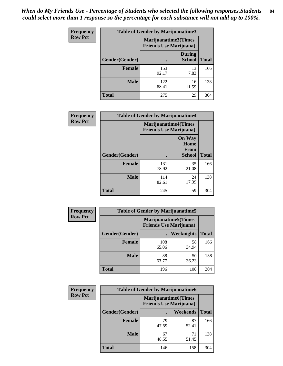*When do My Friends Use - Percentage of Students who selected the following responses.Students could select more than 1 response so the percentage for each substance will not add up to 100%.* **84**

| <b>Frequency</b> | Table of Gender by Marijuanatime3 |                                                        |                                |              |
|------------------|-----------------------------------|--------------------------------------------------------|--------------------------------|--------------|
| <b>Row Pct</b>   |                                   | Marijuanatime3(Times<br><b>Friends Use Marijuana</b> ) |                                |              |
|                  | Gender(Gender)                    |                                                        | <b>During</b><br><b>School</b> | <b>Total</b> |
|                  | <b>Female</b>                     | 153<br>92.17                                           | 13<br>7.83                     | 166          |
|                  | <b>Male</b>                       | 122<br>88.41                                           | 16<br>11.59                    | 138          |
|                  | <b>Total</b>                      | 275                                                    | 29                             | 304          |

| Frequency      | <b>Table of Gender by Marijuanatime4</b> |                                                               |                                                |              |
|----------------|------------------------------------------|---------------------------------------------------------------|------------------------------------------------|--------------|
| <b>Row Pct</b> |                                          | <b>Marijuanatime4(Times</b><br><b>Friends Use Marijuana</b> ) |                                                |              |
|                | Gender(Gender)                           |                                                               | <b>On Way</b><br>Home<br>From<br><b>School</b> | <b>Total</b> |
|                | <b>Female</b>                            | 131<br>78.92                                                  | 35<br>21.08                                    | 166          |
|                | <b>Male</b>                              | 114<br>82.61                                                  | 24<br>17.39                                    | 138          |
|                | <b>Total</b>                             | 245                                                           | 59                                             | 304          |

| Frequency      | <b>Table of Gender by Marijuanatime5</b> |                                                                |             |              |  |
|----------------|------------------------------------------|----------------------------------------------------------------|-------------|--------------|--|
| <b>Row Pct</b> |                                          | <b>Marijuanatime5</b> (Times<br><b>Friends Use Marijuana</b> ) |             |              |  |
|                | Gender(Gender)                           | $\blacksquare$                                                 | Weeknights  | <b>Total</b> |  |
|                | <b>Female</b>                            | 108<br>65.06                                                   | 58<br>34.94 | 166          |  |
|                | <b>Male</b>                              | 88<br>63.77                                                    | 50<br>36.23 | 138          |  |
|                | <b>Total</b>                             | 196                                                            | 108         | 304          |  |

| <b>Frequency</b> | <b>Table of Gender by Marijuanatime6</b> |                                                               |             |              |
|------------------|------------------------------------------|---------------------------------------------------------------|-------------|--------------|
| <b>Row Pct</b>   |                                          | <b>Marijuanatime6(Times</b><br><b>Friends Use Marijuana</b> ) |             |              |
|                  | Gender(Gender)                           |                                                               | Weekends    | <b>Total</b> |
|                  | <b>Female</b>                            | 79<br>47.59                                                   | 87<br>52.41 | 166          |
|                  | <b>Male</b>                              | 67<br>48.55                                                   | 71<br>51.45 | 138          |
|                  | <b>Total</b>                             | 146                                                           | 158         | 304          |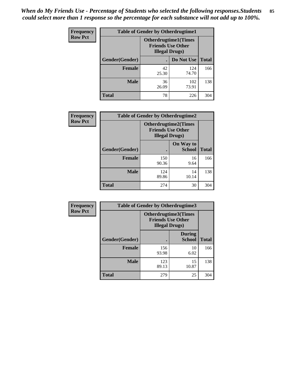| <b>Frequency</b> | <b>Table of Gender by Otherdrugtime1</b> |                                                                                    |              |              |  |
|------------------|------------------------------------------|------------------------------------------------------------------------------------|--------------|--------------|--|
| <b>Row Pct</b>   |                                          | <b>Otherdrugtime1</b> (Times<br><b>Friends Use Other</b><br><b>Illegal Drugs</b> ) |              |              |  |
|                  | Gender(Gender)                           |                                                                                    | Do Not Use   | <b>Total</b> |  |
|                  | <b>Female</b>                            | 42<br>25.30                                                                        | 124<br>74.70 | 166          |  |
|                  | <b>Male</b>                              | 36<br>26.09                                                                        | 102<br>73.91 | 138          |  |
|                  | <b>Total</b>                             | 78                                                                                 | 226          | 304          |  |

| Frequency      | <b>Table of Gender by Otherdrugtime2</b> |                                                                                   |                            |              |
|----------------|------------------------------------------|-----------------------------------------------------------------------------------|----------------------------|--------------|
| <b>Row Pct</b> |                                          | <b>Otherdrugtime2(Times</b><br><b>Friends Use Other</b><br><b>Illegal Drugs</b> ) |                            |              |
|                | Gender(Gender)                           |                                                                                   | On Way to<br><b>School</b> | <b>Total</b> |
|                | <b>Female</b>                            | 150<br>90.36                                                                      | 16<br>9.64                 | 166          |
|                | <b>Male</b>                              | 124<br>89.86                                                                      | 14<br>10.14                | 138          |
|                | <b>Total</b>                             | 274                                                                               | 30                         | 304          |

| Frequency      |                | <b>Table of Gender by Otherdrugtime3</b>                                         |                                |              |
|----------------|----------------|----------------------------------------------------------------------------------|--------------------------------|--------------|
| <b>Row Pct</b> |                | <b>Otherdrugtime3(Times</b><br><b>Friends Use Other</b><br><b>Illegal Drugs)</b> |                                |              |
|                | Gender(Gender) |                                                                                  | <b>During</b><br><b>School</b> | <b>Total</b> |
|                | <b>Female</b>  | 156<br>93.98                                                                     | 10<br>6.02                     | 166          |
|                | <b>Male</b>    | 123<br>89.13                                                                     | 15<br>10.87                    | 138          |
|                | <b>Total</b>   | 279                                                                              | 25                             | 304          |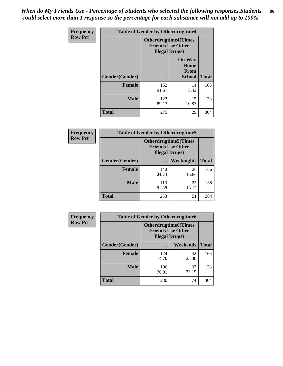*When do My Friends Use - Percentage of Students who selected the following responses.Students could select more than 1 response so the percentage for each substance will not add up to 100%.* **86**

| <b>Frequency</b> | <b>Table of Gender by Otherdrugtime4</b> |                                                                                   |                                                       |              |
|------------------|------------------------------------------|-----------------------------------------------------------------------------------|-------------------------------------------------------|--------------|
| <b>Row Pct</b>   |                                          | <b>Otherdrugtime4(Times</b><br><b>Friends Use Other</b><br><b>Illegal Drugs</b> ) |                                                       |              |
|                  | Gender(Gender)                           |                                                                                   | <b>On Way</b><br>Home<br><b>From</b><br><b>School</b> | <b>Total</b> |
|                  | <b>Female</b>                            | 152<br>91.57                                                                      | 14<br>8.43                                            | 166          |
|                  | <b>Male</b>                              | 123<br>89.13                                                                      | 15<br>10.87                                           | 138          |
|                  | <b>Total</b>                             | 275                                                                               | 29                                                    | 304          |

| Frequency      | <b>Table of Gender by Otherdrugtime5</b> |                                                                                    |             |              |
|----------------|------------------------------------------|------------------------------------------------------------------------------------|-------------|--------------|
| <b>Row Pct</b> |                                          | <b>Otherdrugtime5</b> (Times<br><b>Friends Use Other</b><br><b>Illegal Drugs</b> ) |             |              |
|                | Gender(Gender)                           |                                                                                    | Weeknights  | <b>Total</b> |
|                | <b>Female</b>                            | 140<br>84.34                                                                       | 26<br>15.66 | 166          |
|                | <b>Male</b>                              | 113<br>81.88                                                                       | 25<br>18.12 | 138          |
|                | <b>Total</b>                             | 253                                                                                | 51          | 304          |

| <b>Frequency</b> | <b>Table of Gender by Otherdrugtime6</b> |                                                                                   |             |              |  |
|------------------|------------------------------------------|-----------------------------------------------------------------------------------|-------------|--------------|--|
| <b>Row Pct</b>   |                                          | <b>Otherdrugtime6(Times</b><br><b>Friends Use Other</b><br><b>Illegal Drugs</b> ) |             |              |  |
|                  | Gender(Gender)                           |                                                                                   | Weekends    | <b>Total</b> |  |
|                  | <b>Female</b>                            | 124<br>74.70                                                                      | 42<br>25.30 | 166          |  |
|                  | <b>Male</b>                              | 106<br>76.81                                                                      | 32<br>23.19 | 138          |  |
|                  | <b>Total</b>                             | 230                                                                               | 74          | 304          |  |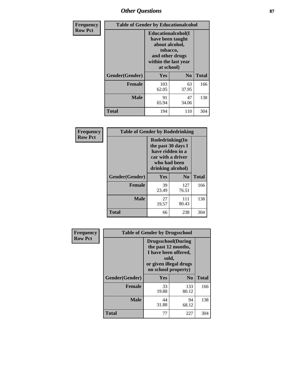# *Other Questions* **87**

| <b>Frequency</b> | <b>Table of Gender by Educationalcohol</b> |                                                                                                                                       |                |              |  |
|------------------|--------------------------------------------|---------------------------------------------------------------------------------------------------------------------------------------|----------------|--------------|--|
| <b>Row Pct</b>   |                                            | <b>Educationalcohol</b> (I<br>have been taught<br>about alcohol,<br>tobacco,<br>and other drugs<br>within the last year<br>at school) |                |              |  |
|                  | Gender(Gender)                             | <b>Yes</b>                                                                                                                            | N <sub>0</sub> | <b>Total</b> |  |
|                  | <b>Female</b>                              | 103<br>62.05                                                                                                                          | 63<br>37.95    | 166          |  |
|                  | <b>Male</b>                                | 91<br>65.94                                                                                                                           | 47<br>34.06    | 138          |  |
|                  | <b>Total</b>                               | 194                                                                                                                                   | 110            | 304          |  |

| Frequency      | <b>Table of Gender by Rodedrinking</b> |                                                                                                                     |                |              |  |
|----------------|----------------------------------------|---------------------------------------------------------------------------------------------------------------------|----------------|--------------|--|
| <b>Row Pct</b> |                                        | Rodedrinking(In<br>the past 30 days I<br>have ridden in a<br>car with a driver<br>who had been<br>drinking alcohol) |                |              |  |
|                | Gender(Gender)                         | Yes                                                                                                                 | N <sub>0</sub> | <b>Total</b> |  |
|                | <b>Female</b>                          | 39<br>23.49                                                                                                         | 127<br>76.51   | 166          |  |
|                | <b>Male</b>                            | 27<br>19.57                                                                                                         | 111<br>80.43   | 138          |  |
|                | <b>Total</b>                           | 66                                                                                                                  | 238            | 304          |  |

| Frequency      | <b>Table of Gender by Drugsschool</b> |                                                                                                                                     |                |              |  |
|----------------|---------------------------------------|-------------------------------------------------------------------------------------------------------------------------------------|----------------|--------------|--|
| <b>Row Pct</b> |                                       | <b>Drugsschool</b> (During<br>the past 12 months,<br>I have been offered,<br>sold,<br>or given illegal drugs<br>on school property) |                |              |  |
|                | Gender(Gender)                        | <b>Yes</b>                                                                                                                          | N <sub>0</sub> | <b>Total</b> |  |
|                | <b>Female</b>                         | 33<br>19.88                                                                                                                         | 133<br>80.12   | 166          |  |
|                | <b>Male</b>                           | 44<br>31.88                                                                                                                         | 94<br>68.12    | 138          |  |
|                | <b>Total</b>                          | 77                                                                                                                                  | 227            | 304          |  |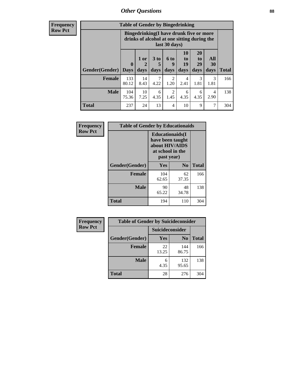# *Other Questions* **88**

**Frequency Row Pct**

| <b>Table of Gender by Bingedrinking</b> |                         |                                                                                                         |                   |                   |                        |                               |                   |              |
|-----------------------------------------|-------------------------|---------------------------------------------------------------------------------------------------------|-------------------|-------------------|------------------------|-------------------------------|-------------------|--------------|
|                                         |                         | Bingedrinking(I have drunk five or more<br>drinks of alcohol at one sitting during the<br>last 30 days) |                   |                   |                        |                               |                   |              |
| <b>Gender</b> (Gender)                  | $\bf{0}$<br><b>Days</b> | 1 or<br>days                                                                                            | 3 to<br>5<br>days | 6 to<br>9<br>days | 10<br>to<br>19<br>days | <b>20</b><br>to<br>29<br>days | All<br>30<br>days | <b>Total</b> |
| <b>Female</b>                           | 133<br>80.12            | 14<br>8.43                                                                                              | 7<br>4.22         | 2<br>1.20         | 4<br>2.41              | 3<br>1.81                     | 3<br>1.81         | 166          |
| <b>Male</b>                             | 104<br>75.36            | 10<br>7.25                                                                                              | 6<br>4.35         | 2<br>1.45         | 6<br>4.35              | 6<br>4.35                     | 4<br>2.90         | 138          |
|                                         |                         |                                                                                                         |                   |                   |                        |                               |                   |              |

| Frequency      | <b>Table of Gender by Educationaids</b> |                                                                                                 |             |              |  |
|----------------|-----------------------------------------|-------------------------------------------------------------------------------------------------|-------------|--------------|--|
| <b>Row Pct</b> |                                         | <b>Educationaids</b> (I<br>have been taught<br>about HIV/AIDS<br>at school in the<br>past year) |             |              |  |
|                | Gender(Gender)                          | Yes                                                                                             | $\bf N_0$   | <b>Total</b> |  |
|                | <b>Female</b>                           | 104<br>62.65                                                                                    | 62<br>37.35 | 166          |  |
|                | <b>Male</b>                             | 90<br>65.22                                                                                     | 48<br>34.78 | 138          |  |
|                | <b>Total</b>                            | 194                                                                                             | 110         | 304          |  |

| Frequency      | <b>Table of Gender by Suicideconsider</b> |                        |                |       |  |
|----------------|-------------------------------------------|------------------------|----------------|-------|--|
| <b>Row Pct</b> |                                           | <b>Suicideconsider</b> |                |       |  |
|                | Gender(Gender)                            | Yes                    | N <sub>0</sub> | Total |  |
|                | <b>Female</b>                             | 22<br>13.25            | 144<br>86.75   | 166   |  |
|                | <b>Male</b>                               | 6<br>4.35              | 132<br>95.65   | 138   |  |
|                | <b>Total</b>                              | 28                     | 276            | 304   |  |